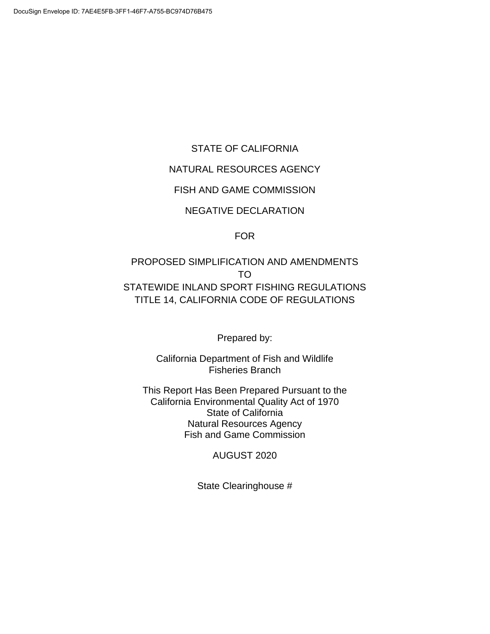#### STATE OF CALIFORNIA

#### NATURAL RESOURCES AGENCY

#### FISH AND GAME COMMISSION

#### NEGATIVE DECLARATION

#### FOR

# PROPOSED SIMPLIFICATION AND AMENDMENTS TO STATEWIDE INLAND SPORT FISHING REGULATIONS TITLE 14, CALIFORNIA CODE OF REGULATIONS

Prepared by:

California Department of Fish and Wildlife Fisheries Branch

This Report Has Been Prepared Pursuant to the California Environmental Quality Act of 1970 State of California Natural Resources Agency Fish and Game Commission

#### AUGUST 2020

State Clearinghouse #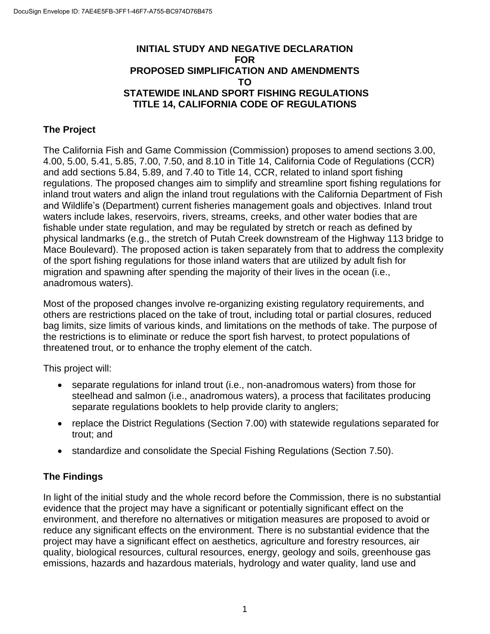#### **INITIAL STUDY AND NEGATIVE DECLARATION FOR PROPOSED SIMPLIFICATION AND AMENDMENTS TO STATEWIDE INLAND SPORT FISHING REGULATIONS TITLE 14, CALIFORNIA CODE OF REGULATIONS**

## **The Project**

The California Fish and Game Commission (Commission) proposes to amend sections 3.00, 4.00, 5.00, 5.41, 5.85, 7.00, 7.50, and 8.10 in Title 14, California Code of Regulations (CCR) and add sections 5.84, 5.89, and 7.40 to Title 14, CCR, related to inland sport fishing regulations. The proposed changes aim to simplify and streamline sport fishing regulations for inland trout waters and align the inland trout regulations with the California Department of Fish and Wildlife's (Department) current fisheries management goals and objectives. Inland trout waters include lakes, reservoirs, rivers, streams, creeks, and other water bodies that are fishable under state regulation, and may be regulated by stretch or reach as defined by physical landmarks (e.g., the stretch of Putah Creek downstream of the Highway 113 bridge to Mace Boulevard). The proposed action is taken separately from that to address the complexity of the sport fishing regulations for those inland waters that are utilized by adult fish for migration and spawning after spending the majority of their lives in the ocean (i.e., anadromous waters).

Most of the proposed changes involve re-organizing existing regulatory requirements, and others are restrictions placed on the take of trout, including total or partial closures, reduced bag limits, size limits of various kinds, and limitations on the methods of take. The purpose of the restrictions is to eliminate or reduce the sport fish harvest, to protect populations of threatened trout, or to enhance the trophy element of the catch.

This project will:

- separate regulations for inland trout (i.e., non-anadromous waters) from those for steelhead and salmon (i.e., anadromous waters), a process that facilitates producing separate regulations booklets to help provide clarity to anglers;
- replace the District Regulations (Section 7.00) with statewide regulations separated for trout; and
- standardize and consolidate the Special Fishing Regulations (Section 7.50).

## **The Findings**

In light of the initial study and the whole record before the Commission, there is no substantial evidence that the project may have a significant or potentially significant effect on the environment, and therefore no alternatives or mitigation measures are proposed to avoid or reduce any significant effects on the environment. There is no substantial evidence that the project may have a significant effect on aesthetics, agriculture and forestry resources, air quality, biological resources, cultural resources, energy, geology and soils, greenhouse gas emissions, hazards and hazardous materials, hydrology and water quality, land use and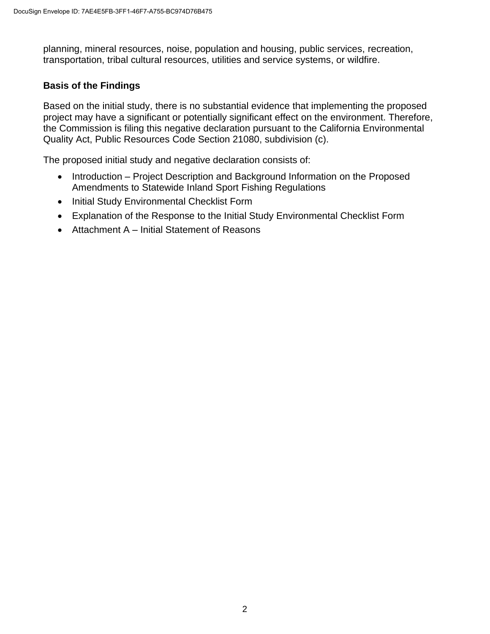planning, mineral resources, noise, population and housing, public services, recreation, transportation, tribal cultural resources, utilities and service systems, or wildfire.

#### **Basis of the Findings**

Based on the initial study, there is no substantial evidence that implementing the proposed project may have a significant or potentially significant effect on the environment. Therefore, the Commission is filing this negative declaration pursuant to the California Environmental Quality Act, Public Resources Code Section 21080, subdivision (c).

The proposed initial study and negative declaration consists of:

- Introduction Project Description and Background Information on the Proposed Amendments to Statewide Inland Sport Fishing Regulations
- Initial Study Environmental Checklist Form
- Explanation of the Response to the Initial Study Environmental Checklist Form
- Attachment A Initial Statement of Reasons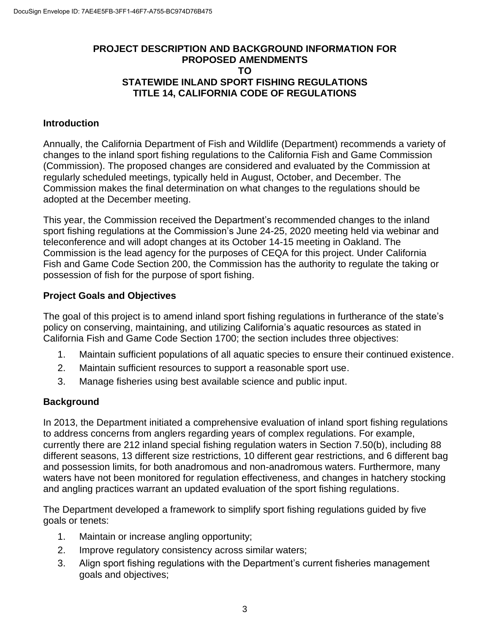#### **PROJECT DESCRIPTION AND BACKGROUND INFORMATION FOR PROPOSED AMENDMENTS TO STATEWIDE INLAND SPORT FISHING REGULATIONS TITLE 14, CALIFORNIA CODE OF REGULATIONS**

#### **Introduction**

Annually, the California Department of Fish and Wildlife (Department) recommends a variety of changes to the inland sport fishing regulations to the California Fish and Game Commission (Commission). The proposed changes are considered and evaluated by the Commission at regularly scheduled meetings, typically held in August, October, and December. The Commission makes the final determination on what changes to the regulations should be adopted at the December meeting.

This year, the Commission received the Department's recommended changes to the inland sport fishing regulations at the Commission's June 24-25, 2020 meeting held via webinar and teleconference and will adopt changes at its October 14-15 meeting in Oakland. The Commission is the lead agency for the purposes of CEQA for this project. Under California Fish and Game Code Section 200, the Commission has the authority to regulate the taking or possession of fish for the purpose of sport fishing.

#### **Project Goals and Objectives**

The goal of this project is to amend inland sport fishing regulations in furtherance of the state's policy on conserving, maintaining, and utilizing California's aquatic resources as stated in California Fish and Game Code Section 1700; the section includes three objectives:

- 1. Maintain sufficient populations of all aquatic species to ensure their continued existence.
- 2. Maintain sufficient resources to support a reasonable sport use.
- 3. Manage fisheries using best available science and public input.

## **Background**

In 2013, the Department initiated a comprehensive evaluation of inland sport fishing regulations to address concerns from anglers regarding years of complex regulations. For example, currently there are 212 inland special fishing regulation waters in Section 7.50(b), including 88 different seasons, 13 different size restrictions, 10 different gear restrictions, and 6 different bag and possession limits, for both anadromous and non-anadromous waters. Furthermore, many waters have not been monitored for regulation effectiveness, and changes in hatchery stocking and angling practices warrant an updated evaluation of the sport fishing regulations.

The Department developed a framework to simplify sport fishing regulations guided by five goals or tenets:

- 1. Maintain or increase angling opportunity;
- 2. Improve regulatory consistency across similar waters;
- 3. Align sport fishing regulations with the Department's current fisheries management goals and objectives;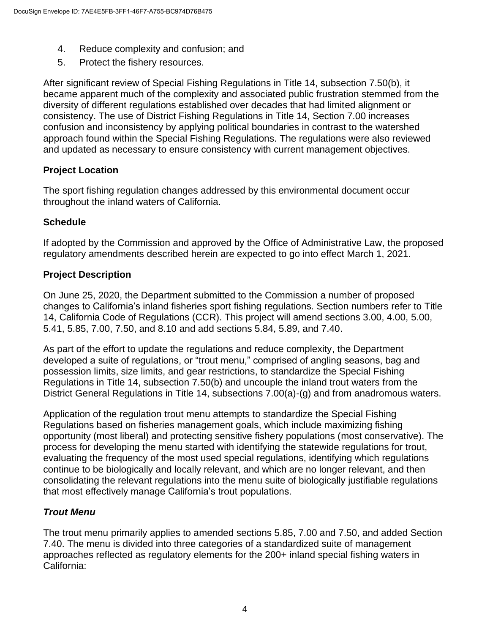- 4. Reduce complexity and confusion; and
- 5. Protect the fishery resources.

After significant review of Special Fishing Regulations in Title 14, subsection 7.50(b), it became apparent much of the complexity and associated public frustration stemmed from the diversity of different regulations established over decades that had limited alignment or consistency. The use of District Fishing Regulations in Title 14, Section 7.00 increases confusion and inconsistency by applying political boundaries in contrast to the watershed approach found within the Special Fishing Regulations. The regulations were also reviewed and updated as necessary to ensure consistency with current management objectives.

## **Project Location**

The sport fishing regulation changes addressed by this environmental document occur throughout the inland waters of California.

## **Schedule**

If adopted by the Commission and approved by the Office of Administrative Law, the proposed regulatory amendments described herein are expected to go into effect March 1, 2021.

# **Project Description**

On June 25, 2020, the Department submitted to the Commission a number of proposed changes to California's inland fisheries sport fishing regulations. Section numbers refer to Title 14, California Code of Regulations (CCR). This project will amend sections 3.00, 4.00, 5.00, 5.41, 5.85, 7.00, 7.50, and 8.10 and add sections 5.84, 5.89, and 7.40.

As part of the effort to update the regulations and reduce complexity, the Department developed a suite of regulations, or "trout menu," comprised of angling seasons, bag and possession limits, size limits, and gear restrictions, to standardize the Special Fishing Regulations in Title 14, subsection 7.50(b) and uncouple the inland trout waters from the District General Regulations in Title 14, subsections 7.00(a)-(g) and from anadromous waters.

Application of the regulation trout menu attempts to standardize the Special Fishing Regulations based on fisheries management goals, which include maximizing fishing opportunity (most liberal) and protecting sensitive fishery populations (most conservative). The process for developing the menu started with identifying the statewide regulations for trout, evaluating the frequency of the most used special regulations, identifying which regulations continue to be biologically and locally relevant, and which are no longer relevant, and then consolidating the relevant regulations into the menu suite of biologically justifiable regulations that most effectively manage California's trout populations.

# *Trout Menu*

The trout menu primarily applies to amended sections 5.85, 7.00 and 7.50, and added Section 7.40. The menu is divided into three categories of a standardized suite of management approaches reflected as regulatory elements for the 200+ inland special fishing waters in California: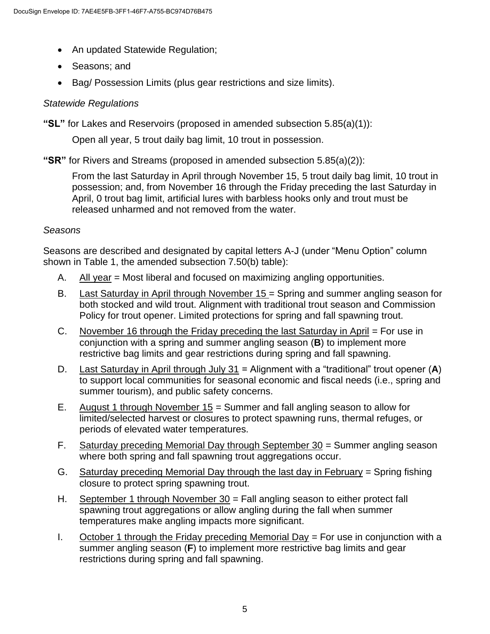- An updated Statewide Regulation;
- Seasons; and
- Bag/ Possession Limits (plus gear restrictions and size limits).

## *Statewide Regulations*

**"SL"** for Lakes and Reservoirs (proposed in amended subsection 5.85(a)(1)):

Open all year, 5 trout daily bag limit, 10 trout in possession.

**"SR"** for Rivers and Streams (proposed in amended subsection 5.85(a)(2)):

From the last Saturday in April through November 15, 5 trout daily bag limit, 10 trout in possession; and, from November 16 through the Friday preceding the last Saturday in April, 0 trout bag limit, artificial lures with barbless hooks only and trout must be released unharmed and not removed from the water.

## *Seasons*

Seasons are described and designated by capital letters A-J (under "Menu Option" column shown in Table 1, the amended subsection 7.50(b) table):

- A. All year = Most liberal and focused on maximizing angling opportunities.
- B. Last Saturday in April through November 15 = Spring and summer angling season for both stocked and wild trout. Alignment with traditional trout season and Commission Policy for trout opener. Limited protections for spring and fall spawning trout.
- C. November 16 through the Friday preceding the last Saturday in April = For use in conjunction with a spring and summer angling season (**B**) to implement more restrictive bag limits and gear restrictions during spring and fall spawning.
- D. Last Saturday in April through July 31 = Alignment with a "traditional" trout opener (**A**) to support local communities for seasonal economic and fiscal needs (i.e., spring and summer tourism), and public safety concerns.
- E. August 1 through November 15 = Summer and fall angling season to allow for limited/selected harvest or closures to protect spawning runs, thermal refuges, or periods of elevated water temperatures.
- F. Saturday preceding Memorial Day through September 30 = Summer angling season where both spring and fall spawning trout aggregations occur.
- G. Saturday preceding Memorial Day through the last day in February = Spring fishing closure to protect spring spawning trout.
- H. September 1 through November  $30 =$  Fall angling season to either protect fall spawning trout aggregations or allow angling during the fall when summer temperatures make angling impacts more significant.
- I. October 1 through the Friday preceding Memorial Day = For use in conjunction with a summer angling season (**F**) to implement more restrictive bag limits and gear restrictions during spring and fall spawning.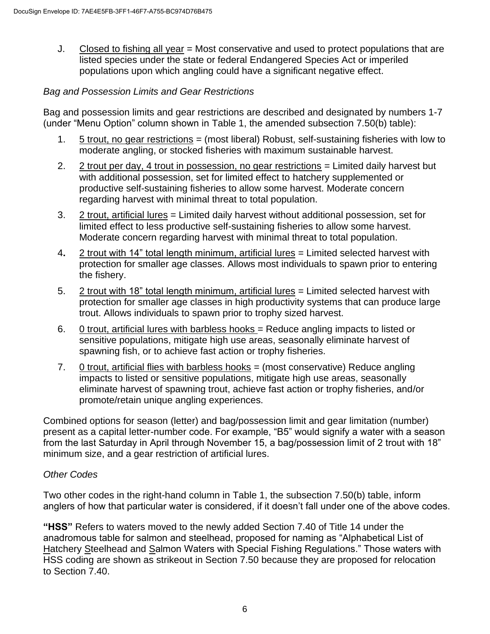J. Closed to fishing all year = Most conservative and used to protect populations that are listed species under the state or federal Endangered Species Act or imperiled populations upon which angling could have a significant negative effect.

#### *Bag and Possession Limits and Gear Restrictions*

Bag and possession limits and gear restrictions are described and designated by numbers 1-7 (under "Menu Option" column shown in Table 1, the amended subsection 7.50(b) table):

- 1. 5 trout, no gear restrictions = (most liberal) Robust, self-sustaining fisheries with low to moderate angling, or stocked fisheries with maximum sustainable harvest.
- 2. 2 trout per day, 4 trout in possession, no gear restrictions = Limited daily harvest but with additional possession, set for limited effect to hatchery supplemented or productive self-sustaining fisheries to allow some harvest. Moderate concern regarding harvest with minimal threat to total population.
- 3. 2 trout, artificial lures = Limited daily harvest without additional possession, set for limited effect to less productive self-sustaining fisheries to allow some harvest. Moderate concern regarding harvest with minimal threat to total population.
- 4**.** 2 trout with 14" total length minimum, artificial lures = Limited selected harvest with protection for smaller age classes. Allows most individuals to spawn prior to entering the fishery.
- 5. 2 trout with 18" total length minimum, artificial lures = Limited selected harvest with protection for smaller age classes in high productivity systems that can produce large trout. Allows individuals to spawn prior to trophy sized harvest.
- 6. 0 trout, artificial lures with barbless hooks = Reduce angling impacts to listed or sensitive populations, mitigate high use areas, seasonally eliminate harvest of spawning fish, or to achieve fast action or trophy fisheries.
- 7. 0 trout, artificial flies with barbless hooks = (most conservative) Reduce angling impacts to listed or sensitive populations, mitigate high use areas, seasonally eliminate harvest of spawning trout, achieve fast action or trophy fisheries, and/or promote/retain unique angling experiences.

Combined options for season (letter) and bag/possession limit and gear limitation (number) present as a capital letter-number code. For example, "B5" would signify a water with a season from the last Saturday in April through November 15, a bag/possession limit of 2 trout with 18" minimum size, and a gear restriction of artificial lures.

## *Other Codes*

Two other codes in the right-hand column in Table 1, the subsection 7.50(b) table, inform anglers of how that particular water is considered, if it doesn't fall under one of the above codes.

**"HSS"** Refers to waters moved to the newly added Section 7.40 of Title 14 under the anadromous table for salmon and steelhead, proposed for naming as "Alphabetical List of Hatchery Steelhead and Salmon Waters with Special Fishing Regulations." Those waters with HSS coding are shown as strikeout in Section 7.50 because they are proposed for relocation to Section 7.40.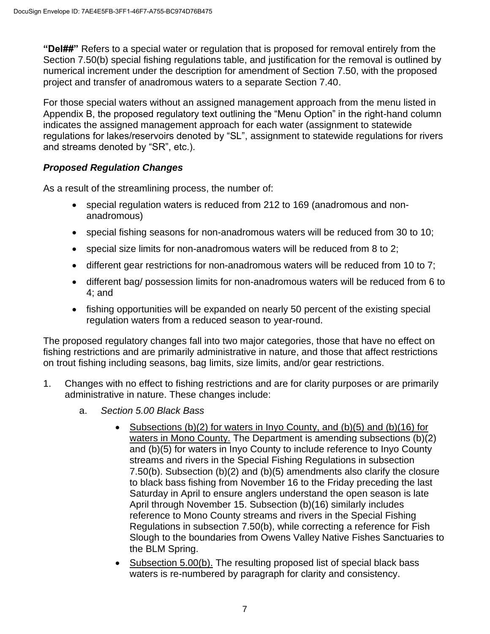**"Del##"** Refers to a special water or regulation that is proposed for removal entirely from the Section 7.50(b) special fishing regulations table, and justification for the removal is outlined by numerical increment under the description for amendment of Section 7.50, with the proposed project and transfer of anadromous waters to a separate Section 7.40.

For those special waters without an assigned management approach from the menu listed in Appendix B, the proposed regulatory text outlining the "Menu Option" in the right-hand column indicates the assigned management approach for each water (assignment to statewide regulations for lakes/reservoirs denoted by "SL", assignment to statewide regulations for rivers and streams denoted by "SR", etc.).

## *Proposed Regulation Changes*

As a result of the streamlining process, the number of:

- special regulation waters is reduced from 212 to 169 (anadromous and nonanadromous)
- special fishing seasons for non-anadromous waters will be reduced from 30 to 10;
- special size limits for non-anadromous waters will be reduced from 8 to 2;
- different gear restrictions for non-anadromous waters will be reduced from 10 to 7;
- different bag/ possession limits for non-anadromous waters will be reduced from 6 to 4; and
- fishing opportunities will be expanded on nearly 50 percent of the existing special regulation waters from a reduced season to year-round.

The proposed regulatory changes fall into two major categories, those that have no effect on fishing restrictions and are primarily administrative in nature, and those that affect restrictions on trout fishing including seasons, bag limits, size limits, and/or gear restrictions.

- 1. Changes with no effect to fishing restrictions and are for clarity purposes or are primarily administrative in nature. These changes include:
	- a. *Section 5.00 Black Bass*
		- Subsections  $(b)(2)$  for waters in Inyo County, and  $(b)(5)$  and  $(b)(16)$  for waters in Mono County. The Department is amending subsections (b)(2) and (b)(5) for waters in Inyo County to include reference to Inyo County streams and rivers in the Special Fishing Regulations in subsection 7.50(b). Subsection (b)(2) and (b)(5) amendments also clarify the closure to black bass fishing from November 16 to the Friday preceding the last Saturday in April to ensure anglers understand the open season is late April through November 15. Subsection (b)(16) similarly includes reference to Mono County streams and rivers in the Special Fishing Regulations in subsection 7.50(b), while correcting a reference for Fish Slough to the boundaries from Owens Valley Native Fishes Sanctuaries to the BLM Spring.
		- Subsection 5.00(b). The resulting proposed list of special black bass waters is re-numbered by paragraph for clarity and consistency.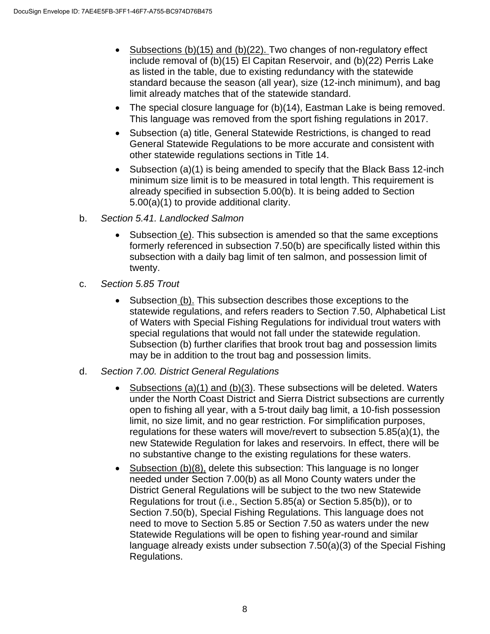- Subsections (b)(15) and (b)(22). Two changes of non-regulatory effect include removal of (b)(15) El Capitan Reservoir, and (b)(22) Perris Lake as listed in the table, due to existing redundancy with the statewide standard because the season (all year), size (12-inch minimum), and bag limit already matches that of the statewide standard.
- The special closure language for (b)(14), Eastman Lake is being removed. This language was removed from the sport fishing regulations in 2017.
- Subsection (a) title, General Statewide Restrictions, is changed to read General Statewide Regulations to be more accurate and consistent with other statewide regulations sections in Title 14.
- Subsection (a)(1) is being amended to specify that the Black Bass 12-inch minimum size limit is to be measured in total length. This requirement is already specified in subsection 5.00(b). It is being added to Section 5.00(a)(1) to provide additional clarity.
- b. *Section 5.41. Landlocked Salmon*
	- Subsection (e). This subsection is amended so that the same exceptions formerly referenced in subsection 7.50(b) are specifically listed within this subsection with a daily bag limit of ten salmon, and possession limit of twenty.
- c. *Section 5.85 Trout*
	- Subsection (b). This subsection describes those exceptions to the statewide regulations, and refers readers to Section 7.50, Alphabetical List of Waters with Special Fishing Regulations for individual trout waters with special regulations that would not fall under the statewide regulation. Subsection (b) further clarifies that brook trout bag and possession limits may be in addition to the trout bag and possession limits.
- d. *Section 7.00. District General Regulations*
	- Subsections  $(a)(1)$  and  $(b)(3)$ . These subsections will be deleted. Waters under the North Coast District and Sierra District subsections are currently open to fishing all year, with a 5-trout daily bag limit, a 10-fish possession limit, no size limit, and no gear restriction. For simplification purposes, regulations for these waters will move/revert to subsection 5.85(a)(1), the new Statewide Regulation for lakes and reservoirs. In effect, there will be no substantive change to the existing regulations for these waters.
	- Subsection (b)(8), delete this subsection: This language is no longer needed under Section 7.00(b) as all Mono County waters under the District General Regulations will be subject to the two new Statewide Regulations for trout (i.e., Section 5.85(a) or Section 5.85(b)), or to Section 7.50(b), Special Fishing Regulations. This language does not need to move to Section 5.85 or Section 7.50 as waters under the new Statewide Regulations will be open to fishing year-round and similar language already exists under subsection 7.50(a)(3) of the Special Fishing Regulations.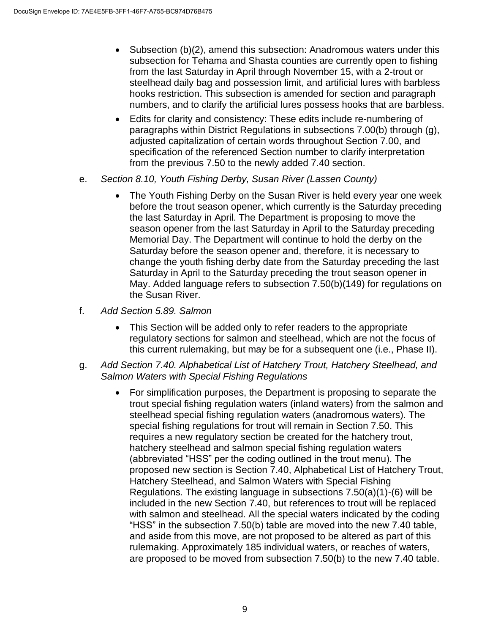- Subsection (b)(2), amend this subsection: Anadromous waters under this subsection for Tehama and Shasta counties are currently open to fishing from the last Saturday in April through November 15, with a 2-trout or steelhead daily bag and possession limit, and artificial lures with barbless hooks restriction. This subsection is amended for section and paragraph numbers, and to clarify the artificial lures possess hooks that are barbless.
- Edits for clarity and consistency: These edits include re-numbering of paragraphs within District Regulations in subsections 7.00(b) through (g), adjusted capitalization of certain words throughout Section 7.00, and specification of the referenced Section number to clarify interpretation from the previous 7.50 to the newly added 7.40 section.
- e. *Section 8.10, Youth Fishing Derby, Susan River (Lassen County)*
	- The Youth Fishing Derby on the Susan River is held every year one week before the trout season opener, which currently is the Saturday preceding the last Saturday in April. The Department is proposing to move the season opener from the last Saturday in April to the Saturday preceding Memorial Day. The Department will continue to hold the derby on the Saturday before the season opener and, therefore, it is necessary to change the youth fishing derby date from the Saturday preceding the last Saturday in April to the Saturday preceding the trout season opener in May. Added language refers to subsection 7.50(b)(149) for regulations on the Susan River.
- f. *Add Section 5.89. Salmon*
	- This Section will be added only to refer readers to the appropriate regulatory sections for salmon and steelhead, which are not the focus of this current rulemaking, but may be for a subsequent one (i.e., Phase II).
- g. *Add Section 7.40. Alphabetical List of Hatchery Trout, Hatchery Steelhead, and Salmon Waters with Special Fishing Regulations*
	- For simplification purposes, the Department is proposing to separate the trout special fishing regulation waters (inland waters) from the salmon and steelhead special fishing regulation waters (anadromous waters). The special fishing regulations for trout will remain in Section 7.50. This requires a new regulatory section be created for the hatchery trout, hatchery steelhead and salmon special fishing regulation waters (abbreviated "HSS" per the coding outlined in the trout menu). The proposed new section is Section 7.40, Alphabetical List of Hatchery Trout, Hatchery Steelhead, and Salmon Waters with Special Fishing Regulations. The existing language in subsections 7.50(a)(1)-(6) will be included in the new Section 7.40, but references to trout will be replaced with salmon and steelhead. All the special waters indicated by the coding "HSS" in the subsection 7.50(b) table are moved into the new 7.40 table, and aside from this move, are not proposed to be altered as part of this rulemaking. Approximately 185 individual waters, or reaches of waters, are proposed to be moved from subsection 7.50(b) to the new 7.40 table.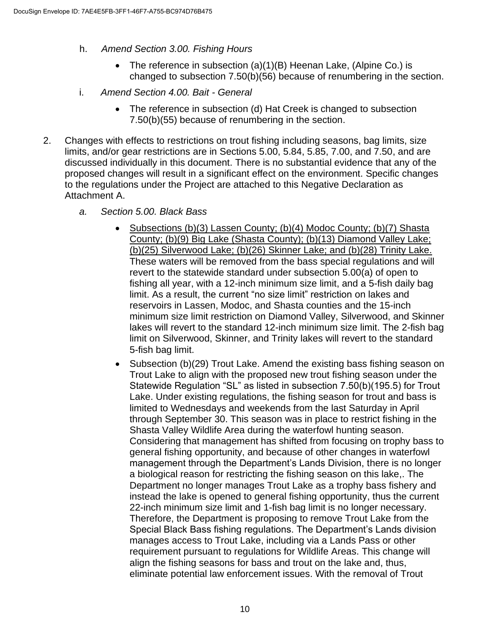- h. *Amend Section 3.00. Fishing Hours*
	- The reference in subsection  $(a)(1)(B)$  Heenan Lake, (Alpine Co.) is changed to subsection 7.50(b)(56) because of renumbering in the section.
- i. *Amend Section 4.00. Bait - General*
	- The reference in subsection (d) Hat Creek is changed to subsection 7.50(b)(55) because of renumbering in the section.
- 2. Changes with effects to restrictions on trout fishing including seasons, bag limits, size limits, and/or gear restrictions are in Sections 5.00, 5.84, 5.85, 7.00, and 7.50, and are discussed individually in this document. There is no substantial evidence that any of the proposed changes will result in a significant effect on the environment. Specific changes to the regulations under the Project are attached to this Negative Declaration as Attachment A.
	- *a. Section 5.00. Black Bass*
		- Subsections (b)(3) Lassen County; (b)(4) Modoc County; (b)(7) Shasta County; (b)(9) Big Lake (Shasta County); (b)(13) Diamond Valley Lake; (b)(25) Silverwood Lake; (b)(26) Skinner Lake; and (b)(28) Trinity Lake. These waters will be removed from the bass special regulations and will revert to the statewide standard under subsection 5.00(a) of open to fishing all year, with a 12-inch minimum size limit, and a 5-fish daily bag limit. As a result, the current "no size limit" restriction on lakes and reservoirs in Lassen, Modoc, and Shasta counties and the 15-inch minimum size limit restriction on Diamond Valley, Silverwood, and Skinner lakes will revert to the standard 12-inch minimum size limit. The 2-fish bag limit on Silverwood, Skinner, and Trinity lakes will revert to the standard 5-fish bag limit.
		- Subsection (b)(29) Trout Lake. Amend the existing bass fishing season on Trout Lake to align with the proposed new trout fishing season under the Statewide Regulation "SL" as listed in subsection 7.50(b)(195.5) for Trout Lake. Under existing regulations, the fishing season for trout and bass is limited to Wednesdays and weekends from the last Saturday in April through September 30. This season was in place to restrict fishing in the Shasta Valley Wildlife Area during the waterfowl hunting season. Considering that management has shifted from focusing on trophy bass to general fishing opportunity, and because of other changes in waterfowl management through the Department's Lands Division, there is no longer a biological reason for restricting the fishing season on this lake,. The Department no longer manages Trout Lake as a trophy bass fishery and instead the lake is opened to general fishing opportunity, thus the current 22-inch minimum size limit and 1-fish bag limit is no longer necessary. Therefore, the Department is proposing to remove Trout Lake from the Special Black Bass fishing regulations. The Department's Lands division manages access to Trout Lake, including via a Lands Pass or other requirement pursuant to regulations for Wildlife Areas. This change will align the fishing seasons for bass and trout on the lake and, thus, eliminate potential law enforcement issues. With the removal of Trout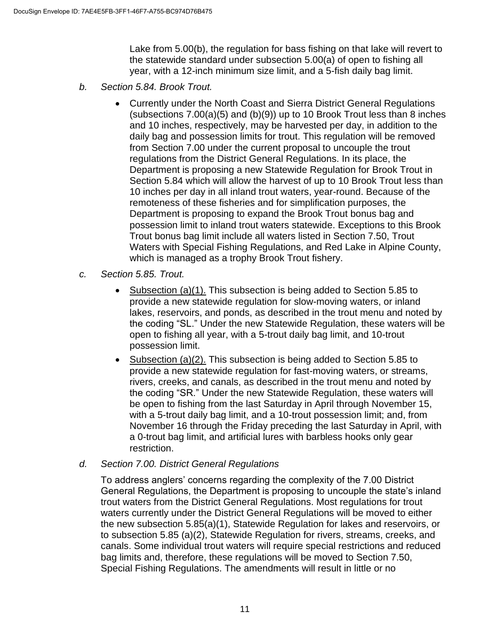Lake from 5.00(b), the regulation for bass fishing on that lake will revert to the statewide standard under subsection 5.00(a) of open to fishing all year, with a 12-inch minimum size limit, and a 5-fish daily bag limit.

- *b. Section 5.84. Brook Trout.*
	- Currently under the North Coast and Sierra District General Regulations (subsections  $7.00(a)(5)$  and  $(b)(9)$ ) up to 10 Brook Trout less than 8 inches and 10 inches, respectively, may be harvested per day, in addition to the daily bag and possession limits for trout. This regulation will be removed from Section 7.00 under the current proposal to uncouple the trout regulations from the District General Regulations. In its place, the Department is proposing a new Statewide Regulation for Brook Trout in Section 5.84 which will allow the harvest of up to 10 Brook Trout less than 10 inches per day in all inland trout waters, year-round. Because of the remoteness of these fisheries and for simplification purposes, the Department is proposing to expand the Brook Trout bonus bag and possession limit to inland trout waters statewide. Exceptions to this Brook Trout bonus bag limit include all waters listed in Section 7.50, Trout Waters with Special Fishing Regulations, and Red Lake in Alpine County, which is managed as a trophy Brook Trout fishery.
- *c. Section 5.85. Trout.*
	- Subsection (a)(1). This subsection is being added to Section 5.85 to provide a new statewide regulation for slow-moving waters, or inland lakes, reservoirs, and ponds, as described in the trout menu and noted by the coding "SL." Under the new Statewide Regulation, these waters will be open to fishing all year, with a 5-trout daily bag limit, and 10-trout possession limit.
	- Subsection (a)(2). This subsection is being added to Section 5.85 to provide a new statewide regulation for fast-moving waters, or streams, rivers, creeks, and canals, as described in the trout menu and noted by the coding "SR." Under the new Statewide Regulation, these waters will be open to fishing from the last Saturday in April through November 15, with a 5-trout daily bag limit, and a 10-trout possession limit; and, from November 16 through the Friday preceding the last Saturday in April, with a 0-trout bag limit, and artificial lures with barbless hooks only gear restriction.

#### *d. Section 7.00. District General Regulations*

To address anglers' concerns regarding the complexity of the 7.00 District General Regulations, the Department is proposing to uncouple the state's inland trout waters from the District General Regulations. Most regulations for trout waters currently under the District General Regulations will be moved to either the new subsection 5.85(a)(1), Statewide Regulation for lakes and reservoirs, or to subsection 5.85 (a)(2), Statewide Regulation for rivers, streams, creeks, and canals. Some individual trout waters will require special restrictions and reduced bag limits and, therefore, these regulations will be moved to Section 7.50, Special Fishing Regulations. The amendments will result in little or no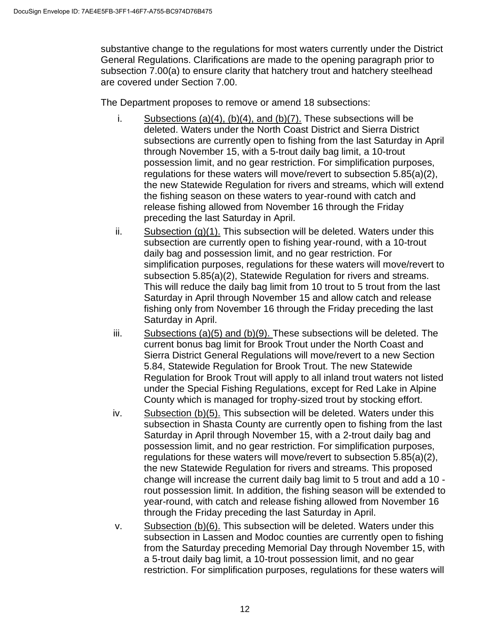substantive change to the regulations for most waters currently under the District General Regulations. Clarifications are made to the opening paragraph prior to subsection 7.00(a) to ensure clarity that hatchery trout and hatchery steelhead are covered under Section 7.00.

The Department proposes to remove or amend 18 subsections:

- i. Subsections  $(a)(4)$ ,  $(b)(4)$ , and  $(b)(7)$ . These subsections will be deleted. Waters under the North Coast District and Sierra District subsections are currently open to fishing from the last Saturday in April through November 15, with a 5-trout daily bag limit, a 10-trout possession limit, and no gear restriction. For simplification purposes, regulations for these waters will move/revert to subsection 5.85(a)(2), the new Statewide Regulation for rivers and streams, which will extend the fishing season on these waters to year-round with catch and release fishing allowed from November 16 through the Friday preceding the last Saturday in April.
- ii. Subsection  $(q)(1)$ . This subsection will be deleted. Waters under this subsection are currently open to fishing year-round, with a 10-trout daily bag and possession limit, and no gear restriction. For simplification purposes, regulations for these waters will move/revert to subsection 5.85(a)(2), Statewide Regulation for rivers and streams. This will reduce the daily bag limit from 10 trout to 5 trout from the last Saturday in April through November 15 and allow catch and release fishing only from November 16 through the Friday preceding the last Saturday in April.
- iii. Subsections  $(a)(5)$  and  $(b)(9)$ . These subsections will be deleted. The current bonus bag limit for Brook Trout under the North Coast and Sierra District General Regulations will move/revert to a new Section 5.84, Statewide Regulation for Brook Trout. The new Statewide Regulation for Brook Trout will apply to all inland trout waters not listed under the Special Fishing Regulations, except for Red Lake in Alpine County which is managed for trophy-sized trout by stocking effort.
- iv. Subsection (b)(5). This subsection will be deleted. Waters under this subsection in Shasta County are currently open to fishing from the last Saturday in April through November 15, with a 2-trout daily bag and possession limit, and no gear restriction. For simplification purposes, regulations for these waters will move/revert to subsection 5.85(a)(2), the new Statewide Regulation for rivers and streams. This proposed change will increase the current daily bag limit to 5 trout and add a 10 rout possession limit. In addition, the fishing season will be extended to year-round, with catch and release fishing allowed from November 16 through the Friday preceding the last Saturday in April.
- v. Subsection (b)(6). This subsection will be deleted. Waters under this subsection in Lassen and Modoc counties are currently open to fishing from the Saturday preceding Memorial Day through November 15, with a 5-trout daily bag limit, a 10-trout possession limit, and no gear restriction. For simplification purposes, regulations for these waters will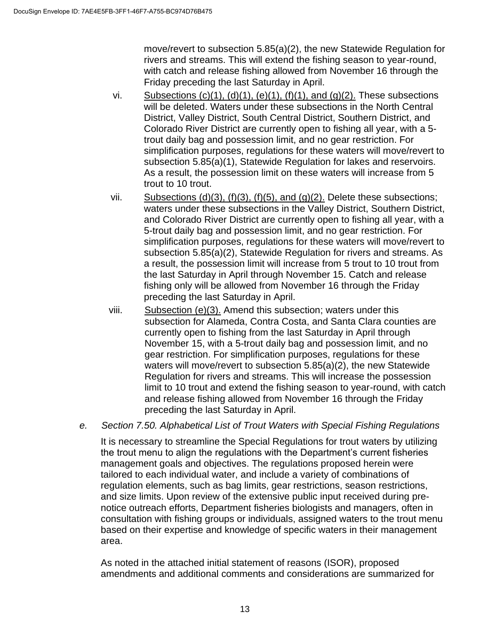move/revert to subsection 5.85(a)(2), the new Statewide Regulation for rivers and streams. This will extend the fishing season to year-round, with catch and release fishing allowed from November 16 through the Friday preceding the last Saturday in April.

- vi. Subsections  $(c)(1)$ ,  $(d)(1)$ ,  $(e)(1)$ ,  $(f)(1)$ , and  $(g)(2)$ . These subsections will be deleted. Waters under these subsections in the North Central District, Valley District, South Central District, Southern District, and Colorado River District are currently open to fishing all year, with a 5 trout daily bag and possession limit, and no gear restriction. For simplification purposes, regulations for these waters will move/revert to subsection 5.85(a)(1), Statewide Regulation for lakes and reservoirs. As a result, the possession limit on these waters will increase from 5 trout to 10 trout.
- vii. Subsections (d)(3), (f)(3), (f)(5), and (g)(2). Delete these subsections; waters under these subsections in the Valley District, Southern District, and Colorado River District are currently open to fishing all year, with a 5-trout daily bag and possession limit, and no gear restriction. For simplification purposes, regulations for these waters will move/revert to subsection 5.85(a)(2), Statewide Regulation for rivers and streams. As a result, the possession limit will increase from 5 trout to 10 trout from the last Saturday in April through November 15. Catch and release fishing only will be allowed from November 16 through the Friday preceding the last Saturday in April.
- viii. Subsection (e)(3). Amend this subsection; waters under this subsection for Alameda, Contra Costa, and Santa Clara counties are currently open to fishing from the last Saturday in April through November 15, with a 5-trout daily bag and possession limit, and no gear restriction. For simplification purposes, regulations for these waters will move/revert to subsection 5.85(a)(2), the new Statewide Regulation for rivers and streams. This will increase the possession limit to 10 trout and extend the fishing season to year-round, with catch and release fishing allowed from November 16 through the Friday preceding the last Saturday in April.
- *e. Section 7.50. Alphabetical List of Trout Waters with Special Fishing Regulations*

It is necessary to streamline the Special Regulations for trout waters by utilizing the trout menu to align the regulations with the Department's current fisheries management goals and objectives. The regulations proposed herein were tailored to each individual water, and include a variety of combinations of regulation elements, such as bag limits, gear restrictions, season restrictions, and size limits. Upon review of the extensive public input received during prenotice outreach efforts, Department fisheries biologists and managers, often in consultation with fishing groups or individuals, assigned waters to the trout menu based on their expertise and knowledge of specific waters in their management area.

As noted in the attached initial statement of reasons (ISOR), proposed amendments and additional comments and considerations are summarized for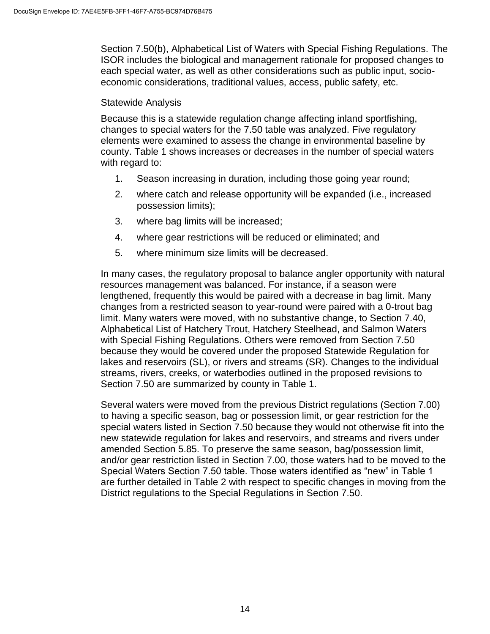Section 7.50(b), Alphabetical List of Waters with Special Fishing Regulations. The ISOR includes the biological and management rationale for proposed changes to each special water, as well as other considerations such as public input, socioeconomic considerations, traditional values, access, public safety, etc.

#### Statewide Analysis

Because this is a statewide regulation change affecting inland sportfishing, changes to special waters for the 7.50 table was analyzed. Five regulatory elements were examined to assess the change in environmental baseline by county. Table 1 shows increases or decreases in the number of special waters with regard to:

- 1. Season increasing in duration, including those going year round;
- 2. where catch and release opportunity will be expanded (i.e., increased possession limits);
- 3. where bag limits will be increased;
- 4. where gear restrictions will be reduced or eliminated; and
- 5. where minimum size limits will be decreased.

In many cases, the regulatory proposal to balance angler opportunity with natural resources management was balanced. For instance, if a season were lengthened, frequently this would be paired with a decrease in bag limit. Many changes from a restricted season to year-round were paired with a 0-trout bag limit. Many waters were moved, with no substantive change, to Section 7.40, Alphabetical List of Hatchery Trout, Hatchery Steelhead, and Salmon Waters with Special Fishing Regulations. Others were removed from Section 7.50 because they would be covered under the proposed Statewide Regulation for lakes and reservoirs (SL), or rivers and streams (SR). Changes to the individual streams, rivers, creeks, or waterbodies outlined in the proposed revisions to Section 7.50 are summarized by county in Table 1.

Several waters were moved from the previous District regulations (Section 7.00) to having a specific season, bag or possession limit, or gear restriction for the special waters listed in Section 7.50 because they would not otherwise fit into the new statewide regulation for lakes and reservoirs, and streams and rivers under amended Section 5.85. To preserve the same season, bag/possession limit, and/or gear restriction listed in Section 7.00, those waters had to be moved to the Special Waters Section 7.50 table. Those waters identified as "new" in Table 1 are further detailed in Table 2 with respect to specific changes in moving from the District regulations to the Special Regulations in Section 7.50.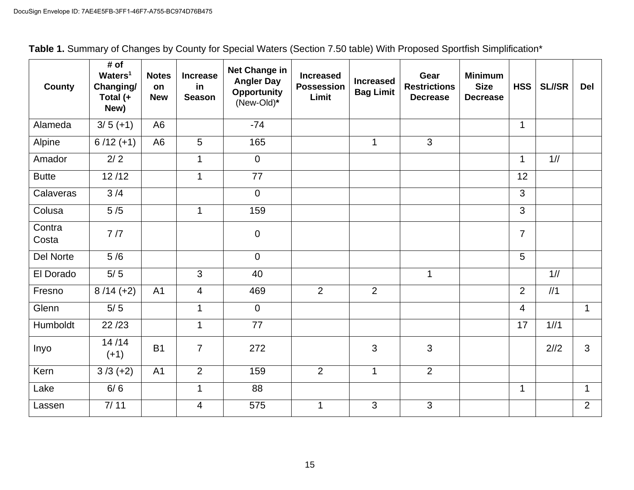| <b>County</b>   | # of<br>Waters <sup>1</sup><br>Changing/<br>Total (+<br>New) | <b>Notes</b><br>on<br><b>New</b> | <b>Increase</b><br>in<br><b>Season</b> | <b>Net Change in</b><br><b>Angler Day</b><br><b>Opportunity</b><br>(New-Old)* | <b>Increased</b><br><b>Possession</b><br>Limit | <b>Increased</b><br><b>Bag Limit</b> | Gear<br><b>Restrictions</b><br><b>Decrease</b> | <b>Minimum</b><br><b>Size</b><br><b>Decrease</b> | <b>HSS</b>     | <b>SL//SR</b> | <b>Del</b>   |
|-----------------|--------------------------------------------------------------|----------------------------------|----------------------------------------|-------------------------------------------------------------------------------|------------------------------------------------|--------------------------------------|------------------------------------------------|--------------------------------------------------|----------------|---------------|--------------|
| Alameda         | $3/5 (+1)$                                                   | A <sub>6</sub>                   |                                        | $-74$                                                                         |                                                |                                      |                                                |                                                  | $\mathbf{1}$   |               |              |
| Alpine          | $6/12 (+1)$                                                  | A <sub>6</sub>                   | 5                                      | 165                                                                           |                                                | $\mathbf 1$                          | 3                                              |                                                  |                |               |              |
| Amador          | 2/2                                                          |                                  | $\mathbf{1}$                           | $\overline{0}$                                                                |                                                |                                      |                                                |                                                  | $\mathbf{1}$   | 1/1/1         |              |
| <b>Butte</b>    | 12/12                                                        |                                  | $\mathbf{1}$                           | 77                                                                            |                                                |                                      |                                                |                                                  | 12             |               |              |
| Calaveras       | 3/4                                                          |                                  |                                        | $\mathbf 0$                                                                   |                                                |                                      |                                                |                                                  | 3              |               |              |
| Colusa          | $5/5$                                                        |                                  | $\mathbf 1$                            | 159                                                                           |                                                |                                      |                                                |                                                  | 3              |               |              |
| Contra<br>Costa | 7/7                                                          |                                  |                                        | $\mathbf 0$                                                                   |                                                |                                      |                                                |                                                  | $\overline{7}$ |               |              |
| Del Norte       | 5/6                                                          |                                  |                                        | $\overline{0}$                                                                |                                                |                                      |                                                |                                                  | 5              |               |              |
| El Dorado       | $5/5$                                                        |                                  | $\mathbf{3}$                           | 40                                                                            |                                                |                                      | $\mathbf{1}$                                   |                                                  |                | 1/1           |              |
| Fresno          | $8/14 (+2)$                                                  | A <sub>1</sub>                   | $\overline{4}$                         | 469                                                                           | $\overline{2}$                                 | $\overline{2}$                       |                                                |                                                  | 2              | 1/1           |              |
| Glenn           | $5/5$                                                        |                                  | $\mathbf{1}$                           | $\mathbf 0$                                                                   |                                                |                                      |                                                |                                                  | 4              |               | $\mathbf{1}$ |
| Humboldt        | 22/23                                                        |                                  | $\mathbf 1$                            | 77                                                                            |                                                |                                      |                                                |                                                  | 17             | 1/1/1         |              |
| Inyo            | 14/14<br>$(+1)$                                              | <b>B1</b>                        | $\overline{7}$                         | 272                                                                           |                                                | 3                                    | 3                                              |                                                  |                | 2/2           | 3            |
| Kern            | $3/3 (+2)$                                                   | A <sub>1</sub>                   | $\overline{2}$                         | 159                                                                           | $\overline{2}$                                 | $\mathbf 1$                          | $\overline{2}$                                 |                                                  |                |               |              |
| Lake            | 6/6                                                          |                                  | $\mathbf 1$                            | 88                                                                            |                                                |                                      |                                                |                                                  | $\mathbf{1}$   |               | $\mathbf{1}$ |
| Lassen          | 7/11                                                         |                                  | $\overline{4}$                         | 575                                                                           | $\mathbf{1}$                                   | $\mathbf{3}$                         | $\mathbf{3}$                                   |                                                  |                |               | 2            |

| Table 1. Summary of Changes by County for Special Waters (Section 7.50 table) With Proposed Sportfish Simplification* |
|-----------------------------------------------------------------------------------------------------------------------|
|-----------------------------------------------------------------------------------------------------------------------|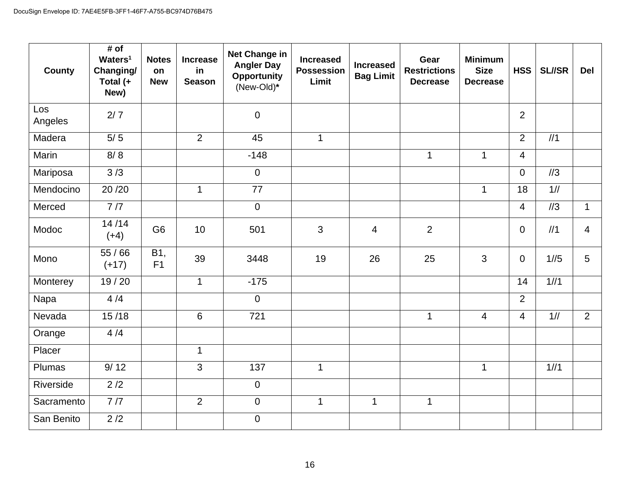| <b>County</b>  | # of<br>Waters <sup>1</sup><br>Changing/<br>Total (+<br>New) | <b>Notes</b><br>on<br><b>New</b> | <b>Increase</b><br>in<br><b>Season</b> | Net Change in<br><b>Angler Day</b><br><b>Opportunity</b><br>(New-Old)* | <b>Increased</b><br><b>Possession</b><br>Limit | <b>Increased</b><br><b>Bag Limit</b> | Gear<br><b>Restrictions</b><br><b>Decrease</b> | <b>Minimum</b><br><b>Size</b><br><b>Decrease</b> | <b>HSS</b>     | <b>SL//SR</b>   | Del            |
|----------------|--------------------------------------------------------------|----------------------------------|----------------------------------------|------------------------------------------------------------------------|------------------------------------------------|--------------------------------------|------------------------------------------------|--------------------------------------------------|----------------|-----------------|----------------|
| Los<br>Angeles | 2/7                                                          |                                  |                                        | $\mathbf 0$                                                            |                                                |                                      |                                                |                                                  | $\overline{2}$ |                 |                |
| Madera         | $5/5$                                                        |                                  | $\overline{2}$                         | 45                                                                     | $\mathbf{1}$                                   |                                      |                                                |                                                  | $\overline{2}$ | 1/1             |                |
| Marin          | 8/8                                                          |                                  |                                        | $-148$                                                                 |                                                |                                      | $\mathbf{1}$                                   | $\mathbf{1}$                                     | $\overline{4}$ |                 |                |
| Mariposa       | 3/3                                                          |                                  |                                        | $\overline{0}$                                                         |                                                |                                      |                                                |                                                  | $\overline{0}$ | 1/3             |                |
| Mendocino      | 20/20                                                        |                                  | $\mathbf{1}$                           | 77                                                                     |                                                |                                      |                                                | $\mathbf{1}$                                     | 18             | 1/1/1           |                |
| Merced         | 7/7                                                          |                                  |                                        | $\overline{0}$                                                         |                                                |                                      |                                                |                                                  | $\overline{4}$ | $\frac{\pi}{3}$ | $\mathbf{1}$   |
| Modoc          | 14/14<br>$(+4)$                                              | G <sub>6</sub>                   | 10                                     | 501                                                                    | 3                                              | $\overline{4}$                       | $\overline{2}$                                 |                                                  | $\mathbf 0$    | 1/1             | $\overline{4}$ |
| Mono           | 55/66<br>$(+17)$                                             | B1,<br>F1                        | 39                                     | 3448                                                                   | 19                                             | 26                                   | 25                                             | $\overline{3}$                                   | $\mathbf 0$    | 1/5             | 5              |
| Monterey       | 19/20                                                        |                                  | $\mathbf 1$                            | $-175$                                                                 |                                                |                                      |                                                |                                                  | 14             | 1/1/1           |                |
| Napa           | 4/4                                                          |                                  |                                        | $\overline{0}$                                                         |                                                |                                      |                                                |                                                  | $\overline{2}$ |                 |                |
| Nevada         | 15/18                                                        |                                  | $6\phantom{1}$                         | 721                                                                    |                                                |                                      | $\mathbf{1}$                                   | $\overline{4}$                                   | $\overline{4}$ | 1/1             | 2              |
| Orange         | 4/4                                                          |                                  |                                        |                                                                        |                                                |                                      |                                                |                                                  |                |                 |                |
| Placer         |                                                              |                                  | $\mathbf{1}$                           |                                                                        |                                                |                                      |                                                |                                                  |                |                 |                |
| Plumas         | 9/12                                                         |                                  | $\mathfrak{S}$                         | 137                                                                    | $\mathbf{1}$                                   |                                      |                                                | $\mathbf{1}$                                     |                | 1/1             |                |
| Riverside      | 2/2                                                          |                                  |                                        | $\overline{0}$                                                         |                                                |                                      |                                                |                                                  |                |                 |                |
| Sacramento     | 7/7                                                          |                                  | $\overline{2}$                         | $\mathbf 0$                                                            | $\mathbf{1}$                                   | $\mathbf 1$                          | $\mathbf 1$                                    |                                                  |                |                 |                |
| San Benito     | 2/2                                                          |                                  |                                        | $\overline{0}$                                                         |                                                |                                      |                                                |                                                  |                |                 |                |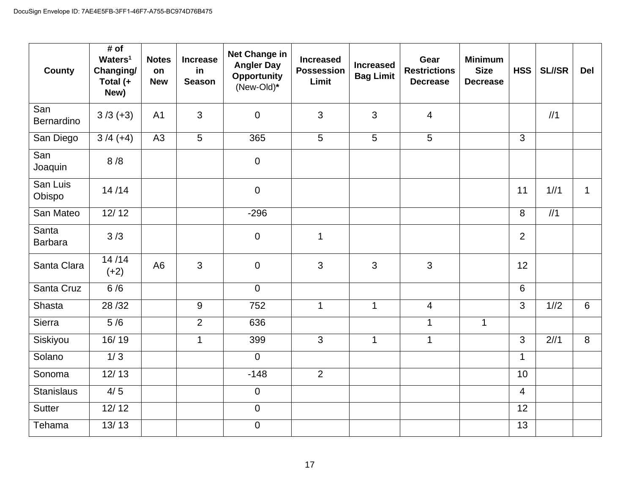| <b>County</b>           | # of<br>Waters <sup>1</sup><br>Changing/<br>Total (+<br>New) | <b>Notes</b><br>on<br><b>New</b> | <b>Increase</b><br>in<br><b>Season</b> | Net Change in<br><b>Angler Day</b><br><b>Opportunity</b><br>(New-Old)* | <b>Minimum</b><br>Gear<br><b>Increased</b><br><b>Increased</b><br><b>Size</b><br><b>Possession</b><br><b>Restrictions</b><br><b>Bag Limit</b><br>Limit<br><b>Decrease</b><br><b>Decrease</b> |              | <b>HSS</b>     | <b>SL//SR</b> | <b>Del</b>       |       |              |
|-------------------------|--------------------------------------------------------------|----------------------------------|----------------------------------------|------------------------------------------------------------------------|----------------------------------------------------------------------------------------------------------------------------------------------------------------------------------------------|--------------|----------------|---------------|------------------|-------|--------------|
| San<br>Bernardino       | $3/3 (+3)$                                                   | A <sub>1</sub>                   | 3                                      | $\mathbf 0$                                                            | 3                                                                                                                                                                                            | $\mathbf{3}$ | 4              |               |                  | 1/1   |              |
| San Diego               | $3/4 (+4)$                                                   | A3                               | $5\phantom{.0}$                        | 365                                                                    | $5\overline{)}$                                                                                                                                                                              | 5            | 5              |               | 3                |       |              |
| San<br>Joaquin          | 8/8                                                          |                                  |                                        | $\overline{0}$                                                         |                                                                                                                                                                                              |              |                |               |                  |       |              |
| San Luis<br>Obispo      | 14/14                                                        |                                  |                                        | $\mathbf 0$                                                            |                                                                                                                                                                                              |              |                |               | 11               | 1/1/1 | $\mathbf{1}$ |
| San Mateo               | 12/12                                                        |                                  |                                        | $-296$                                                                 |                                                                                                                                                                                              |              |                |               | $\boldsymbol{8}$ | 1/1   |              |
| Santa<br><b>Barbara</b> | 3/3                                                          |                                  |                                        | $\mathbf 0$                                                            | $\mathbf{1}$                                                                                                                                                                                 |              |                |               | $\overline{2}$   |       |              |
| Santa Clara             | 14/14<br>$(+2)$                                              | A <sub>6</sub>                   | 3                                      | $\mathbf 0$                                                            | 3                                                                                                                                                                                            | 3            | 3              |               | 12               |       |              |
| Santa Cruz              | 6/6                                                          |                                  |                                        | $\overline{0}$                                                         |                                                                                                                                                                                              |              |                |               | 6                |       |              |
| Shasta                  | 28/32                                                        |                                  | $\boldsymbol{9}$                       | 752                                                                    | $\mathbf{1}$                                                                                                                                                                                 | $\mathbf 1$  | $\overline{4}$ |               | 3                | 1/2   | 6            |
| Sierra                  | 5/6                                                          |                                  | $\overline{2}$                         | 636                                                                    |                                                                                                                                                                                              |              | $\mathbf{1}$   | $\mathbf{1}$  |                  |       |              |
| Siskiyou                | $\frac{1}{16}$ / 19                                          |                                  | $\mathbf{1}$                           | 399                                                                    | $\overline{3}$                                                                                                                                                                               | $\mathbf{1}$ | $\mathbf{1}$   |               | $\mathbf{3}$     | 2/11  | 8            |
| Solano                  | 1/3                                                          |                                  |                                        | $\overline{0}$                                                         |                                                                                                                                                                                              |              |                |               | $\mathbf{1}$     |       |              |
| Sonoma                  | 12/13                                                        |                                  |                                        | $-148$                                                                 | $\overline{2}$                                                                                                                                                                               |              |                |               | 10               |       |              |
| <b>Stanislaus</b>       | 4/5                                                          |                                  |                                        | $\mathbf 0$                                                            |                                                                                                                                                                                              |              |                |               | $\overline{4}$   |       |              |
| <b>Sutter</b>           | 12/12                                                        |                                  |                                        | $\mathbf 0$                                                            |                                                                                                                                                                                              |              |                |               | 12               |       |              |
| Tehama                  | 13/13                                                        |                                  |                                        | $\overline{0}$                                                         |                                                                                                                                                                                              |              |                |               | 13               |       |              |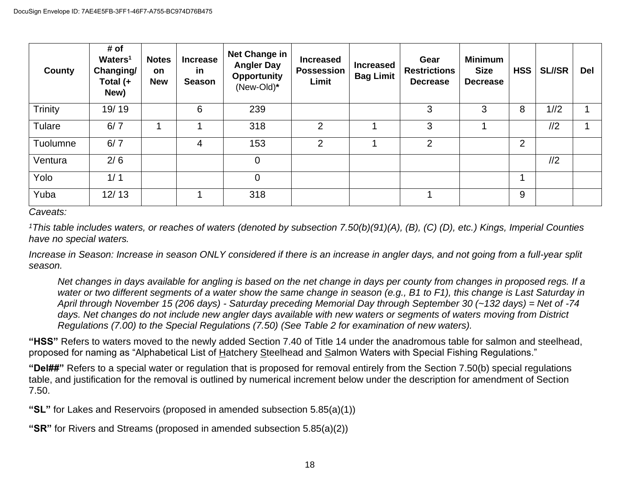| County   | # of<br>Waters <sup>1</sup><br>Changing/<br>Total (+<br>New) | <b>Notes</b><br><b>on</b><br><b>New</b> | <b>Increase</b><br>in<br><b>Season</b> | <b>Net Change in</b><br><b>Angler Day</b><br><b>Opportunity</b><br>(New-Old)* | <b>Increased</b><br><b>Possession</b><br>Limit | <b>Increased</b><br><b>Bag Limit</b> | Gear<br><b>Restrictions</b><br><b>Decrease</b> | <b>Minimum</b><br><b>Size</b><br><b>Decrease</b> | <b>HSS</b>     | <b>SL//SR</b> | <b>Del</b> |
|----------|--------------------------------------------------------------|-----------------------------------------|----------------------------------------|-------------------------------------------------------------------------------|------------------------------------------------|--------------------------------------|------------------------------------------------|--------------------------------------------------|----------------|---------------|------------|
| Trinity  | 19/19                                                        |                                         | 6                                      | 239                                                                           |                                                |                                      | 3                                              | 3                                                | 8              | 1/2           |            |
| Tulare   | 6/7                                                          |                                         | ◢                                      | 318                                                                           | $\overline{2}$                                 |                                      | 3                                              |                                                  |                | 1/2           |            |
| Tuolumne | 6/7                                                          |                                         | 4                                      | 153                                                                           | 2                                              |                                      | $\overline{2}$                                 |                                                  | $\overline{2}$ |               |            |
| Ventura  | 2/6                                                          |                                         |                                        | $\overline{0}$                                                                |                                                |                                      |                                                |                                                  |                | 1/2           |            |
| Yolo     | 1/1                                                          |                                         |                                        | $\overline{0}$                                                                |                                                |                                      |                                                |                                                  | 4              |               |            |
| Yuba     | 12/13                                                        |                                         | 1                                      | 318                                                                           |                                                |                                      |                                                |                                                  | 9              |               |            |

*Caveats:*

*<sup>1</sup>This table includes waters, or reaches of waters (denoted by subsection 7.50(b)(91)(A), (B), (C) (D), etc.) Kings, Imperial Counties have no special waters.* 

*Increase in Season: Increase in season ONLY considered if there is an increase in angler days, and not going from a full-year split season.* 

*Net changes in days available for angling is based on the net change in days per county from changes in proposed regs. If a water or two different segments of a water show the same change in season (e.g., B1 to F1), this change is Last Saturday in April through November 15 (206 days) - Saturday preceding Memorial Day through September 30 (~132 days) = Net of -74 days. Net changes do not include new angler days available with new waters or segments of waters moving from District Regulations (7.00) to the Special Regulations (7.50) (See Table 2 for examination of new waters).*

**"HSS"** Refers to waters moved to the newly added Section 7.40 of Title 14 under the anadromous table for salmon and steelhead, proposed for naming as "Alphabetical List of Hatchery Steelhead and Salmon Waters with Special Fishing Regulations."

**"Del##"** Refers to a special water or regulation that is proposed for removal entirely from the Section 7.50(b) special regulations table, and justification for the removal is outlined by numerical increment below under the description for amendment of Section 7.50.

**"SL"** for Lakes and Reservoirs (proposed in amended subsection 5.85(a)(1))

**"SR"** for Rivers and Streams (proposed in amended subsection 5.85(a)(2))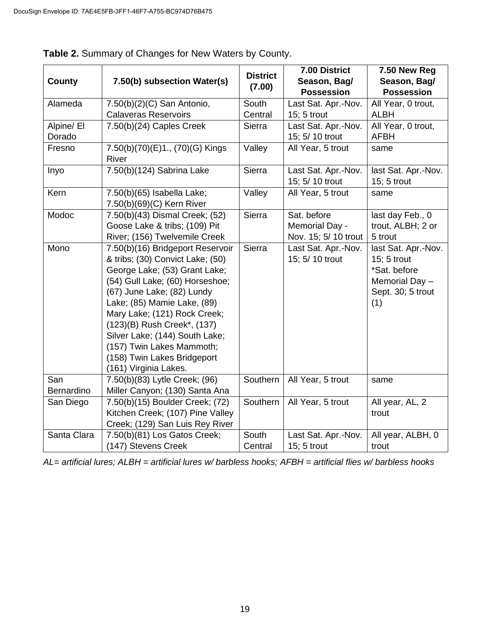|                   |                                                                                                                                                                                                                                                                                                                                                                                             | <b>District</b> | 7.00 District                                         | 7.50 New Reg                                                                                     |
|-------------------|---------------------------------------------------------------------------------------------------------------------------------------------------------------------------------------------------------------------------------------------------------------------------------------------------------------------------------------------------------------------------------------------|-----------------|-------------------------------------------------------|--------------------------------------------------------------------------------------------------|
| <b>County</b>     | 7.50(b) subsection Water(s)                                                                                                                                                                                                                                                                                                                                                                 | (7.00)          | Season, Bag/<br><b>Possession</b>                     | Season, Bag/<br><b>Possession</b>                                                                |
| Alameda           | $7.50(b)(2)(C)$ San Antonio,                                                                                                                                                                                                                                                                                                                                                                | South           | Last Sat. Apr.-Nov.                                   | All Year, 0 trout,                                                                               |
|                   | <b>Calaveras Reservoirs</b>                                                                                                                                                                                                                                                                                                                                                                 | Central         | 15; 5 trout                                           | <b>ALBH</b>                                                                                      |
| Alpine/ El        | 7.50(b)(24) Caples Creek                                                                                                                                                                                                                                                                                                                                                                    | <b>Sierra</b>   | Last Sat. Apr.-Nov.                                   | All Year, 0 trout,                                                                               |
| Dorado            |                                                                                                                                                                                                                                                                                                                                                                                             |                 | 15; 5/ 10 trout                                       | <b>AFBH</b>                                                                                      |
| Fresno            | 7.50(b)(70)(E)1., (70)(G) Kings<br>River                                                                                                                                                                                                                                                                                                                                                    | Valley          | All Year, 5 trout                                     | same                                                                                             |
| Inyo              | 7.50(b)(124) Sabrina Lake                                                                                                                                                                                                                                                                                                                                                                   | Sierra          | Last Sat. Apr.-Nov.<br>15; 5/ 10 trout                | last Sat. Apr.-Nov.<br>15; 5 trout                                                               |
| Kern              | 7.50(b)(65) Isabella Lake;<br>7.50(b)(69)(C) Kern River                                                                                                                                                                                                                                                                                                                                     | Valley          | All Year, 5 trout                                     | same                                                                                             |
| Modoc             | 7.50(b)(43) Dismal Creek; (52)<br>Goose Lake & tribs; (109) Pit<br>River; (156) Twelvemile Creek                                                                                                                                                                                                                                                                                            | Sierra          | Sat. before<br>Memorial Day -<br>Nov. 15; 5/ 10 trout | last day Feb., 0<br>trout, ALBH; 2 or<br>5 trout                                                 |
| Mono              | 7.50(b)(16) Bridgeport Reservoir<br>& tribs; (30) Convict Lake; (50)<br>George Lake; (53) Grant Lake;<br>(54) Gull Lake; (60) Horseshoe;<br>(67) June Lake; (82) Lundy<br>Lake; (85) Mamie Lake, (89)<br>Mary Lake; (121) Rock Creek;<br>(123)(B) Rush Creek*, (137)<br>Silver Lake; (144) South Lake;<br>(157) Twin Lakes Mammoth;<br>(158) Twin Lakes Bridgeport<br>(161) Virginia Lakes. | <b>Sierra</b>   | Last Sat. Apr.-Nov.<br>15; 5/ 10 trout                | last Sat. Apr.-Nov.<br>15; 5 trout<br>*Sat. before<br>Memorial Day -<br>Sept. 30; 5 trout<br>(1) |
| San<br>Bernardino | 7.50(b)(83) Lytle Creek; (96)<br>Miller Canyon; (130) Santa Ana                                                                                                                                                                                                                                                                                                                             | Southern        | All Year, 5 trout                                     | same                                                                                             |
| San Diego         | 7.50(b)(15) Boulder Creek; (72)                                                                                                                                                                                                                                                                                                                                                             | Southern        | All Year, 5 trout                                     | All year, AL, 2                                                                                  |
|                   | Kitchen Creek; (107) Pine Valley                                                                                                                                                                                                                                                                                                                                                            |                 |                                                       | trout                                                                                            |
|                   | Creek; (129) San Luis Rey River                                                                                                                                                                                                                                                                                                                                                             |                 |                                                       |                                                                                                  |
| Santa Clara       | 7.50(b)(81) Los Gatos Creek;                                                                                                                                                                                                                                                                                                                                                                | South           | Last Sat. Apr.-Nov.                                   | All year, ALBH, 0                                                                                |
|                   | (147) Stevens Creek                                                                                                                                                                                                                                                                                                                                                                         | Central         | 15; 5 trout                                           | trout                                                                                            |

| Table 2. Summary of Changes for New Waters by County. |  |  |
|-------------------------------------------------------|--|--|
|                                                       |  |  |

*AL= artificial lures; ALBH = artificial lures w/ barbless hooks; AFBH = artificial flies w/ barbless hooks*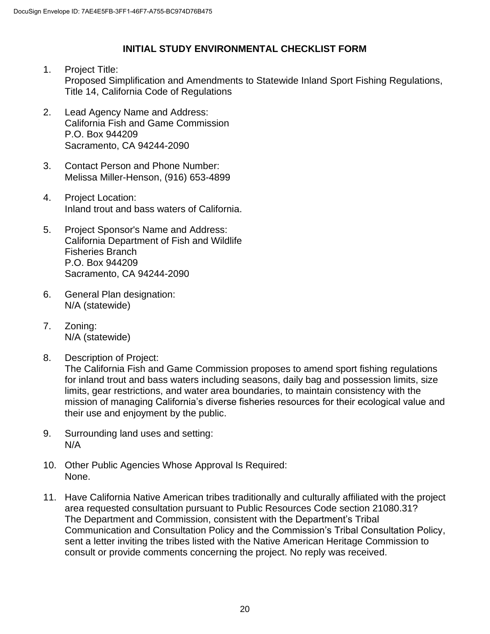#### **INITIAL STUDY ENVIRONMENTAL CHECKLIST FORM**

- 1. Project Title: Proposed Simplification and Amendments to Statewide Inland Sport Fishing Regulations, Title 14, California Code of Regulations
- 2. Lead Agency Name and Address: California Fish and Game Commission P.O. Box 944209 Sacramento, CA 94244-2090
- 3. Contact Person and Phone Number: Melissa Miller-Henson, (916) 653-4899
- 4. Project Location: Inland trout and bass waters of California.
- 5. Project Sponsor's Name and Address: California Department of Fish and Wildlife Fisheries Branch P.O. Box 944209 Sacramento, CA 94244-2090
- 6. General Plan designation: N/A (statewide)
- 7. Zoning: N/A (statewide)
- 8. Description of Project: The California Fish and Game Commission proposes to amend sport fishing regulations for inland trout and bass waters including seasons, daily bag and possession limits, size limits, gear restrictions, and water area boundaries, to maintain consistency with the mission of managing California's diverse fisheries resources for their ecological value and their use and enjoyment by the public.
- 9. Surrounding land uses and setting: N/A
- 10. Other Public Agencies Whose Approval Is Required: None.
- 11. Have California Native American tribes traditionally and culturally affiliated with the project area requested consultation pursuant to Public Resources Code section 21080.31? The Department and Commission, consistent with the Department's Tribal Communication and Consultation Policy and the Commission's Tribal Consultation Policy, sent a letter inviting the tribes listed with the Native American Heritage Commission to consult or provide comments concerning the project. No reply was received.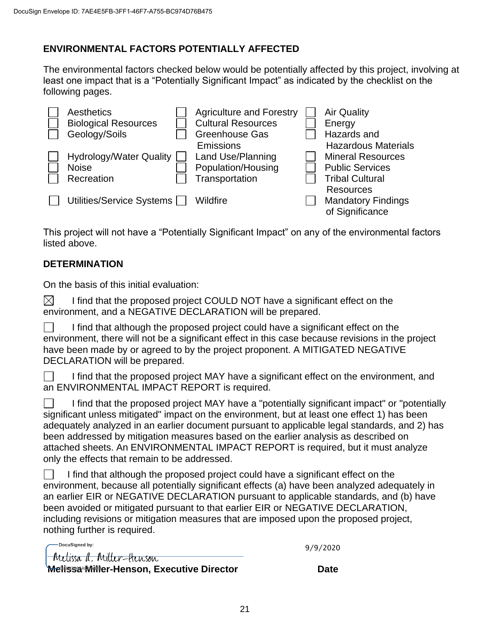## **ENVIRONMENTAL FACTORS POTENTIALLY AFFECTED**

The environmental factors checked below would be potentially affected by this project, involving at least one impact that is a "Potentially Significant Impact" as indicated by the checklist on the following pages.

| Aesthetics                     | <b>Agriculture and Forestry</b> | <b>Air Quality</b>         |
|--------------------------------|---------------------------------|----------------------------|
| <b>Biological Resources</b>    | <b>Cultural Resources</b>       | Energy                     |
| Geology/Soils                  | <b>Greenhouse Gas</b>           | Hazards and                |
|                                | Emissions                       | <b>Hazardous Materials</b> |
| <b>Hydrology/Water Quality</b> | Land Use/Planning               | <b>Mineral Resources</b>   |
| <b>Noise</b>                   | Population/Housing              | <b>Public Services</b>     |
| Recreation                     | Transportation                  | <b>Tribal Cultural</b>     |
|                                |                                 | <b>Resources</b>           |
| Utilities/Service Systems [    | Wildfire                        | <b>Mandatory Findings</b>  |
|                                |                                 | of Significance            |

This project will not have a "Potentially Significant Impact" on any of the environmental factors listed above.

## **DETERMINATION**

On the basis of this initial evaluation:

 $\boxtimes$ I find that the proposed project COULD NOT have a significant effect on the environment, and a NEGATIVE DECLARATION will be prepared.

 $\Box$ I find that although the proposed project could have a significant effect on the environment, there will not be a significant effect in this case because revisions in the project have been made by or agreed to by the project proponent. A MITIGATED NEGATIVE DECLARATION will be prepared.

I find that the proposed project MAY have a significant effect on the environment, and an ENVIRONMENTAL IMPACT REPORT is required.

I find that the proposed project MAY have a "potentially significant impact" or "potentially significant unless mitigated" impact on the environment, but at least one effect 1) has been adequately analyzed in an earlier document pursuant to applicable legal standards, and 2) has been addressed by mitigation measures based on the earlier analysis as described on attached sheets. An ENVIRONMENTAL IMPACT REPORT is required, but it must analyze only the effects that remain to be addressed.

I find that although the proposed project could have a significant effect on the environment, because all potentially significant effects (a) have been analyzed adequately in an earlier EIR or NEGATIVE DECLARATION pursuant to applicable standards, and (b) have been avoided or mitigated pursuant to that earlier EIR or NEGATIVE DECLARATION, including revisions or mitigation measures that are imposed upon the proposed project, nothing further is required.

| <b>Melissa Miller-Henson, Executive Director</b> | Date     |
|--------------------------------------------------|----------|
| <u> Metissa d. Miller-Henson</u>                 |          |
| DocuSianed by:                                   | 9/9/2020 |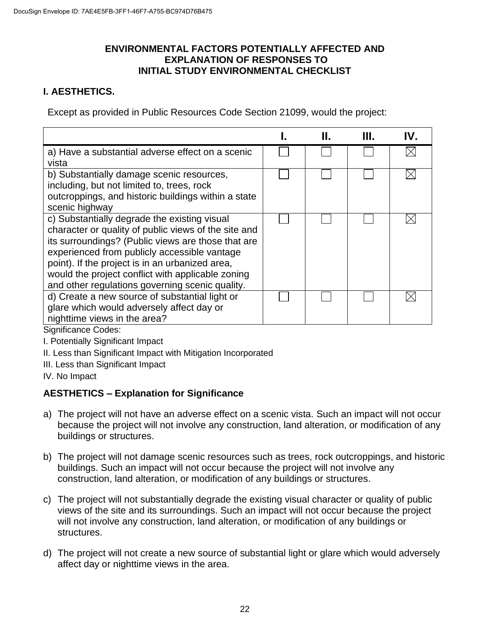#### **ENVIRONMENTAL FACTORS POTENTIALLY AFFECTED AND EXPLANATION OF RESPONSES TO INITIAL STUDY ENVIRONMENTAL CHECKLIST**

## **I. AESTHETICS.**

Except as provided in Public Resources Code Section 21099, would the project:

|                                                      | Н. | Ш. | IV. |
|------------------------------------------------------|----|----|-----|
| a) Have a substantial adverse effect on a scenic     |    |    |     |
| vista                                                |    |    |     |
| b) Substantially damage scenic resources,            |    |    |     |
| including, but not limited to, trees, rock           |    |    |     |
| outcroppings, and historic buildings within a state  |    |    |     |
| scenic highway                                       |    |    |     |
| c) Substantially degrade the existing visual         |    |    |     |
| character or quality of public views of the site and |    |    |     |
| its surroundings? (Public views are those that are   |    |    |     |
| experienced from publicly accessible vantage         |    |    |     |
| point). If the project is in an urbanized area,      |    |    |     |
| would the project conflict with applicable zoning    |    |    |     |
| and other regulations governing scenic quality.      |    |    |     |
| d) Create a new source of substantial light or       |    |    |     |
| glare which would adversely affect day or            |    |    |     |
| nighttime views in the area?                         |    |    |     |
| $\sim$ $\sim$ $\sim$ $\sim$                          |    |    |     |

Significance Codes:

I. Potentially Significant Impact

- II. Less than Significant Impact with Mitigation Incorporated
- III. Less than Significant Impact

IV. No Impact

## **AESTHETICS – Explanation for Significance**

- a) The project will not have an adverse effect on a scenic vista. Such an impact will not occur because the project will not involve any construction, land alteration, or modification of any buildings or structures.
- b) The project will not damage scenic resources such as trees, rock outcroppings, and historic buildings. Such an impact will not occur because the project will not involve any construction, land alteration, or modification of any buildings or structures.
- c) The project will not substantially degrade the existing visual character or quality of public views of the site and its surroundings. Such an impact will not occur because the project will not involve any construction, land alteration, or modification of any buildings or structures.
- d) The project will not create a new source of substantial light or glare which would adversely affect day or nighttime views in the area.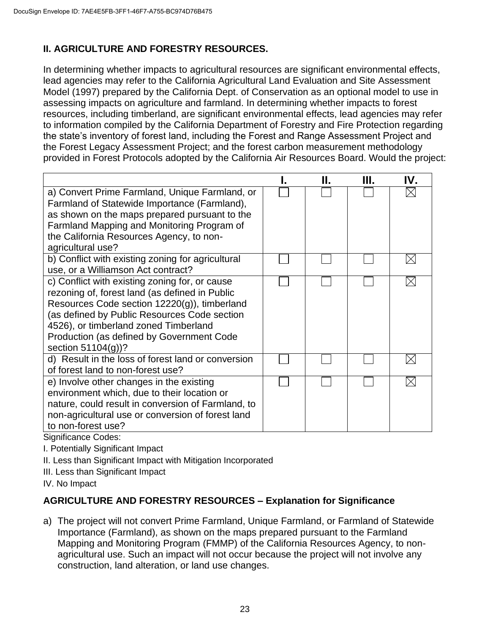# **II. AGRICULTURE AND FORESTRY RESOURCES.**

In determining whether impacts to agricultural resources are significant environmental effects, lead agencies may refer to the California Agricultural Land Evaluation and Site Assessment Model (1997) prepared by the California Dept. of Conservation as an optional model to use in assessing impacts on agriculture and farmland. In determining whether impacts to forest resources, including timberland, are significant environmental effects, lead agencies may refer to information compiled by the California Department of Forestry and Fire Protection regarding the state's inventory of forest land, including the Forest and Range Assessment Project and the Forest Legacy Assessment Project; and the forest carbon measurement methodology provided in Forest Protocols adopted by the California Air Resources Board. Would the project:

|                                                                                                | Н. | Ш. | IV. |
|------------------------------------------------------------------------------------------------|----|----|-----|
| a) Convert Prime Farmland, Unique Farmland, or<br>Farmland of Statewide Importance (Farmland), |    |    |     |
| as shown on the maps prepared pursuant to the                                                  |    |    |     |
| Farmland Mapping and Monitoring Program of                                                     |    |    |     |
| the California Resources Agency, to non-                                                       |    |    |     |
| agricultural use?                                                                              |    |    |     |
| b) Conflict with existing zoning for agricultural                                              |    |    | IX  |
| use, or a Williamson Act contract?                                                             |    |    |     |
| c) Conflict with existing zoning for, or cause                                                 |    |    |     |
| rezoning of, forest land (as defined in Public                                                 |    |    |     |
| Resources Code section 12220(g)), timberland                                                   |    |    |     |
| (as defined by Public Resources Code section                                                   |    |    |     |
| 4526), or timberland zoned Timberland                                                          |    |    |     |
| Production (as defined by Government Code                                                      |    |    |     |
| section $51104(g)$ ?                                                                           |    |    |     |
| d) Result in the loss of forest land or conversion                                             |    |    |     |
| of forest land to non-forest use?                                                              |    |    |     |
| e) Involve other changes in the existing                                                       |    |    |     |
| environment which, due to their location or                                                    |    |    |     |
| nature, could result in conversion of Farmland, to                                             |    |    |     |
| non-agricultural use or conversion of forest land                                              |    |    |     |
| to non-forest use?                                                                             |    |    |     |

Significance Codes:

I. Potentially Significant Impact

- II. Less than Significant Impact with Mitigation Incorporated
- III. Less than Significant Impact

IV. No Impact

## **AGRICULTURE AND FORESTRY RESOURCES – Explanation for Significance**

a) The project will not convert Prime Farmland, Unique Farmland, or Farmland of Statewide Importance (Farmland), as shown on the maps prepared pursuant to the Farmland Mapping and Monitoring Program (FMMP) of the California Resources Agency, to nonagricultural use. Such an impact will not occur because the project will not involve any construction, land alteration, or land use changes.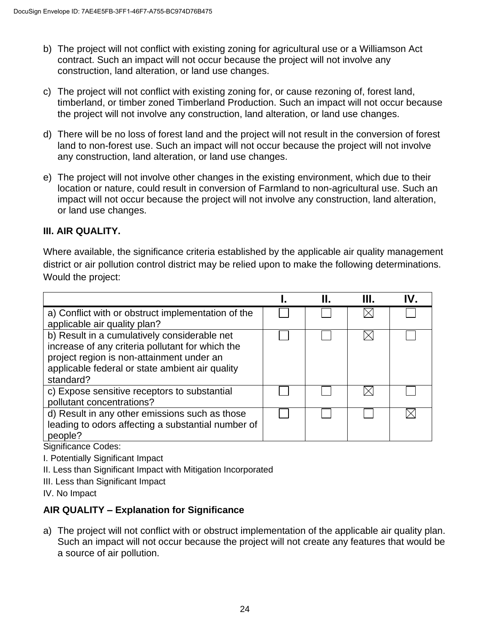- b) The project will not conflict with existing zoning for agricultural use or a Williamson Act contract. Such an impact will not occur because the project will not involve any construction, land alteration, or land use changes.
- c) The project will not conflict with existing zoning for, or cause rezoning of, forest land, timberland, or timber zoned Timberland Production. Such an impact will not occur because the project will not involve any construction, land alteration, or land use changes.
- d) There will be no loss of forest land and the project will not result in the conversion of forest land to non-forest use. Such an impact will not occur because the project will not involve any construction, land alteration, or land use changes.
- e) The project will not involve other changes in the existing environment, which due to their location or nature, could result in conversion of Farmland to non-agricultural use. Such an impact will not occur because the project will not involve any construction, land alteration, or land use changes.

## **III. AIR QUALITY.**

Where available, the significance criteria established by the applicable air quality management district or air pollution control district may be relied upon to make the following determinations. Would the project:

|                                                                                                                                                                                                               | Н. | Ш. | IV. |
|---------------------------------------------------------------------------------------------------------------------------------------------------------------------------------------------------------------|----|----|-----|
| a) Conflict with or obstruct implementation of the<br>applicable air quality plan?                                                                                                                            |    |    |     |
| b) Result in a cumulatively considerable net<br>increase of any criteria pollutant for which the<br>project region is non-attainment under an<br>applicable federal or state ambient air quality<br>standard? |    |    |     |
| c) Expose sensitive receptors to substantial<br>pollutant concentrations?                                                                                                                                     |    |    |     |
| d) Result in any other emissions such as those<br>leading to odors affecting a substantial number of<br>people?                                                                                               |    |    |     |

Significance Codes:

I. Potentially Significant Impact

II. Less than Significant Impact with Mitigation Incorporated

III. Less than Significant Impact

IV. No Impact

## **AIR QUALITY – Explanation for Significance**

a) The project will not conflict with or obstruct implementation of the applicable air quality plan. Such an impact will not occur because the project will not create any features that would be a source of air pollution.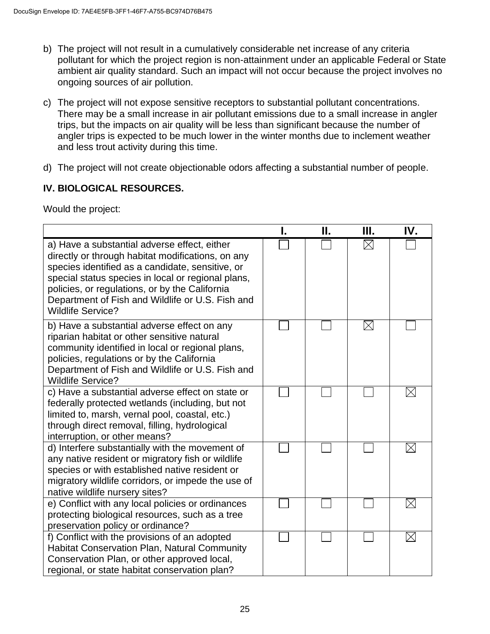- b) The project will not result in a cumulatively considerable net increase of any criteria pollutant for which the project region is non-attainment under an applicable Federal or State ambient air quality standard. Such an impact will not occur because the project involves no ongoing sources of air pollution.
- c) The project will not expose sensitive receptors to substantial pollutant concentrations. There may be a small increase in air pollutant emissions due to a small increase in angler trips, but the impacts on air quality will be less than significant because the number of angler trips is expected to be much lower in the winter months due to inclement weather and less trout activity during this time.
- d) The project will not create objectionable odors affecting a substantial number of people.

## **IV. BIOLOGICAL RESOURCES.**

Would the project:

|                                                                                                                                                                                                                                                                                                                                               | П. | Ш.          | IV.         |
|-----------------------------------------------------------------------------------------------------------------------------------------------------------------------------------------------------------------------------------------------------------------------------------------------------------------------------------------------|----|-------------|-------------|
| a) Have a substantial adverse effect, either<br>directly or through habitat modifications, on any<br>species identified as a candidate, sensitive, or<br>special status species in local or regional plans,<br>policies, or regulations, or by the California<br>Department of Fish and Wildlife or U.S. Fish and<br><b>Wildlife Service?</b> |    | $\times$    |             |
| b) Have a substantial adverse effect on any<br>riparian habitat or other sensitive natural<br>community identified in local or regional plans,<br>policies, regulations or by the California<br>Department of Fish and Wildlife or U.S. Fish and<br><b>Wildlife Service?</b>                                                                  |    | $\boxtimes$ |             |
| c) Have a substantial adverse effect on state or<br>federally protected wetlands (including, but not<br>limited to, marsh, vernal pool, coastal, etc.)<br>through direct removal, filling, hydrological<br>interruption, or other means?                                                                                                      |    |             | $\boxtimes$ |
| d) Interfere substantially with the movement of<br>any native resident or migratory fish or wildlife<br>species or with established native resident or<br>migratory wildlife corridors, or impede the use of<br>native wildlife nursery sites?                                                                                                |    |             |             |
| e) Conflict with any local policies or ordinances<br>protecting biological resources, such as a tree<br>preservation policy or ordinance?                                                                                                                                                                                                     |    |             | $\boxtimes$ |
| f) Conflict with the provisions of an adopted<br><b>Habitat Conservation Plan, Natural Community</b><br>Conservation Plan, or other approved local,<br>regional, or state habitat conservation plan?                                                                                                                                          |    |             | $\boxtimes$ |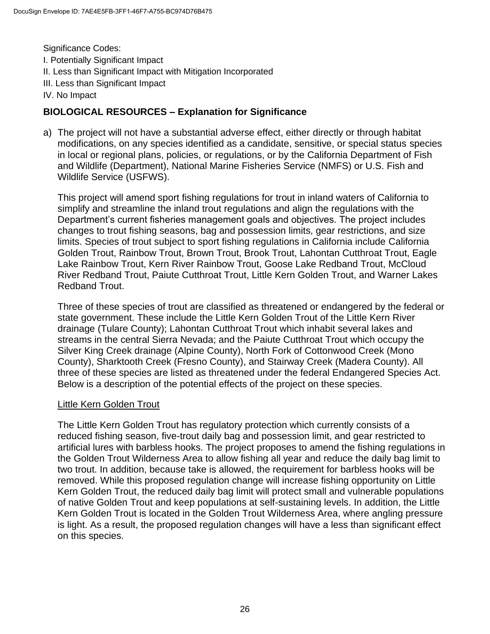Significance Codes: I. Potentially Significant Impact II. Less than Significant Impact with Mitigation Incorporated III. Less than Significant Impact IV. No Impact

## **BIOLOGICAL RESOURCES – Explanation for Significance**

a) The project will not have a substantial adverse effect, either directly or through habitat modifications, on any species identified as a candidate, sensitive, or special status species in local or regional plans, policies, or regulations, or by the California Department of Fish and Wildlife (Department), National Marine Fisheries Service (NMFS) or U.S. Fish and Wildlife Service (USFWS).

This project will amend sport fishing regulations for trout in inland waters of California to simplify and streamline the inland trout regulations and align the regulations with the Department's current fisheries management goals and objectives. The project includes changes to trout fishing seasons, bag and possession limits, gear restrictions, and size limits. Species of trout subject to sport fishing regulations in California include California Golden Trout, Rainbow Trout, Brown Trout, Brook Trout, Lahontan Cutthroat Trout, Eagle Lake Rainbow Trout, Kern River Rainbow Trout, Goose Lake Redband Trout, McCloud River Redband Trout, Paiute Cutthroat Trout, Little Kern Golden Trout, and Warner Lakes Redband Trout.

Three of these species of trout are classified as threatened or endangered by the federal or state government. These include the Little Kern Golden Trout of the Little Kern River drainage (Tulare County); Lahontan Cutthroat Trout which inhabit several lakes and streams in the central Sierra Nevada; and the Paiute Cutthroat Trout which occupy the Silver King Creek drainage (Alpine County), North Fork of Cottonwood Creek (Mono County), Sharktooth Creek (Fresno County), and Stairway Creek (Madera County). All three of these species are listed as threatened under the federal Endangered Species Act. Below is a description of the potential effects of the project on these species.

#### Little Kern Golden Trout

The Little Kern Golden Trout has regulatory protection which currently consists of a reduced fishing season, five-trout daily bag and possession limit, and gear restricted to artificial lures with barbless hooks. The project proposes to amend the fishing regulations in the Golden Trout Wilderness Area to allow fishing all year and reduce the daily bag limit to two trout. In addition, because take is allowed, the requirement for barbless hooks will be removed. While this proposed regulation change will increase fishing opportunity on Little Kern Golden Trout, the reduced daily bag limit will protect small and vulnerable populations of native Golden Trout and keep populations at self-sustaining levels. In addition, the Little Kern Golden Trout is located in the Golden Trout Wilderness Area, where angling pressure is light. As a result, the proposed regulation changes will have a less than significant effect on this species.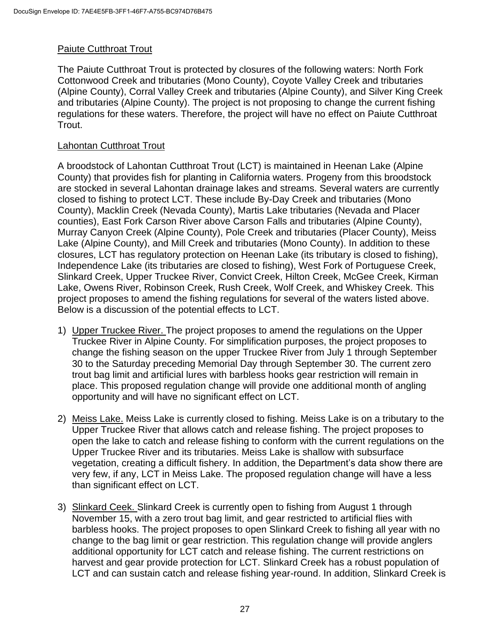#### Paiute Cutthroat Trout

The Paiute Cutthroat Trout is protected by closures of the following waters: North Fork Cottonwood Creek and tributaries (Mono County), Coyote Valley Creek and tributaries (Alpine County), Corral Valley Creek and tributaries (Alpine County), and Silver King Creek and tributaries (Alpine County). The project is not proposing to change the current fishing regulations for these waters. Therefore, the project will have no effect on Paiute Cutthroat Trout.

#### Lahontan Cutthroat Trout

A broodstock of Lahontan Cutthroat Trout (LCT) is maintained in Heenan Lake (Alpine County) that provides fish for planting in California waters. Progeny from this broodstock are stocked in several Lahontan drainage lakes and streams. Several waters are currently closed to fishing to protect LCT. These include By-Day Creek and tributaries (Mono County), Macklin Creek (Nevada County), Martis Lake tributaries (Nevada and Placer counties), East Fork Carson River above Carson Falls and tributaries (Alpine County), Murray Canyon Creek (Alpine County), Pole Creek and tributaries (Placer County), Meiss Lake (Alpine County), and Mill Creek and tributaries (Mono County). In addition to these closures, LCT has regulatory protection on Heenan Lake (its tributary is closed to fishing), Independence Lake (its tributaries are closed to fishing), West Fork of Portuguese Creek, Slinkard Creek, Upper Truckee River, Convict Creek, Hilton Creek, McGee Creek, Kirman Lake, Owens River, Robinson Creek, Rush Creek, Wolf Creek, and Whiskey Creek. This project proposes to amend the fishing regulations for several of the waters listed above. Below is a discussion of the potential effects to LCT.

- 1) Upper Truckee River. The project proposes to amend the regulations on the Upper Truckee River in Alpine County. For simplification purposes, the project proposes to change the fishing season on the upper Truckee River from July 1 through September 30 to the Saturday preceding Memorial Day through September 30. The current zero trout bag limit and artificial lures with barbless hooks gear restriction will remain in place. This proposed regulation change will provide one additional month of angling opportunity and will have no significant effect on LCT.
- 2) Meiss Lake. Meiss Lake is currently closed to fishing. Meiss Lake is on a tributary to the Upper Truckee River that allows catch and release fishing. The project proposes to open the lake to catch and release fishing to conform with the current regulations on the Upper Truckee River and its tributaries. Meiss Lake is shallow with subsurface vegetation, creating a difficult fishery. In addition, the Department's data show there are very few, if any, LCT in Meiss Lake. The proposed regulation change will have a less than significant effect on LCT.
- 3) Slinkard Ceek. Slinkard Creek is currently open to fishing from August 1 through November 15, with a zero trout bag limit, and gear restricted to artificial flies with barbless hooks. The project proposes to open Slinkard Creek to fishing all year with no change to the bag limit or gear restriction. This regulation change will provide anglers additional opportunity for LCT catch and release fishing. The current restrictions on harvest and gear provide protection for LCT. Slinkard Creek has a robust population of LCT and can sustain catch and release fishing year-round. In addition, Slinkard Creek is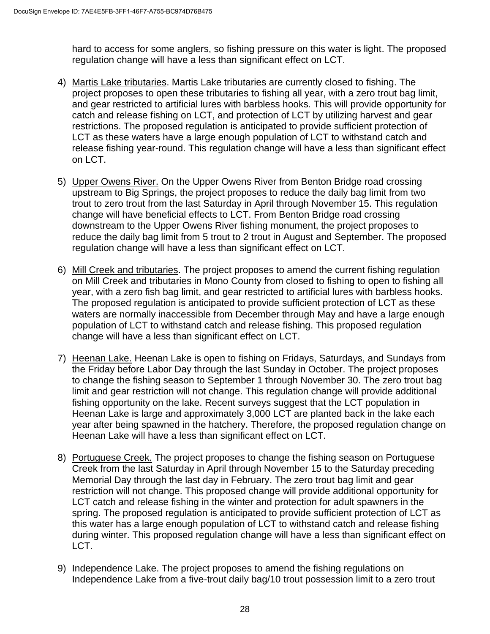hard to access for some anglers, so fishing pressure on this water is light. The proposed regulation change will have a less than significant effect on LCT.

- 4) Martis Lake tributaries. Martis Lake tributaries are currently closed to fishing. The project proposes to open these tributaries to fishing all year, with a zero trout bag limit, and gear restricted to artificial lures with barbless hooks. This will provide opportunity for catch and release fishing on LCT, and protection of LCT by utilizing harvest and gear restrictions. The proposed regulation is anticipated to provide sufficient protection of LCT as these waters have a large enough population of LCT to withstand catch and release fishing year-round. This regulation change will have a less than significant effect on LCT.
- 5) Upper Owens River. On the Upper Owens River from Benton Bridge road crossing upstream to Big Springs, the project proposes to reduce the daily bag limit from two trout to zero trout from the last Saturday in April through November 15. This regulation change will have beneficial effects to LCT. From Benton Bridge road crossing downstream to the Upper Owens River fishing monument, the project proposes to reduce the daily bag limit from 5 trout to 2 trout in August and September. The proposed regulation change will have a less than significant effect on LCT.
- 6) Mill Creek and tributaries. The project proposes to amend the current fishing regulation on Mill Creek and tributaries in Mono County from closed to fishing to open to fishing all year, with a zero fish bag limit, and gear restricted to artificial lures with barbless hooks. The proposed regulation is anticipated to provide sufficient protection of LCT as these waters are normally inaccessible from December through May and have a large enough population of LCT to withstand catch and release fishing. This proposed regulation change will have a less than significant effect on LCT.
- 7) Heenan Lake. Heenan Lake is open to fishing on Fridays, Saturdays, and Sundays from the Friday before Labor Day through the last Sunday in October. The project proposes to change the fishing season to September 1 through November 30. The zero trout bag limit and gear restriction will not change. This regulation change will provide additional fishing opportunity on the lake. Recent surveys suggest that the LCT population in Heenan Lake is large and approximately 3,000 LCT are planted back in the lake each year after being spawned in the hatchery. Therefore, the proposed regulation change on Heenan Lake will have a less than significant effect on LCT.
- 8) Portuguese Creek. The project proposes to change the fishing season on Portuguese Creek from the last Saturday in April through November 15 to the Saturday preceding Memorial Day through the last day in February. The zero trout bag limit and gear restriction will not change. This proposed change will provide additional opportunity for LCT catch and release fishing in the winter and protection for adult spawners in the spring. The proposed regulation is anticipated to provide sufficient protection of LCT as this water has a large enough population of LCT to withstand catch and release fishing during winter. This proposed regulation change will have a less than significant effect on LCT.
- 9) Independence Lake. The project proposes to amend the fishing regulations on Independence Lake from a five-trout daily bag/10 trout possession limit to a zero trout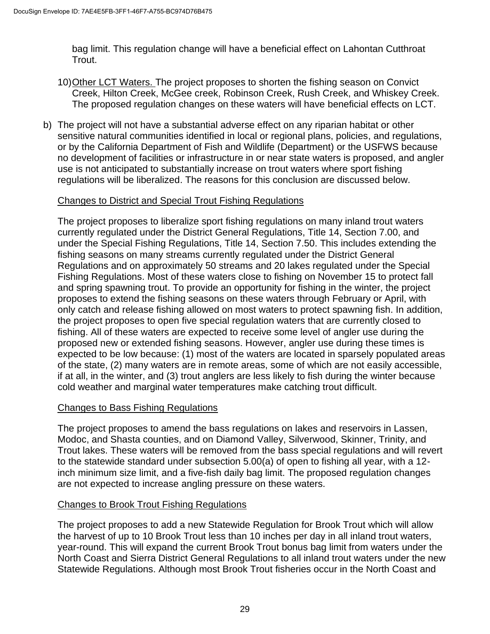bag limit. This regulation change will have a beneficial effect on Lahontan Cutthroat Trout.

- 10)Other LCT Waters. The project proposes to shorten the fishing season on Convict Creek, Hilton Creek, McGee creek, Robinson Creek, Rush Creek, and Whiskey Creek. The proposed regulation changes on these waters will have beneficial effects on LCT.
- b) The project will not have a substantial adverse effect on any riparian habitat or other sensitive natural communities identified in local or regional plans, policies, and regulations, or by the California Department of Fish and Wildlife (Department) or the USFWS because no development of facilities or infrastructure in or near state waters is proposed, and angler use is not anticipated to substantially increase on trout waters where sport fishing regulations will be liberalized. The reasons for this conclusion are discussed below.

#### Changes to District and Special Trout Fishing Regulations

The project proposes to liberalize sport fishing regulations on many inland trout waters currently regulated under the District General Regulations, Title 14, Section 7.00, and under the Special Fishing Regulations, Title 14, Section 7.50. This includes extending the fishing seasons on many streams currently regulated under the District General Regulations and on approximately 50 streams and 20 lakes regulated under the Special Fishing Regulations. Most of these waters close to fishing on November 15 to protect fall and spring spawning trout. To provide an opportunity for fishing in the winter, the project proposes to extend the fishing seasons on these waters through February or April, with only catch and release fishing allowed on most waters to protect spawning fish. In addition, the project proposes to open five special regulation waters that are currently closed to fishing. All of these waters are expected to receive some level of angler use during the proposed new or extended fishing seasons. However, angler use during these times is expected to be low because: (1) most of the waters are located in sparsely populated areas of the state, (2) many waters are in remote areas, some of which are not easily accessible, if at all, in the winter, and (3) trout anglers are less likely to fish during the winter because cold weather and marginal water temperatures make catching trout difficult.

#### Changes to Bass Fishing Regulations

The project proposes to amend the bass regulations on lakes and reservoirs in Lassen, Modoc, and Shasta counties, and on Diamond Valley, Silverwood, Skinner, Trinity, and Trout lakes. These waters will be removed from the bass special regulations and will revert to the statewide standard under subsection 5.00(a) of open to fishing all year, with a 12 inch minimum size limit, and a five-fish daily bag limit. The proposed regulation changes are not expected to increase angling pressure on these waters.

#### Changes to Brook Trout Fishing Regulations

The project proposes to add a new Statewide Regulation for Brook Trout which will allow the harvest of up to 10 Brook Trout less than 10 inches per day in all inland trout waters, year-round. This will expand the current Brook Trout bonus bag limit from waters under the North Coast and Sierra District General Regulations to all inland trout waters under the new Statewide Regulations. Although most Brook Trout fisheries occur in the North Coast and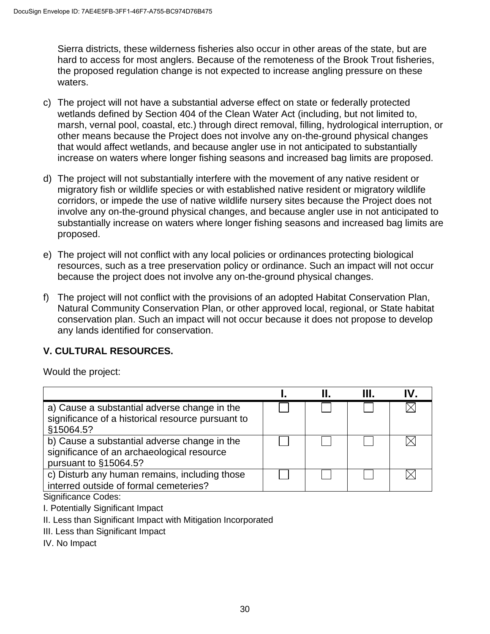Sierra districts, these wilderness fisheries also occur in other areas of the state, but are hard to access for most anglers. Because of the remoteness of the Brook Trout fisheries, the proposed regulation change is not expected to increase angling pressure on these waters.

- c) The project will not have a substantial adverse effect on state or federally protected wetlands defined by Section 404 of the Clean Water Act (including, but not limited to, marsh, vernal pool, coastal, etc.) through direct removal, filling, hydrological interruption, or other means because the Project does not involve any on-the-ground physical changes that would affect wetlands, and because angler use in not anticipated to substantially increase on waters where longer fishing seasons and increased bag limits are proposed.
- d) The project will not substantially interfere with the movement of any native resident or migratory fish or wildlife species or with established native resident or migratory wildlife corridors, or impede the use of native wildlife nursery sites because the Project does not involve any on-the-ground physical changes, and because angler use in not anticipated to substantially increase on waters where longer fishing seasons and increased bag limits are proposed.
- e) The project will not conflict with any local policies or ordinances protecting biological resources, such as a tree preservation policy or ordinance. Such an impact will not occur because the project does not involve any on-the-ground physical changes.
- f) The project will not conflict with the provisions of an adopted Habitat Conservation Plan, Natural Community Conservation Plan, or other approved local, regional, or State habitat conservation plan. Such an impact will not occur because it does not propose to develop any lands identified for conservation.

## **V. CULTURAL RESOURCES.**

Would the project:

|                                                                                                                     |  | III. | IV. |
|---------------------------------------------------------------------------------------------------------------------|--|------|-----|
| a) Cause a substantial adverse change in the<br>significance of a historical resource pursuant to<br>§15064.5?      |  |      |     |
| b) Cause a substantial adverse change in the<br>significance of an archaeological resource<br>pursuant to §15064.5? |  |      |     |
| c) Disturb any human remains, including those<br>interred outside of formal cemeteries?                             |  |      |     |

Significance Codes:

I. Potentially Significant Impact

II. Less than Significant Impact with Mitigation Incorporated

III. Less than Significant Impact

IV. No Impact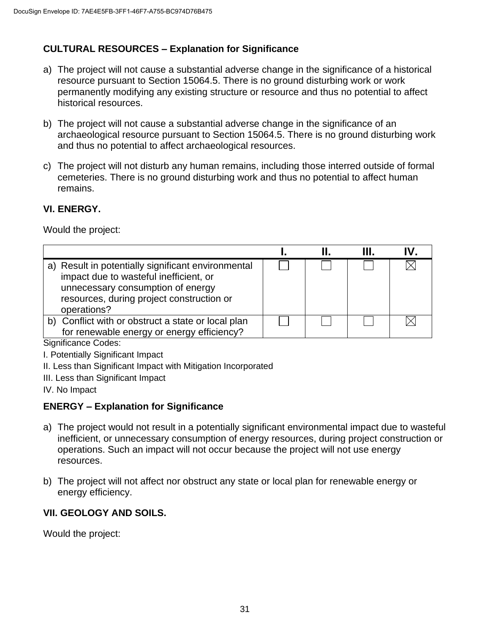# **CULTURAL RESOURCES – Explanation for Significance**

- a) The project will not cause a substantial adverse change in the significance of a historical resource pursuant to Section 15064.5. There is no ground disturbing work or work permanently modifying any existing structure or resource and thus no potential to affect historical resources.
- b) The project will not cause a substantial adverse change in the significance of an archaeological resource pursuant to Section 15064.5. There is no ground disturbing work and thus no potential to affect archaeological resources.
- c) The project will not disturb any human remains, including those interred outside of formal cemeteries. There is no ground disturbing work and thus no potential to affect human remains.

## **VI. ENERGY.**

Would the project:

|                                                                                                                                                                                               |  | IV. |
|-----------------------------------------------------------------------------------------------------------------------------------------------------------------------------------------------|--|-----|
| a) Result in potentially significant environmental<br>impact due to wasteful inefficient, or<br>unnecessary consumption of energy<br>resources, during project construction or<br>operations? |  |     |
| b) Conflict with or obstruct a state or local plan<br>for renewable energy or energy efficiency?                                                                                              |  |     |

Significance Codes:

- I. Potentially Significant Impact
- II. Less than Significant Impact with Mitigation Incorporated
- III. Less than Significant Impact
- IV. No Impact

## **ENERGY – Explanation for Significance**

- a) The project would not result in a potentially significant environmental impact due to wasteful inefficient, or unnecessary consumption of energy resources, during project construction or operations. Such an impact will not occur because the project will not use energy resources.
- b) The project will not affect nor obstruct any state or local plan for renewable energy or energy efficiency.

# **VII. GEOLOGY AND SOILS.**

Would the project: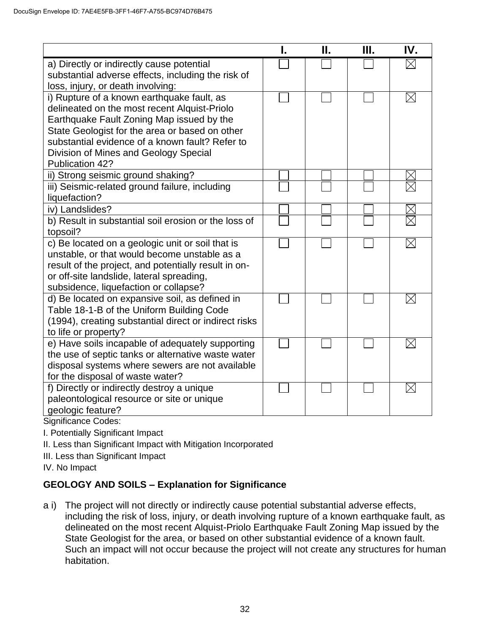|                                                                                                   | Н. | Ш. | IV.         |
|---------------------------------------------------------------------------------------------------|----|----|-------------|
| a) Directly or indirectly cause potential                                                         |    |    |             |
| substantial adverse effects, including the risk of                                                |    |    |             |
| loss, injury, or death involving:                                                                 |    |    |             |
| i) Rupture of a known earthquake fault, as                                                        |    |    | $\boxtimes$ |
| delineated on the most recent Alquist-Priolo                                                      |    |    |             |
| Earthquake Fault Zoning Map issued by the                                                         |    |    |             |
| State Geologist for the area or based on other                                                    |    |    |             |
| substantial evidence of a known fault? Refer to                                                   |    |    |             |
| Division of Mines and Geology Special                                                             |    |    |             |
| Publication 42?                                                                                   |    |    |             |
| ii) Strong seismic ground shaking?                                                                |    |    |             |
| iii) Seismic-related ground failure, including                                                    |    |    |             |
| liquefaction?                                                                                     |    |    |             |
| iv) Landslides?                                                                                   |    |    |             |
| b) Result in substantial soil erosion or the loss of                                              |    |    |             |
| topsoil?                                                                                          |    |    |             |
| c) Be located on a geologic unit or soil that is                                                  |    |    | $\times$    |
| unstable, or that would become unstable as a                                                      |    |    |             |
| result of the project, and potentially result in on-<br>or off-site landslide, lateral spreading, |    |    |             |
| subsidence, liquefaction or collapse?                                                             |    |    |             |
| d) Be located on expansive soil, as defined in                                                    |    |    | $\boxtimes$ |
| Table 18-1-B of the Uniform Building Code                                                         |    |    |             |
| (1994), creating substantial direct or indirect risks                                             |    |    |             |
| to life or property?                                                                              |    |    |             |
| e) Have soils incapable of adequately supporting                                                  |    |    | $\boxtimes$ |
| the use of septic tanks or alternative waste water                                                |    |    |             |
| disposal systems where sewers are not available                                                   |    |    |             |
| for the disposal of waste water?                                                                  |    |    |             |
| f) Directly or indirectly destroy a unique                                                        |    |    | $\boxtimes$ |
| paleontological resource or site or unique                                                        |    |    |             |
| geologic feature?                                                                                 |    |    |             |
|                                                                                                   |    |    |             |

Significance Codes:

I. Potentially Significant Impact

- II. Less than Significant Impact with Mitigation Incorporated
- III. Less than Significant Impact

IV. No Impact

## **GEOLOGY AND SOILS – Explanation for Significance**

a i) The project will not directly or indirectly cause potential substantial adverse effects, including the risk of loss, injury, or death involving rupture of a known earthquake fault, as delineated on the most recent Alquist-Priolo Earthquake Fault Zoning Map issued by the State Geologist for the area, or based on other substantial evidence of a known fault. Such an impact will not occur because the project will not create any structures for human habitation.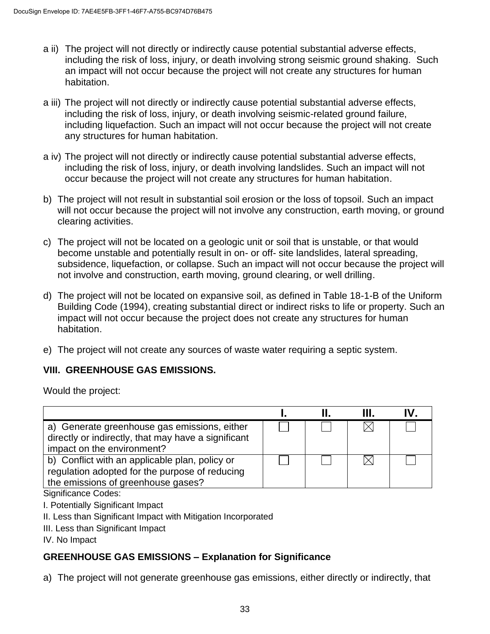- a ii) The project will not directly or indirectly cause potential substantial adverse effects, including the risk of loss, injury, or death involving strong seismic ground shaking. Such an impact will not occur because the project will not create any structures for human habitation.
- a iii) The project will not directly or indirectly cause potential substantial adverse effects, including the risk of loss, injury, or death involving seismic-related ground failure, including liquefaction. Such an impact will not occur because the project will not create any structures for human habitation.
- a iv) The project will not directly or indirectly cause potential substantial adverse effects, including the risk of loss, injury, or death involving landslides. Such an impact will not occur because the project will not create any structures for human habitation.
- b) The project will not result in substantial soil erosion or the loss of topsoil. Such an impact will not occur because the project will not involve any construction, earth moving, or ground clearing activities.
- c) The project will not be located on a geologic unit or soil that is unstable, or that would become unstable and potentially result in on- or off- site landslides, lateral spreading, subsidence, liquefaction, or collapse. Such an impact will not occur because the project will not involve and construction, earth moving, ground clearing, or well drilling.
- d) The project will not be located on expansive soil, as defined in Table 18-1-B of the Uniform Building Code (1994), creating substantial direct or indirect risks to life or property. Such an impact will not occur because the project does not create any structures for human habitation.
- e) The project will not create any sources of waste water requiring a septic system.

## **VIII. GREENHOUSE GAS EMISSIONS.**

Would the project:

| a) Generate greenhouse gas emissions, either<br>directly or indirectly, that may have a significant<br>impact on the environment?      |  |  |
|----------------------------------------------------------------------------------------------------------------------------------------|--|--|
| b) Conflict with an applicable plan, policy or<br>regulation adopted for the purpose of reducing<br>the emissions of greenhouse gases? |  |  |

Significance Codes:

- I. Potentially Significant Impact
- II. Less than Significant Impact with Mitigation Incorporated
- III. Less than Significant Impact

IV. No Impact

## **GREENHOUSE GAS EMISSIONS – Explanation for Significance**

a) The project will not generate greenhouse gas emissions, either directly or indirectly, that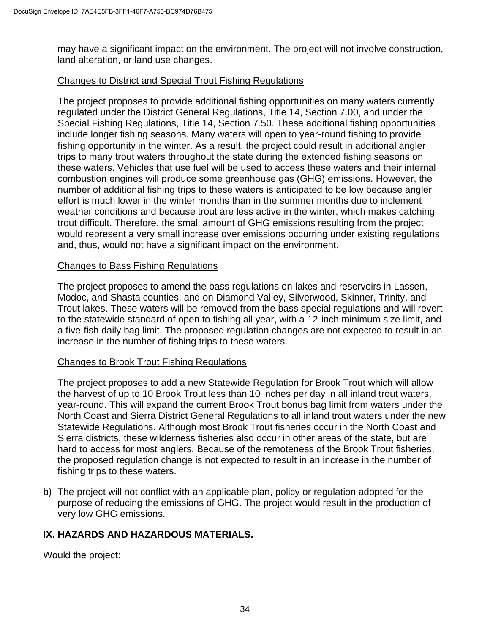may have a significant impact on the environment. The project will not involve construction, land alteration, or land use changes.

#### Changes to District and Special Trout Fishing Regulations

The project proposes to provide additional fishing opportunities on many waters currently regulated under the District General Regulations, Title 14, Section 7.00, and under the Special Fishing Regulations, Title 14, Section 7.50. These additional fishing opportunities include longer fishing seasons. Many waters will open to year-round fishing to provide fishing opportunity in the winter. As a result, the project could result in additional angler trips to many trout waters throughout the state during the extended fishing seasons on these waters. Vehicles that use fuel will be used to access these waters and their internal combustion engines will produce some greenhouse gas (GHG) emissions. However, the number of additional fishing trips to these waters is anticipated to be low because angler effort is much lower in the winter months than in the summer months due to inclement weather conditions and because trout are less active in the winter, which makes catching trout difficult. Therefore, the small amount of GHG emissions resulting from the project would represent a very small increase over emissions occurring under existing regulations and, thus, would not have a significant impact on the environment.

#### Changes to Bass Fishing Regulations

The project proposes to amend the bass regulations on lakes and reservoirs in Lassen, Modoc, and Shasta counties, and on Diamond Valley, Silverwood, Skinner, Trinity, and Trout lakes. These waters will be removed from the bass special regulations and will revert to the statewide standard of open to fishing all year, with a 12-inch minimum size limit, and a five-fish daily bag limit. The proposed regulation changes are not expected to result in an increase in the number of fishing trips to these waters.

#### Changes to Brook Trout Fishing Regulations

The project proposes to add a new Statewide Regulation for Brook Trout which will allow the harvest of up to 10 Brook Trout less than 10 inches per day in all inland trout waters, year-round. This will expand the current Brook Trout bonus bag limit from waters under the North Coast and Sierra District General Regulations to all inland trout waters under the new Statewide Regulations. Although most Brook Trout fisheries occur in the North Coast and Sierra districts, these wilderness fisheries also occur in other areas of the state, but are hard to access for most anglers. Because of the remoteness of the Brook Trout fisheries, the proposed regulation change is not expected to result in an increase in the number of fishing trips to these waters.

b) The project will not conflict with an applicable plan, policy or regulation adopted for the purpose of reducing the emissions of GHG. The project would result in the production of very low GHG emissions.

#### **IX. HAZARDS AND HAZARDOUS MATERIALS.**

Would the project: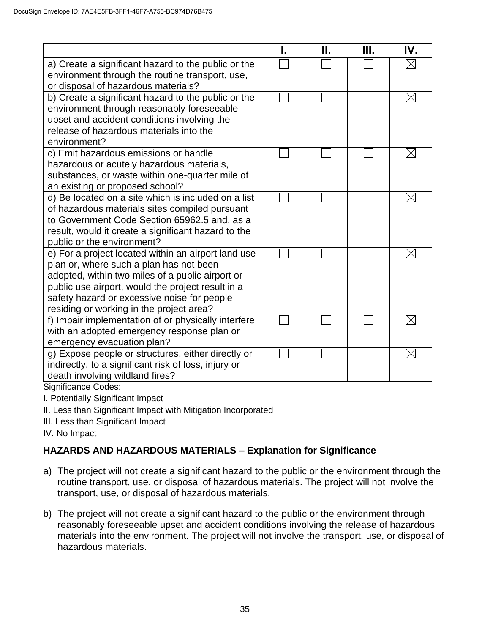|                                                                                                                                                                                                                                                                                                    | Н. | Ш. | IV.         |
|----------------------------------------------------------------------------------------------------------------------------------------------------------------------------------------------------------------------------------------------------------------------------------------------------|----|----|-------------|
| a) Create a significant hazard to the public or the<br>environment through the routine transport, use,<br>or disposal of hazardous materials?                                                                                                                                                      |    |    |             |
| b) Create a significant hazard to the public or the<br>environment through reasonably foreseeable<br>upset and accident conditions involving the<br>release of hazardous materials into the<br>environment?                                                                                        |    |    | $\times$    |
| c) Emit hazardous emissions or handle<br>hazardous or acutely hazardous materials,<br>substances, or waste within one-quarter mile of<br>an existing or proposed school?                                                                                                                           |    |    | $\boxtimes$ |
| d) Be located on a site which is included on a list<br>of hazardous materials sites compiled pursuant<br>to Government Code Section 65962.5 and, as a<br>result, would it create a significant hazard to the<br>public or the environment?                                                         |    |    | $\times$    |
| e) For a project located within an airport land use<br>plan or, where such a plan has not been<br>adopted, within two miles of a public airport or<br>public use airport, would the project result in a<br>safety hazard or excessive noise for people<br>residing or working in the project area? |    |    | $\boxtimes$ |
| f) Impair implementation of or physically interfere<br>with an adopted emergency response plan or<br>emergency evacuation plan?                                                                                                                                                                    |    |    |             |
| g) Expose people or structures, either directly or<br>indirectly, to a significant risk of loss, injury or<br>death involving wildland fires?                                                                                                                                                      |    |    | $\boxtimes$ |

Significance Codes:

I. Potentially Significant Impact

II. Less than Significant Impact with Mitigation Incorporated

III. Less than Significant Impact

IV. No Impact

## **HAZARDS AND HAZARDOUS MATERIALS – Explanation for Significance**

- a) The project will not create a significant hazard to the public or the environment through the routine transport, use, or disposal of hazardous materials. The project will not involve the transport, use, or disposal of hazardous materials.
- b) The project will not create a significant hazard to the public or the environment through reasonably foreseeable upset and accident conditions involving the release of hazardous materials into the environment. The project will not involve the transport, use, or disposal of hazardous materials.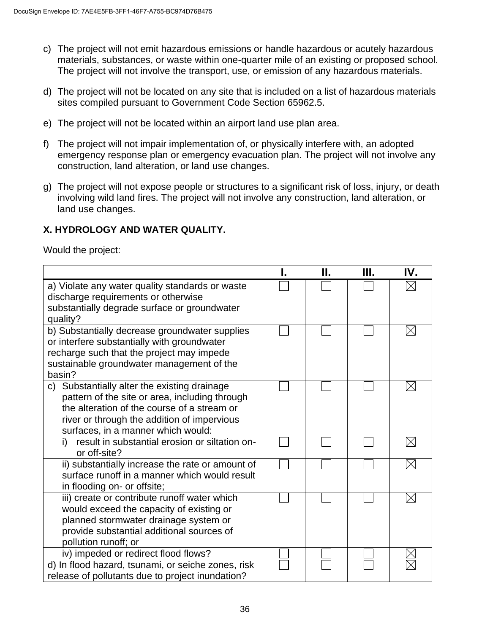- c) The project will not emit hazardous emissions or handle hazardous or acutely hazardous materials, substances, or waste within one-quarter mile of an existing or proposed school. The project will not involve the transport, use, or emission of any hazardous materials.
- d) The project will not be located on any site that is included on a list of hazardous materials sites compiled pursuant to Government Code Section 65962.5.
- e) The project will not be located within an airport land use plan area.
- f) The project will not impair implementation of, or physically interfere with, an adopted emergency response plan or emergency evacuation plan. The project will not involve any construction, land alteration, or land use changes.
- g) The project will not expose people or structures to a significant risk of loss, injury, or death involving wild land fires. The project will not involve any construction, land alteration, or land use changes.

### **X. HYDROLOGY AND WATER QUALITY.**

Would the project:

|                                                                                                                                                                                                                                    | Н. | Ш. | IV.         |
|------------------------------------------------------------------------------------------------------------------------------------------------------------------------------------------------------------------------------------|----|----|-------------|
| a) Violate any water quality standards or waste<br>discharge requirements or otherwise<br>substantially degrade surface or groundwater<br>quality?                                                                                 |    |    |             |
| b) Substantially decrease groundwater supplies<br>or interfere substantially with groundwater<br>recharge such that the project may impede<br>sustainable groundwater management of the<br>basin?                                  |    |    | $\boxtimes$ |
| c) Substantially alter the existing drainage<br>pattern of the site or area, including through<br>the alteration of the course of a stream or<br>river or through the addition of impervious<br>surfaces, in a manner which would: |    |    |             |
| result in substantial erosion or siltation on-<br>i)<br>or off-site?                                                                                                                                                               |    |    |             |
| ii) substantially increase the rate or amount of<br>surface runoff in a manner which would result<br>in flooding on- or offsite;                                                                                                   |    |    |             |
| iii) create or contribute runoff water which<br>would exceed the capacity of existing or<br>planned stormwater drainage system or<br>provide substantial additional sources of<br>pollution runoff; or                             |    |    |             |
| iv) impeded or redirect flood flows?                                                                                                                                                                                               |    |    |             |
| d) In flood hazard, tsunami, or seiche zones, risk<br>release of pollutants due to project inundation?                                                                                                                             |    |    |             |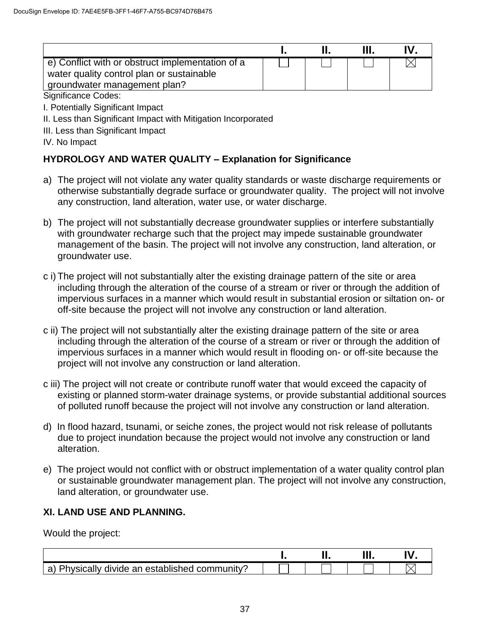| e) Conflict with or obstruct implementation of a<br>water quality control plan or sustainable<br>groundwater management plan? |  |  |
|-------------------------------------------------------------------------------------------------------------------------------|--|--|

Significance Codes:

I. Potentially Significant Impact

II. Less than Significant Impact with Mitigation Incorporated

III. Less than Significant Impact

IV. No Impact

### **HYDROLOGY AND WATER QUALITY – Explanation for Significance**

- a) The project will not violate any water quality standards or waste discharge requirements or otherwise substantially degrade surface or groundwater quality. The project will not involve any construction, land alteration, water use, or water discharge.
- b) The project will not substantially decrease groundwater supplies or interfere substantially with groundwater recharge such that the project may impede sustainable groundwater management of the basin. The project will not involve any construction, land alteration, or groundwater use.
- c i) The project will not substantially alter the existing drainage pattern of the site or area including through the alteration of the course of a stream or river or through the addition of impervious surfaces in a manner which would result in substantial erosion or siltation on- or off-site because the project will not involve any construction or land alteration.
- c ii) The project will not substantially alter the existing drainage pattern of the site or area including through the alteration of the course of a stream or river or through the addition of impervious surfaces in a manner which would result in flooding on- or off-site because the project will not involve any construction or land alteration.
- c iii) The project will not create or contribute runoff water that would exceed the capacity of existing or planned storm-water drainage systems, or provide substantial additional sources of polluted runoff because the project will not involve any construction or land alteration.
- d) In flood hazard, tsunami, or seiche zones, the project would not risk release of pollutants due to project inundation because the project would not involve any construction or land alteration.
- e) The project would not conflict with or obstruct implementation of a water quality control plan or sustainable groundwater management plan. The project will not involve any construction, land alteration, or groundwater use.

### **XI. LAND USE AND PLANNING.**

Would the project:

|                                                                                                   | <br>. | .<br>,,,, | n |
|---------------------------------------------------------------------------------------------------|-------|-----------|---|
| $\overline{\phantom{0}}$<br>⊦established communitv'<br>divide an<br>wsically<br>יאט .<br>. പ<br>ີ |       |           |   |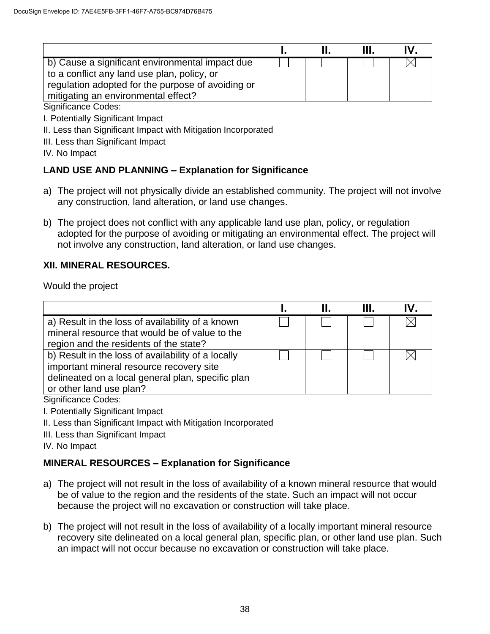|                                                                                                                                                                                            |  | IV |
|--------------------------------------------------------------------------------------------------------------------------------------------------------------------------------------------|--|----|
| b) Cause a significant environmental impact due<br>to a conflict any land use plan, policy, or<br>regulation adopted for the purpose of avoiding or<br>mitigating an environmental effect? |  |    |

#### Significance Codes:

I. Potentially Significant Impact

- II. Less than Significant Impact with Mitigation Incorporated
- III. Less than Significant Impact

IV. No Impact

### **LAND USE AND PLANNING – Explanation for Significance**

- a) The project will not physically divide an established community. The project will not involve any construction, land alteration, or land use changes.
- b) The project does not conflict with any applicable land use plan, policy, or regulation adopted for the purpose of avoiding or mitigating an environmental effect. The project will not involve any construction, land alteration, or land use changes.

#### **XII. MINERAL RESOURCES.**

Would the project

|                                                                                                                                                                                |  | Ш. | IV. |
|--------------------------------------------------------------------------------------------------------------------------------------------------------------------------------|--|----|-----|
| a) Result in the loss of availability of a known<br>mineral resource that would be of value to the<br>region and the residents of the state?                                   |  |    |     |
| b) Result in the loss of availability of a locally<br>important mineral resource recovery site<br>delineated on a local general plan, specific plan<br>or other land use plan? |  |    |     |

Significance Codes:

- I. Potentially Significant Impact
- II. Less than Significant Impact with Mitigation Incorporated
- III. Less than Significant Impact

IV. No Impact

### **MINERAL RESOURCES – Explanation for Significance**

- a) The project will not result in the loss of availability of a known mineral resource that would be of value to the region and the residents of the state. Such an impact will not occur because the project will no excavation or construction will take place.
- b) The project will not result in the loss of availability of a locally important mineral resource recovery site delineated on a local general plan, specific plan, or other land use plan. Such an impact will not occur because no excavation or construction will take place.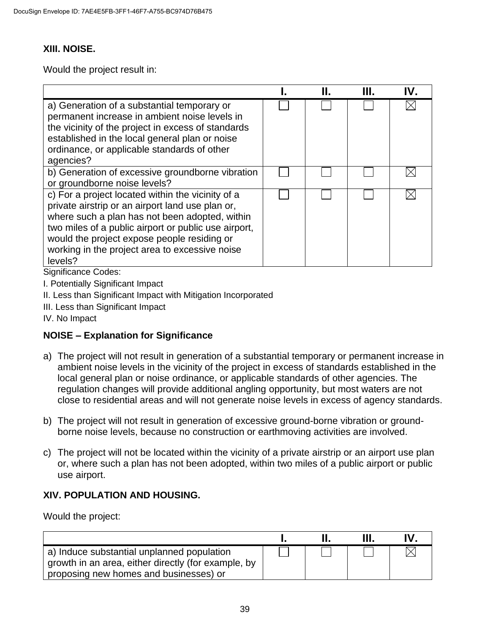#### **XIII. NOISE.**

Would the project result in:

|                                                                                                                                                                                                                                                                                                                             | Н. | Ш. | IV. |
|-----------------------------------------------------------------------------------------------------------------------------------------------------------------------------------------------------------------------------------------------------------------------------------------------------------------------------|----|----|-----|
| a) Generation of a substantial temporary or<br>permanent increase in ambient noise levels in<br>the vicinity of the project in excess of standards<br>established in the local general plan or noise<br>ordinance, or applicable standards of other<br>agencies?                                                            |    |    |     |
| b) Generation of excessive groundborne vibration<br>or groundborne noise levels?                                                                                                                                                                                                                                            |    |    |     |
| c) For a project located within the vicinity of a<br>private airstrip or an airport land use plan or,<br>where such a plan has not been adopted, within<br>two miles of a public airport or public use airport,<br>would the project expose people residing or<br>working in the project area to excessive noise<br>levels? |    |    |     |

Significance Codes:

- I. Potentially Significant Impact
- II. Less than Significant Impact with Mitigation Incorporated
- III. Less than Significant Impact
- IV. No Impact

### **NOISE – Explanation for Significance**

- a) The project will not result in generation of a substantial temporary or permanent increase in ambient noise levels in the vicinity of the project in excess of standards established in the local general plan or noise ordinance, or applicable standards of other agencies. The regulation changes will provide additional angling opportunity, but most waters are not close to residential areas and will not generate noise levels in excess of agency standards.
- b) The project will not result in generation of excessive ground-borne vibration or groundborne noise levels, because no construction or earthmoving activities are involved.
- c) The project will not be located within the vicinity of a private airstrip or an airport use plan or, where such a plan has not been adopted, within two miles of a public airport or public use airport.

### **XIV. POPULATION AND HOUSING.**

Would the project:

|                                                                                                                                             |  | $\mathbf{u}$ |
|---------------------------------------------------------------------------------------------------------------------------------------------|--|--------------|
| a) Induce substantial unplanned population<br>growth in an area, either directly (for example, by<br>proposing new homes and businesses) or |  |              |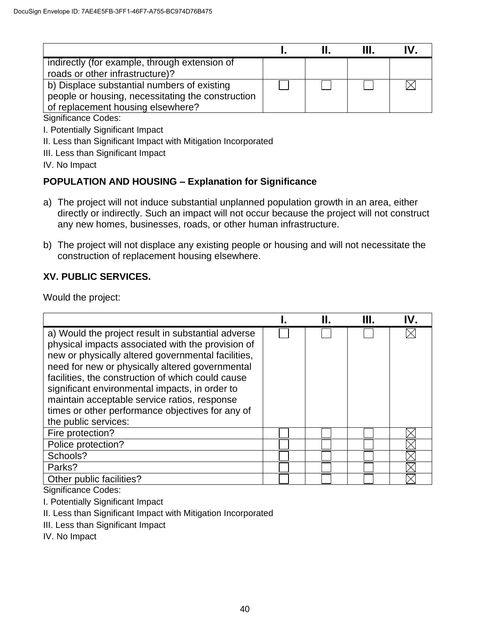| indirectly (for example, through extension of     |  |  |
|---------------------------------------------------|--|--|
| roads or other infrastructure)?                   |  |  |
| b) Displace substantial numbers of existing       |  |  |
| people or housing, necessitating the construction |  |  |
| of replacement housing elsewhere?                 |  |  |

Significance Codes:

I. Potentially Significant Impact

II. Less than Significant Impact with Mitigation Incorporated

III. Less than Significant Impact

IV. No Impact

## **POPULATION AND HOUSING – Explanation for Significance**

- a) The project will not induce substantial unplanned population growth in an area, either directly or indirectly. Such an impact will not occur because the project will not construct any new homes, businesses, roads, or other human infrastructure.
- b) The project will not displace any existing people or housing and will not necessitate the construction of replacement housing elsewhere.

### **XV. PUBLIC SERVICES.**

Would the project:

|                                                                                                                                                                                                                                                                                                                                                                                                                                                     |  | Ш. | IV. |
|-----------------------------------------------------------------------------------------------------------------------------------------------------------------------------------------------------------------------------------------------------------------------------------------------------------------------------------------------------------------------------------------------------------------------------------------------------|--|----|-----|
| a) Would the project result in substantial adverse<br>physical impacts associated with the provision of<br>new or physically altered governmental facilities,<br>need for new or physically altered governmental<br>facilities, the construction of which could cause<br>significant environmental impacts, in order to<br>maintain acceptable service ratios, response<br>times or other performance objectives for any of<br>the public services: |  |    |     |
| Fire protection?                                                                                                                                                                                                                                                                                                                                                                                                                                    |  |    |     |
| Police protection?                                                                                                                                                                                                                                                                                                                                                                                                                                  |  |    |     |
| Schools?                                                                                                                                                                                                                                                                                                                                                                                                                                            |  |    |     |
| Parks?                                                                                                                                                                                                                                                                                                                                                                                                                                              |  |    |     |
| Other public facilities?                                                                                                                                                                                                                                                                                                                                                                                                                            |  |    |     |

Significance Codes:

I. Potentially Significant Impact

II. Less than Significant Impact with Mitigation Incorporated

III. Less than Significant Impact

IV. No Impact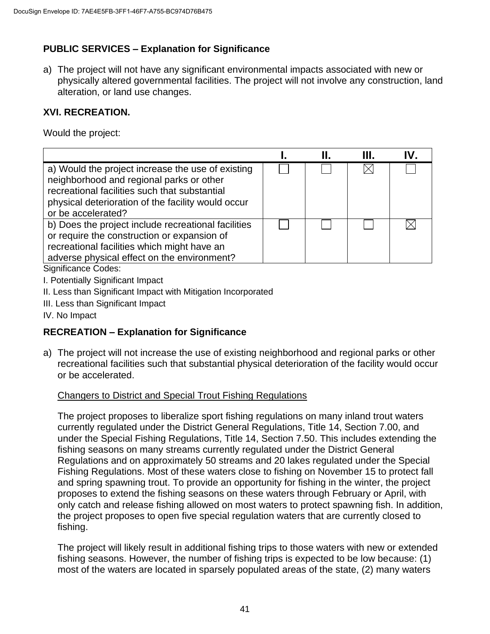# **PUBLIC SERVICES – Explanation for Significance**

a) The project will not have any significant environmental impacts associated with new or physically altered governmental facilities. The project will not involve any construction, land alteration, or land use changes.

### **XVI. RECREATION.**

Would the project:

|                                                                                                                                                                                                                            | Н. | Ш. | IV. |
|----------------------------------------------------------------------------------------------------------------------------------------------------------------------------------------------------------------------------|----|----|-----|
| a) Would the project increase the use of existing<br>neighborhood and regional parks or other<br>recreational facilities such that substantial<br>physical deterioration of the facility would occur<br>or be accelerated? |    |    |     |
| b) Does the project include recreational facilities<br>or require the construction or expansion of<br>recreational facilities which might have an<br>adverse physical effect on the environment?                           |    |    |     |
| Significance Codes:                                                                                                                                                                                                        |    |    |     |

I. Potentially Significant Impact

II. Less than Significant Impact with Mitigation Incorporated

III. Less than Significant Impact

IV. No Impact

# **RECREATION – Explanation for Significance**

a) The project will not increase the use of existing neighborhood and regional parks or other recreational facilities such that substantial physical deterioration of the facility would occur or be accelerated.

### Changers to District and Special Trout Fishing Regulations

The project proposes to liberalize sport fishing regulations on many inland trout waters currently regulated under the District General Regulations, Title 14, Section 7.00, and under the Special Fishing Regulations, Title 14, Section 7.50. This includes extending the fishing seasons on many streams currently regulated under the District General Regulations and on approximately 50 streams and 20 lakes regulated under the Special Fishing Regulations. Most of these waters close to fishing on November 15 to protect fall and spring spawning trout. To provide an opportunity for fishing in the winter, the project proposes to extend the fishing seasons on these waters through February or April, with only catch and release fishing allowed on most waters to protect spawning fish. In addition, the project proposes to open five special regulation waters that are currently closed to fishing.

The project will likely result in additional fishing trips to those waters with new or extended fishing seasons. However, the number of fishing trips is expected to be low because: (1) most of the waters are located in sparsely populated areas of the state, (2) many waters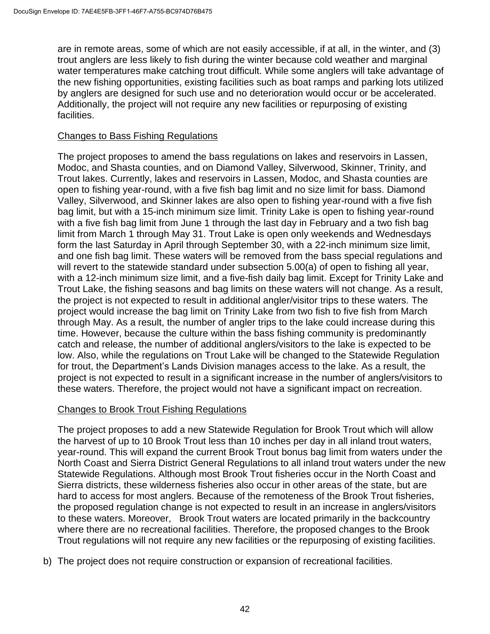are in remote areas, some of which are not easily accessible, if at all, in the winter, and (3) trout anglers are less likely to fish during the winter because cold weather and marginal water temperatures make catching trout difficult. While some anglers will take advantage of the new fishing opportunities, existing facilities such as boat ramps and parking lots utilized by anglers are designed for such use and no deterioration would occur or be accelerated. Additionally, the project will not require any new facilities or repurposing of existing facilities.

#### Changes to Bass Fishing Regulations

The project proposes to amend the bass regulations on lakes and reservoirs in Lassen, Modoc, and Shasta counties, and on Diamond Valley, Silverwood, Skinner, Trinity, and Trout lakes. Currently, lakes and reservoirs in Lassen, Modoc, and Shasta counties are open to fishing year-round, with a five fish bag limit and no size limit for bass. Diamond Valley, Silverwood, and Skinner lakes are also open to fishing year-round with a five fish bag limit, but with a 15-inch minimum size limit. Trinity Lake is open to fishing year-round with a five fish bag limit from June 1 through the last day in February and a two fish bag limit from March 1 through May 31. Trout Lake is open only weekends and Wednesdays form the last Saturday in April through September 30, with a 22-inch minimum size limit, and one fish bag limit. These waters will be removed from the bass special regulations and will revert to the statewide standard under subsection 5.00(a) of open to fishing all year, with a 12-inch minimum size limit, and a five-fish daily bag limit. Except for Trinity Lake and Trout Lake, the fishing seasons and bag limits on these waters will not change. As a result, the project is not expected to result in additional angler/visitor trips to these waters. The project would increase the bag limit on Trinity Lake from two fish to five fish from March through May. As a result, the number of angler trips to the lake could increase during this time. However, because the culture within the bass fishing community is predominantly catch and release, the number of additional anglers/visitors to the lake is expected to be low. Also, while the regulations on Trout Lake will be changed to the Statewide Regulation for trout, the Department's Lands Division manages access to the lake. As a result, the project is not expected to result in a significant increase in the number of anglers/visitors to these waters. Therefore, the project would not have a significant impact on recreation.

#### Changes to Brook Trout Fishing Regulations

The project proposes to add a new Statewide Regulation for Brook Trout which will allow the harvest of up to 10 Brook Trout less than 10 inches per day in all inland trout waters, year-round. This will expand the current Brook Trout bonus bag limit from waters under the North Coast and Sierra District General Regulations to all inland trout waters under the new Statewide Regulations. Although most Brook Trout fisheries occur in the North Coast and Sierra districts, these wilderness fisheries also occur in other areas of the state, but are hard to access for most anglers. Because of the remoteness of the Brook Trout fisheries, the proposed regulation change is not expected to result in an increase in anglers/visitors to these waters. Moreover, Brook Trout waters are located primarily in the backcountry where there are no recreational facilities. Therefore, the proposed changes to the Brook Trout regulations will not require any new facilities or the repurposing of existing facilities.

b) The project does not require construction or expansion of recreational facilities.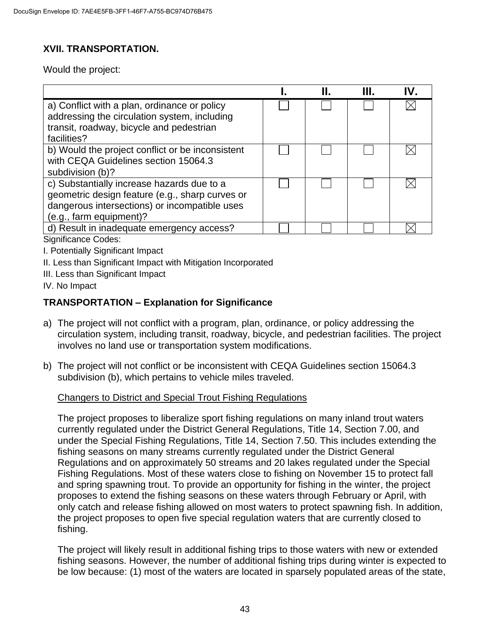# **XVII. TRANSPORTATION.**

Would the project:

|                                                                                                                                                                           |  | Ш. | IV. |
|---------------------------------------------------------------------------------------------------------------------------------------------------------------------------|--|----|-----|
| a) Conflict with a plan, ordinance or policy<br>addressing the circulation system, including<br>transit, roadway, bicycle and pedestrian<br>facilities?                   |  |    |     |
| b) Would the project conflict or be inconsistent<br>with CEQA Guidelines section 15064.3<br>subdivision (b)?                                                              |  |    |     |
| c) Substantially increase hazards due to a<br>geometric design feature (e.g., sharp curves or<br>dangerous intersections) or incompatible uses<br>(e.g., farm equipment)? |  |    | ΙX  |
| d) Result in inadequate emergency access?                                                                                                                                 |  |    |     |
| Significance Codes:                                                                                                                                                       |  |    |     |
| <b>I</b> Dotantially Cianificant Impact                                                                                                                                   |  |    |     |

I. Potentially Significant Impact

II. Less than Significant Impact with Mitigation Incorporated

III. Less than Significant Impact

IV. No Impact

### **TRANSPORTATION – Explanation for Significance**

- a) The project will not conflict with a program, plan, ordinance, or policy addressing the circulation system, including transit, roadway, bicycle, and pedestrian facilities. The project involves no land use or transportation system modifications.
- b) The project will not conflict or be inconsistent with CEQA Guidelines section 15064.3 subdivision (b), which pertains to vehicle miles traveled.

#### Changers to District and Special Trout Fishing Regulations

The project proposes to liberalize sport fishing regulations on many inland trout waters currently regulated under the District General Regulations, Title 14, Section 7.00, and under the Special Fishing Regulations, Title 14, Section 7.50. This includes extending the fishing seasons on many streams currently regulated under the District General Regulations and on approximately 50 streams and 20 lakes regulated under the Special Fishing Regulations. Most of these waters close to fishing on November 15 to protect fall and spring spawning trout. To provide an opportunity for fishing in the winter, the project proposes to extend the fishing seasons on these waters through February or April, with only catch and release fishing allowed on most waters to protect spawning fish. In addition, the project proposes to open five special regulation waters that are currently closed to fishing.

The project will likely result in additional fishing trips to those waters with new or extended fishing seasons. However, the number of additional fishing trips during winter is expected to be low because: (1) most of the waters are located in sparsely populated areas of the state,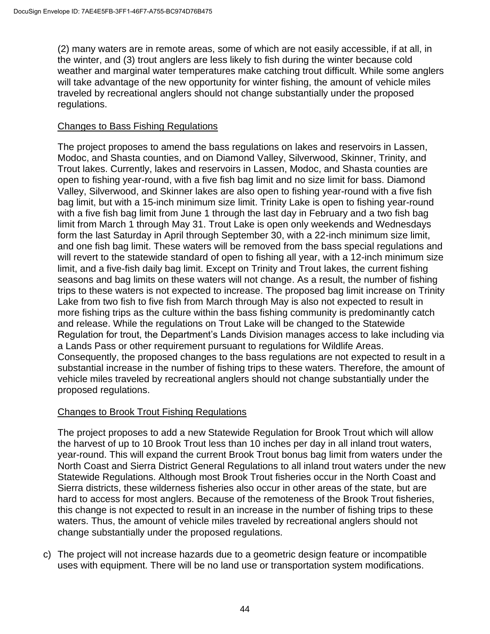(2) many waters are in remote areas, some of which are not easily accessible, if at all, in the winter, and (3) trout anglers are less likely to fish during the winter because cold weather and marginal water temperatures make catching trout difficult. While some anglers will take advantage of the new opportunity for winter fishing, the amount of vehicle miles traveled by recreational anglers should not change substantially under the proposed regulations.

#### Changes to Bass Fishing Regulations

The project proposes to amend the bass regulations on lakes and reservoirs in Lassen, Modoc, and Shasta counties, and on Diamond Valley, Silverwood, Skinner, Trinity, and Trout lakes. Currently, lakes and reservoirs in Lassen, Modoc, and Shasta counties are open to fishing year-round, with a five fish bag limit and no size limit for bass. Diamond Valley, Silverwood, and Skinner lakes are also open to fishing year-round with a five fish bag limit, but with a 15-inch minimum size limit. Trinity Lake is open to fishing year-round with a five fish bag limit from June 1 through the last day in February and a two fish bag limit from March 1 through May 31. Trout Lake is open only weekends and Wednesdays form the last Saturday in April through September 30, with a 22-inch minimum size limit, and one fish bag limit. These waters will be removed from the bass special regulations and will revert to the statewide standard of open to fishing all year, with a 12-inch minimum size limit, and a five-fish daily bag limit. Except on Trinity and Trout lakes, the current fishing seasons and bag limits on these waters will not change. As a result, the number of fishing trips to these waters is not expected to increase. The proposed bag limit increase on Trinity Lake from two fish to five fish from March through May is also not expected to result in more fishing trips as the culture within the bass fishing community is predominantly catch and release. While the regulations on Trout Lake will be changed to the Statewide Regulation for trout, the Department's Lands Division manages access to lake including via a Lands Pass or other requirement pursuant to regulations for Wildlife Areas. Consequently, the proposed changes to the bass regulations are not expected to result in a substantial increase in the number of fishing trips to these waters. Therefore, the amount of vehicle miles traveled by recreational anglers should not change substantially under the proposed regulations.

### Changes to Brook Trout Fishing Regulations

The project proposes to add a new Statewide Regulation for Brook Trout which will allow the harvest of up to 10 Brook Trout less than 10 inches per day in all inland trout waters, year-round. This will expand the current Brook Trout bonus bag limit from waters under the North Coast and Sierra District General Regulations to all inland trout waters under the new Statewide Regulations. Although most Brook Trout fisheries occur in the North Coast and Sierra districts, these wilderness fisheries also occur in other areas of the state, but are hard to access for most anglers. Because of the remoteness of the Brook Trout fisheries, this change is not expected to result in an increase in the number of fishing trips to these waters. Thus, the amount of vehicle miles traveled by recreational anglers should not change substantially under the proposed regulations.

c) The project will not increase hazards due to a geometric design feature or incompatible uses with equipment. There will be no land use or transportation system modifications.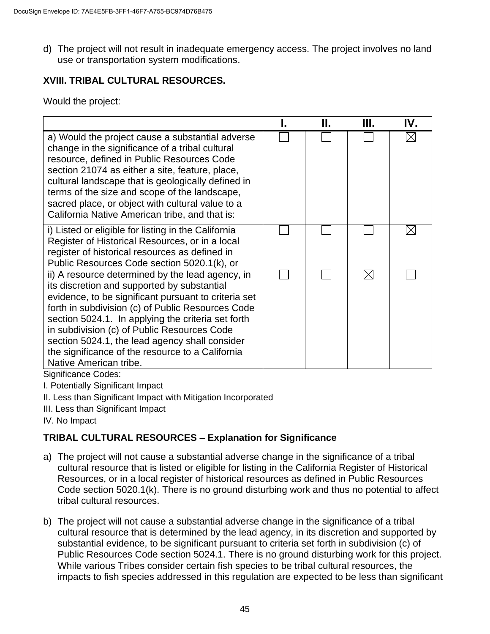d) The project will not result in inadequate emergency access. The project involves no land use or transportation system modifications.

## **XVIII. TRIBAL CULTURAL RESOURCES.**

Would the project:

|                                                                                                                                                                                                                                                                                                                                                                                                                                                                          | Н. | Ш.          | IV. |
|--------------------------------------------------------------------------------------------------------------------------------------------------------------------------------------------------------------------------------------------------------------------------------------------------------------------------------------------------------------------------------------------------------------------------------------------------------------------------|----|-------------|-----|
| a) Would the project cause a substantial adverse<br>change in the significance of a tribal cultural<br>resource, defined in Public Resources Code<br>section 21074 as either a site, feature, place,<br>cultural landscape that is geologically defined in<br>terms of the size and scope of the landscape,<br>sacred place, or object with cultural value to a<br>California Native American tribe, and that is:                                                        |    |             |     |
| i) Listed or eligible for listing in the California<br>Register of Historical Resources, or in a local<br>register of historical resources as defined in<br>Public Resources Code section 5020.1(k), or                                                                                                                                                                                                                                                                  |    |             |     |
| ii) A resource determined by the lead agency, in<br>its discretion and supported by substantial<br>evidence, to be significant pursuant to criteria set<br>forth in subdivision (c) of Public Resources Code<br>section 5024.1. In applying the criteria set forth<br>in subdivision (c) of Public Resources Code<br>section 5024.1, the lead agency shall consider<br>the significance of the resource to a California<br>Native American tribe.<br>Cianificanos Cadao: |    | $\boxtimes$ |     |

Significance Codes:

I. Potentially Significant Impact

II. Less than Significant Impact with Mitigation Incorporated

III. Less than Significant Impact

IV. No Impact

# **TRIBAL CULTURAL RESOURCES – Explanation for Significance**

- a) The project will not cause a substantial adverse change in the significance of a tribal cultural resource that is listed or eligible for listing in the California Register of Historical Resources, or in a local register of historical resources as defined in Public Resources Code section 5020.1(k). There is no ground disturbing work and thus no potential to affect tribal cultural resources.
- b) The project will not cause a substantial adverse change in the significance of a tribal cultural resource that is determined by the lead agency, in its discretion and supported by substantial evidence, to be significant pursuant to criteria set forth in subdivision (c) of Public Resources Code section 5024.1. There is no ground disturbing work for this project. While various Tribes consider certain fish species to be tribal cultural resources, the impacts to fish species addressed in this regulation are expected to be less than significant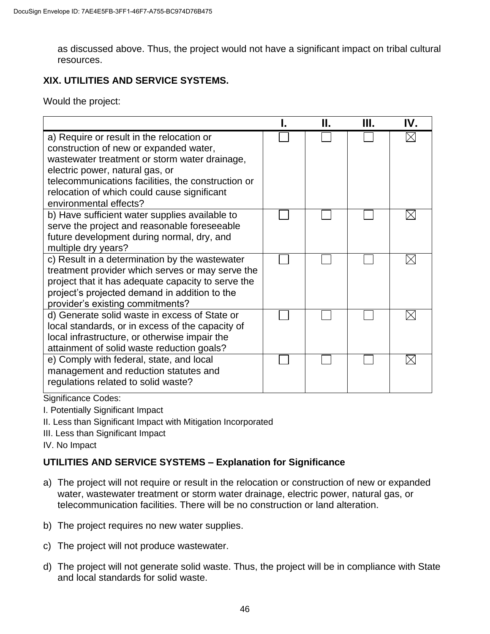as discussed above. Thus, the project would not have a significant impact on tribal cultural resources.

## **XIX. UTILITIES AND SERVICE SYSTEMS.**

Would the project:

|                                                                                                                                                                                                                                                                                                        | Н. | Ш. | IV. |
|--------------------------------------------------------------------------------------------------------------------------------------------------------------------------------------------------------------------------------------------------------------------------------------------------------|----|----|-----|
| a) Require or result in the relocation or<br>construction of new or expanded water,<br>wastewater treatment or storm water drainage,<br>electric power, natural gas, or<br>telecommunications facilities, the construction or<br>relocation of which could cause significant<br>environmental effects? |    |    |     |
| b) Have sufficient water supplies available to<br>serve the project and reasonable foreseeable<br>future development during normal, dry, and<br>multiple dry years?                                                                                                                                    |    |    |     |
| c) Result in a determination by the wastewater<br>treatment provider which serves or may serve the<br>project that it has adequate capacity to serve the<br>project's projected demand in addition to the<br>provider's existing commitments?                                                          |    |    |     |
| d) Generate solid waste in excess of State or<br>local standards, or in excess of the capacity of<br>local infrastructure, or otherwise impair the<br>attainment of solid waste reduction goals?                                                                                                       |    |    |     |
| e) Comply with federal, state, and local<br>management and reduction statutes and<br>regulations related to solid waste?                                                                                                                                                                               |    |    |     |

Significance Codes:

I. Potentially Significant Impact

- II. Less than Significant Impact with Mitigation Incorporated
- III. Less than Significant Impact

IV. No Impact

### **UTILITIES AND SERVICE SYSTEMS – Explanation for Significance**

- a) The project will not require or result in the relocation or construction of new or expanded water, wastewater treatment or storm water drainage, electric power, natural gas, or telecommunication facilities. There will be no construction or land alteration.
- b) The project requires no new water supplies.
- c) The project will not produce wastewater.
- d) The project will not generate solid waste. Thus, the project will be in compliance with State and local standards for solid waste.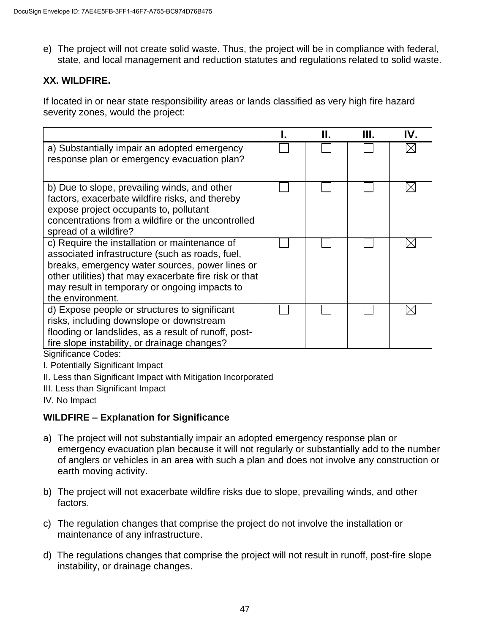e) The project will not create solid waste. Thus, the project will be in compliance with federal, state, and local management and reduction statutes and regulations related to solid waste.

### **XX. WILDFIRE.**

If located in or near state responsibility areas or lands classified as very high fire hazard severity zones, would the project:

|                                                                                                                                                                                                                                                                                    | Н. | Ш. | IV. |
|------------------------------------------------------------------------------------------------------------------------------------------------------------------------------------------------------------------------------------------------------------------------------------|----|----|-----|
| a) Substantially impair an adopted emergency<br>response plan or emergency evacuation plan?                                                                                                                                                                                        |    |    |     |
| b) Due to slope, prevailing winds, and other<br>factors, exacerbate wildfire risks, and thereby<br>expose project occupants to, pollutant<br>concentrations from a wildfire or the uncontrolled<br>spread of a wildfire?                                                           |    |    |     |
| c) Require the installation or maintenance of<br>associated infrastructure (such as roads, fuel,<br>breaks, emergency water sources, power lines or<br>other utilities) that may exacerbate fire risk or that<br>may result in temporary or ongoing impacts to<br>the environment. |    |    |     |
| d) Expose people or structures to significant<br>risks, including downslope or downstream<br>flooding or landslides, as a result of runoff, post-<br>fire slope instability, or drainage changes?                                                                                  |    |    |     |

Significance Codes:

- I. Potentially Significant Impact
- II. Less than Significant Impact with Mitigation Incorporated
- III. Less than Significant Impact

IV. No Impact

### **WILDFIRE – Explanation for Significance**

- a) The project will not substantially impair an adopted emergency response plan or emergency evacuation plan because it will not regularly or substantially add to the number of anglers or vehicles in an area with such a plan and does not involve any construction or earth moving activity.
- b) The project will not exacerbate wildfire risks due to slope, prevailing winds, and other factors.
- c) The regulation changes that comprise the project do not involve the installation or maintenance of any infrastructure.
- d) The regulations changes that comprise the project will not result in runoff, post-fire slope instability, or drainage changes.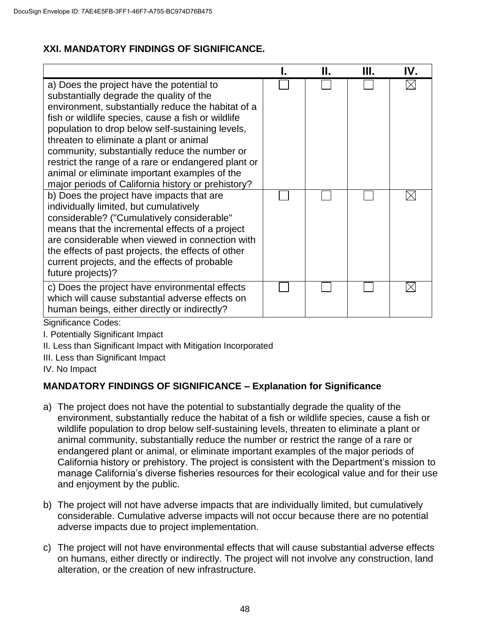## **XXI. MANDATORY FINDINGS OF SIGNIFICANCE.**

|                                                                                                                                                                                                                                                                                                                                                                                                                                                                                                                 | Н. | Ш. | IV. |
|-----------------------------------------------------------------------------------------------------------------------------------------------------------------------------------------------------------------------------------------------------------------------------------------------------------------------------------------------------------------------------------------------------------------------------------------------------------------------------------------------------------------|----|----|-----|
| a) Does the project have the potential to<br>substantially degrade the quality of the<br>environment, substantially reduce the habitat of a<br>fish or wildlife species, cause a fish or wildlife<br>population to drop below self-sustaining levels,<br>threaten to eliminate a plant or animal<br>community, substantially reduce the number or<br>restrict the range of a rare or endangered plant or<br>animal or eliminate important examples of the<br>major periods of California history or prehistory? |    |    |     |
| b) Does the project have impacts that are<br>individually limited, but cumulatively<br>considerable? ("Cumulatively considerable"<br>means that the incremental effects of a project<br>are considerable when viewed in connection with<br>the effects of past projects, the effects of other<br>current projects, and the effects of probable<br>future projects)?                                                                                                                                             |    |    |     |
| c) Does the project have environmental effects<br>which will cause substantial adverse effects on<br>human beings, either directly or indirectly?<br>ົ່ນ ແ<br>$\sim$ $\sim$ $\sim$ $\sim$ $\sim$                                                                                                                                                                                                                                                                                                                |    |    |     |

Significance Codes:

- I. Potentially Significant Impact
- II. Less than Significant Impact with Mitigation Incorporated
- III. Less than Significant Impact
- IV. No Impact

# **MANDATORY FINDINGS OF SIGNIFICANCE – Explanation for Significance**

- a) The project does not have the potential to substantially degrade the quality of the environment, substantially reduce the habitat of a fish or wildlife species, cause a fish or wildlife population to drop below self-sustaining levels, threaten to eliminate a plant or animal community, substantially reduce the number or restrict the range of a rare or endangered plant or animal, or eliminate important examples of the major periods of California history or prehistory. The project is consistent with the Department's mission to manage California's diverse fisheries resources for their ecological value and for their use and enjoyment by the public.
- b) The project will not have adverse impacts that are individually limited, but cumulatively considerable. Cumulative adverse impacts will not occur because there are no potential adverse impacts due to project implementation.
- c) The project will not have environmental effects that will cause substantial adverse effects on humans, either directly or indirectly. The project will not involve any construction, land alteration, or the creation of new infrastructure.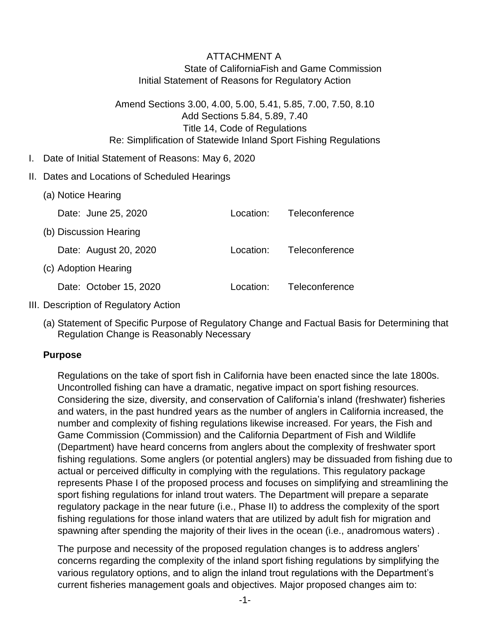## ATTACHMENT A State of CaliforniaFish and Game Commission Initial Statement of Reasons for Regulatory Action

Amend Sections 3.00, 4.00, 5.00, 5.41, 5.85, 7.00, 7.50, 8.10 Add Sections 5.84, 5.89, 7.40 Title 14, Code of Regulations Re: Simplification of Statewide Inland Sport Fishing Regulations

- I. Date of Initial Statement of Reasons: May 6, 2020
- II. Dates and Locations of Scheduled Hearings

| (a) Notice Hearing     |              |                |
|------------------------|--------------|----------------|
| Date: June 25, 2020    | T ocation: ⊺ | Teleconference |
| (b) Discussion Hearing |              |                |
| Date: August 20, 2020  | Location:    | Teleconference |
| (c) Adoption Hearing   |              |                |
| Date: October 15, 2020 | l ocation:   | Teleconference |

- III. Description of Regulatory Action
	- (a) Statement of Specific Purpose of Regulatory Change and Factual Basis for Determining that Regulation Change is Reasonably Necessary

### **Purpose**

Regulations on the take of sport fish in California have been enacted since the late 1800s. Uncontrolled fishing can have a dramatic, negative impact on sport fishing resources. Considering the size, diversity, and conservation of California's inland (freshwater) fisheries and waters, in the past hundred years as the number of anglers in California increased, the number and complexity of fishing regulations likewise increased. For years, the Fish and Game Commission (Commission) and the California Department of Fish and Wildlife (Department) have heard concerns from anglers about the complexity of freshwater sport fishing regulations. Some anglers (or potential anglers) may be dissuaded from fishing due to actual or perceived difficulty in complying with the regulations. This regulatory package represents Phase I of the proposed process and focuses on simplifying and streamlining the sport fishing regulations for inland trout waters. The Department will prepare a separate regulatory package in the near future (i.e., Phase II) to address the complexity of the sport fishing regulations for those inland waters that are utilized by adult fish for migration and spawning after spending the majority of their lives in the ocean (i.e., anadromous waters) .

The purpose and necessity of the proposed regulation changes is to address anglers' concerns regarding the complexity of the inland sport fishing regulations by simplifying the various regulatory options, and to align the inland trout regulations with the Department's current fisheries management goals and objectives. Major proposed changes aim to: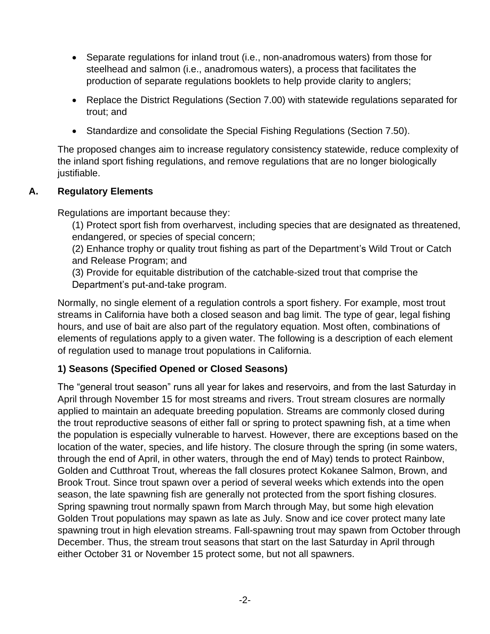- Separate regulations for inland trout (i.e., non-anadromous waters) from those for steelhead and salmon (i.e., anadromous waters), a process that facilitates the production of separate regulations booklets to help provide clarity to anglers;
- Replace the District Regulations (Section 7.00) with statewide regulations separated for trout; and
- Standardize and consolidate the Special Fishing Regulations (Section 7.50).

The proposed changes aim to increase regulatory consistency statewide, reduce complexity of the inland sport fishing regulations, and remove regulations that are no longer biologically justifiable.

## **A. Regulatory Elements**

Regulations are important because they:

(1) Protect sport fish from overharvest, including species that are designated as threatened, endangered, or species of special concern;

(2) Enhance trophy or quality trout fishing as part of the Department's Wild Trout or Catch and Release Program; and

(3) Provide for equitable distribution of the catchable-sized trout that comprise the Department's put-and-take program.

Normally, no single element of a regulation controls a sport fishery. For example, most trout streams in California have both a closed season and bag limit. The type of gear, legal fishing hours, and use of bait are also part of the regulatory equation. Most often, combinations of elements of regulations apply to a given water. The following is a description of each element of regulation used to manage trout populations in California.

# **1) Seasons (Specified Opened or Closed Seasons)**

The "general trout season" runs all year for lakes and reservoirs, and from the last Saturday in April through November 15 for most streams and rivers. Trout stream closures are normally applied to maintain an adequate breeding population. Streams are commonly closed during the trout reproductive seasons of either fall or spring to protect spawning fish, at a time when the population is especially vulnerable to harvest. However, there are exceptions based on the location of the water, species, and life history. The closure through the spring (in some waters, through the end of April, in other waters, through the end of May) tends to protect Rainbow, Golden and Cutthroat Trout, whereas the fall closures protect Kokanee Salmon, Brown, and Brook Trout. Since trout spawn over a period of several weeks which extends into the open season, the late spawning fish are generally not protected from the sport fishing closures. Spring spawning trout normally spawn from March through May, but some high elevation Golden Trout populations may spawn as late as July. Snow and ice cover protect many late spawning trout in high elevation streams. Fall-spawning trout may spawn from October through December. Thus, the stream trout seasons that start on the last Saturday in April through either October 31 or November 15 protect some, but not all spawners.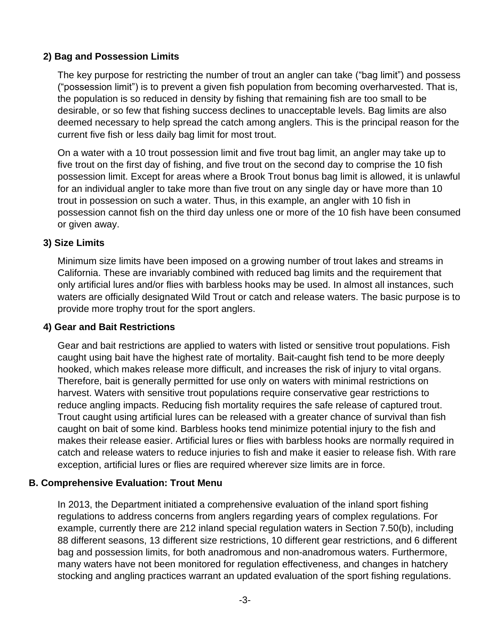### **2) Bag and Possession Limits**

The key purpose for restricting the number of trout an angler can take ("bag limit") and possess ("possession limit") is to prevent a given fish population from becoming overharvested. That is, the population is so reduced in density by fishing that remaining fish are too small to be desirable, or so few that fishing success declines to unacceptable levels. Bag limits are also deemed necessary to help spread the catch among anglers. This is the principal reason for the current five fish or less daily bag limit for most trout.

On a water with a 10 trout possession limit and five trout bag limit, an angler may take up to five trout on the first day of fishing, and five trout on the second day to comprise the 10 fish possession limit. Except for areas where a Brook Trout bonus bag limit is allowed, it is unlawful for an individual angler to take more than five trout on any single day or have more than 10 trout in possession on such a water. Thus, in this example, an angler with 10 fish in possession cannot fish on the third day unless one or more of the 10 fish have been consumed or given away.

### **3) Size Limits**

Minimum size limits have been imposed on a growing number of trout lakes and streams in California. These are invariably combined with reduced bag limits and the requirement that only artificial lures and/or flies with barbless hooks may be used. In almost all instances, such waters are officially designated Wild Trout or catch and release waters. The basic purpose is to provide more trophy trout for the sport anglers.

### **4) Gear and Bait Restrictions**

Gear and bait restrictions are applied to waters with listed or sensitive trout populations. Fish caught using bait have the highest rate of mortality. Bait-caught fish tend to be more deeply hooked, which makes release more difficult, and increases the risk of injury to vital organs. Therefore, bait is generally permitted for use only on waters with minimal restrictions on harvest. Waters with sensitive trout populations require conservative gear restrictions to reduce angling impacts. Reducing fish mortality requires the safe release of captured trout. Trout caught using artificial lures can be released with a greater chance of survival than fish caught on bait of some kind. Barbless hooks tend minimize potential injury to the fish and makes their release easier. Artificial lures or flies with barbless hooks are normally required in catch and release waters to reduce injuries to fish and make it easier to release fish. With rare exception, artificial lures or flies are required wherever size limits are in force.

### **B. Comprehensive Evaluation: Trout Menu**

In 2013, the Department initiated a comprehensive evaluation of the inland sport fishing regulations to address concerns from anglers regarding years of complex regulations. For example, currently there are 212 inland special regulation waters in Section 7.50(b), including 88 different seasons, 13 different size restrictions, 10 different gear restrictions, and 6 different bag and possession limits, for both anadromous and non-anadromous waters. Furthermore, many waters have not been monitored for regulation effectiveness, and changes in hatchery stocking and angling practices warrant an updated evaluation of the sport fishing regulations.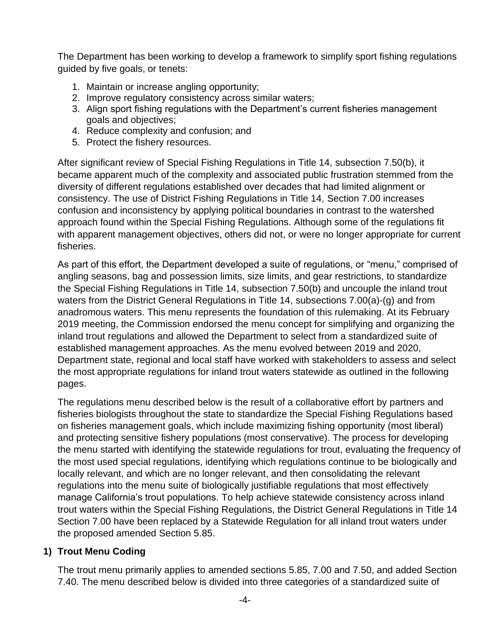The Department has been working to develop a framework to simplify sport fishing regulations guided by five goals, or tenets:

- 1. Maintain or increase angling opportunity;
- 2. Improve regulatory consistency across similar waters;
- 3. Align sport fishing regulations with the Department's current fisheries management goals and objectives;
- 4. Reduce complexity and confusion; and
- 5. Protect the fishery resources.

After significant review of Special Fishing Regulations in Title 14, subsection 7.50(b), it became apparent much of the complexity and associated public frustration stemmed from the diversity of different regulations established over decades that had limited alignment or consistency. The use of District Fishing Regulations in Title 14, Section 7.00 increases confusion and inconsistency by applying political boundaries in contrast to the watershed approach found within the Special Fishing Regulations. Although some of the regulations fit with apparent management objectives, others did not, or were no longer appropriate for current fisheries.

As part of this effort, the Department developed a suite of regulations, or "menu," comprised of angling seasons, bag and possession limits, size limits, and gear restrictions, to standardize the Special Fishing Regulations in Title 14, subsection 7.50(b) and uncouple the inland trout waters from the District General Regulations in Title 14, subsections 7.00(a)-(g) and from anadromous waters. This menu represents the foundation of this rulemaking. At its February 2019 meeting, the Commission endorsed the menu concept for simplifying and organizing the inland trout regulations and allowed the Department to select from a standardized suite of established management approaches. As the menu evolved between 2019 and 2020, Department state, regional and local staff have worked with stakeholders to assess and select the most appropriate regulations for inland trout waters statewide as outlined in the following pages.

The regulations menu described below is the result of a collaborative effort by partners and fisheries biologists throughout the state to standardize the Special Fishing Regulations based on fisheries management goals, which include maximizing fishing opportunity (most liberal) and protecting sensitive fishery populations (most conservative). The process for developing the menu started with identifying the statewide regulations for trout, evaluating the frequency of the most used special regulations, identifying which regulations continue to be biologically and locally relevant, and which are no longer relevant, and then consolidating the relevant regulations into the menu suite of biologically justifiable regulations that most effectively manage California's trout populations. To help achieve statewide consistency across inland trout waters within the Special Fishing Regulations, the District General Regulations in Title 14 Section 7.00 have been replaced by a Statewide Regulation for all inland trout waters under the proposed amended Section 5.85.

# **1) Trout Menu Coding**

The trout menu primarily applies to amended sections 5.85, 7.00 and 7.50, and added Section 7.40. The menu described below is divided into three categories of a standardized suite of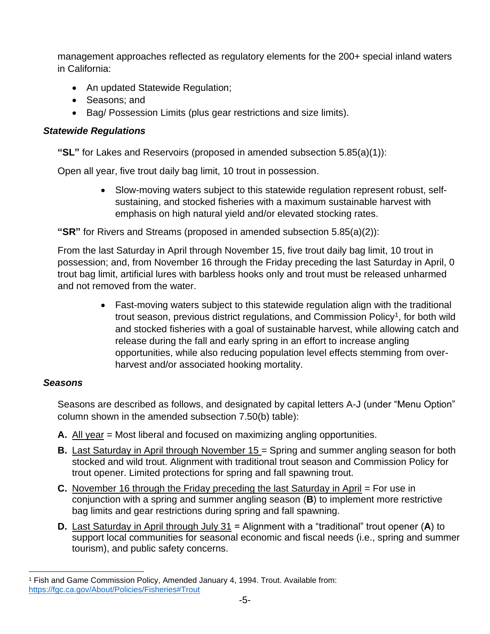management approaches reflected as regulatory elements for the 200+ special inland waters in California:

- An updated Statewide Regulation;
- Seasons; and
- Bag/ Possession Limits (plus gear restrictions and size limits).

### *Statewide Regulations*

**"SL"** for Lakes and Reservoirs (proposed in amended subsection 5.85(a)(1)):

Open all year, five trout daily bag limit, 10 trout in possession.

• Slow-moving waters subject to this statewide regulation represent robust, selfsustaining, and stocked fisheries with a maximum sustainable harvest with emphasis on high natural yield and/or elevated stocking rates.

**"SR"** for Rivers and Streams (proposed in amended subsection 5.85(a)(2)):

From the last Saturday in April through November 15, five trout daily bag limit, 10 trout in possession; and, from November 16 through the Friday preceding the last Saturday in April, 0 trout bag limit, artificial lures with barbless hooks only and trout must be released unharmed and not removed from the water.

> • Fast-moving waters subject to this statewide regulation align with the traditional trout season, previous district regulations, and Commission Policy<sup>1</sup>, for both wild and stocked fisheries with a goal of sustainable harvest, while allowing catch and release during the fall and early spring in an effort to increase angling opportunities, while also reducing population level effects stemming from overharvest and/or associated hooking mortality.

### *Seasons*

Seasons are described as follows, and designated by capital letters A-J (under "Menu Option" column shown in the amended subsection 7.50(b) table):

- **A.** All year = Most liberal and focused on maximizing angling opportunities.
- **B.** Last Saturday in April through November 15 = Spring and summer angling season for both stocked and wild trout. Alignment with traditional trout season and Commission Policy for trout opener. Limited protections for spring and fall spawning trout.
- **C.** November 16 through the Friday preceding the last Saturday in April = For use in conjunction with a spring and summer angling season (**B**) to implement more restrictive bag limits and gear restrictions during spring and fall spawning.
- **D.** Last Saturday in April through July 31 = Alignment with a "traditional" trout opener (**A**) to support local communities for seasonal economic and fiscal needs (i.e., spring and summer tourism), and public safety concerns.

<sup>1</sup> Fish and Game Commission Policy, Amended January 4, 1994. Trout. Available from: <https://fgc.ca.gov/About/Policies/Fisheries#Trout>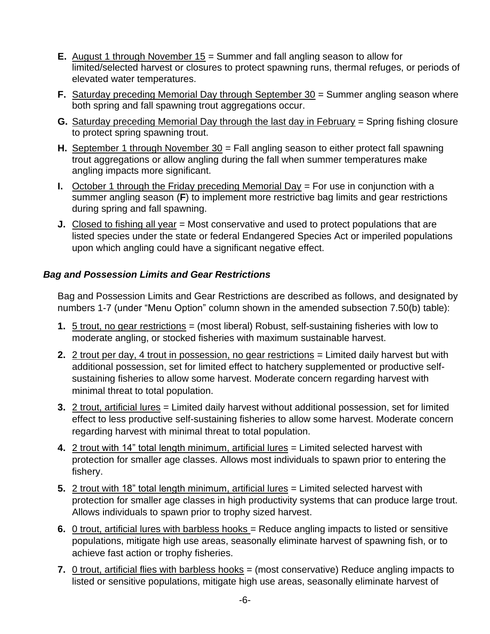- **E.** August 1 through November 15 = Summer and fall angling season to allow for limited/selected harvest or closures to protect spawning runs, thermal refuges, or periods of elevated water temperatures.
- **F.** Saturday preceding Memorial Day through September 30 = Summer angling season where both spring and fall spawning trout aggregations occur.
- **G.** Saturday preceding Memorial Day through the last day in February = Spring fishing closure to protect spring spawning trout.
- **H.** September 1 through November 30 = Fall angling season to either protect fall spawning trout aggregations or allow angling during the fall when summer temperatures make angling impacts more significant.
- **I.** October 1 through the Friday preceding Memorial Day = For use in conjunction with a summer angling season (**F**) to implement more restrictive bag limits and gear restrictions during spring and fall spawning.
- **J.** Closed to fishing all year = Most conservative and used to protect populations that are listed species under the state or federal Endangered Species Act or imperiled populations upon which angling could have a significant negative effect.

## *Bag and Possession Limits and Gear Restrictions*

Bag and Possession Limits and Gear Restrictions are described as follows, and designated by numbers 1-7 (under "Menu Option" column shown in the amended subsection 7.50(b) table):

- **1.** 5 trout, no gear restrictions = (most liberal) Robust, self-sustaining fisheries with low to moderate angling, or stocked fisheries with maximum sustainable harvest.
- **2.** 2 trout per day, 4 trout in possession, no gear restrictions = Limited daily harvest but with additional possession, set for limited effect to hatchery supplemented or productive selfsustaining fisheries to allow some harvest. Moderate concern regarding harvest with minimal threat to total population.
- **3.** 2 trout, artificial lures = Limited daily harvest without additional possession, set for limited effect to less productive self-sustaining fisheries to allow some harvest. Moderate concern regarding harvest with minimal threat to total population.
- **4.** 2 trout with 14" total length minimum, artificial lures = Limited selected harvest with protection for smaller age classes. Allows most individuals to spawn prior to entering the fishery.
- **5.** 2 trout with 18" total length minimum, artificial lures = Limited selected harvest with protection for smaller age classes in high productivity systems that can produce large trout. Allows individuals to spawn prior to trophy sized harvest.
- **6.** 0 trout, artificial lures with barbless hooks = Reduce angling impacts to listed or sensitive populations, mitigate high use areas, seasonally eliminate harvest of spawning fish, or to achieve fast action or trophy fisheries.
- **7.** 0 trout, artificial flies with barbless hooks = (most conservative) Reduce angling impacts to listed or sensitive populations, mitigate high use areas, seasonally eliminate harvest of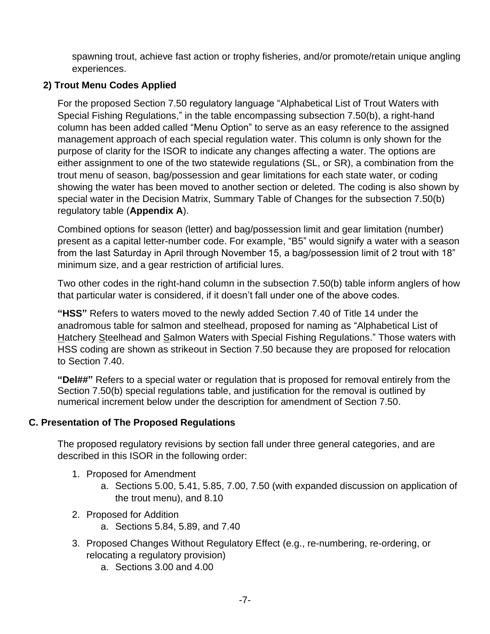spawning trout, achieve fast action or trophy fisheries, and/or promote/retain unique angling experiences.

## **2) Trout Menu Codes Applied**

For the proposed Section 7.50 regulatory language "Alphabetical List of Trout Waters with Special Fishing Regulations," in the table encompassing subsection 7.50(b), a right-hand column has been added called "Menu Option" to serve as an easy reference to the assigned management approach of each special regulation water. This column is only shown for the purpose of clarity for the ISOR to indicate any changes affecting a water. The options are either assignment to one of the two statewide regulations (SL, or SR), a combination from the trout menu of season, bag/possession and gear limitations for each state water, or coding showing the water has been moved to another section or deleted. The coding is also shown by special water in the Decision Matrix, Summary Table of Changes for the subsection 7.50(b) regulatory table (**Appendix A**).

Combined options for season (letter) and bag/possession limit and gear limitation (number) present as a capital letter-number code. For example, "B5" would signify a water with a season from the last Saturday in April through November 15, a bag/possession limit of 2 trout with 18" minimum size, and a gear restriction of artificial lures.

Two other codes in the right-hand column in the subsection 7.50(b) table inform anglers of how that particular water is considered, if it doesn't fall under one of the above codes.

**"HSS"** Refers to waters moved to the newly added Section 7.40 of Title 14 under the anadromous table for salmon and steelhead, proposed for naming as "Alphabetical List of Hatchery Steelhead and Salmon Waters with Special Fishing Regulations." Those waters with HSS coding are shown as strikeout in Section 7.50 because they are proposed for relocation to Section 7.40.

**"Del##"** Refers to a special water or regulation that is proposed for removal entirely from the Section 7.50(b) special regulations table, and justification for the removal is outlined by numerical increment below under the description for amendment of Section 7.50.

### **C. Presentation of The Proposed Regulations**

The proposed regulatory revisions by section fall under three general categories, and are described in this ISOR in the following order:

- 1. Proposed for Amendment
	- a. Sections 5.00, 5.41, 5.85, 7.00, 7.50 (with expanded discussion on application of the trout menu), and 8.10
- 2. Proposed for Addition
	- a. Sections 5.84, 5.89, and 7.40
- 3. Proposed Changes Without Regulatory Effect (e.g., re-numbering, re-ordering, or relocating a regulatory provision)
	- a. Sections 3.00 and 4.00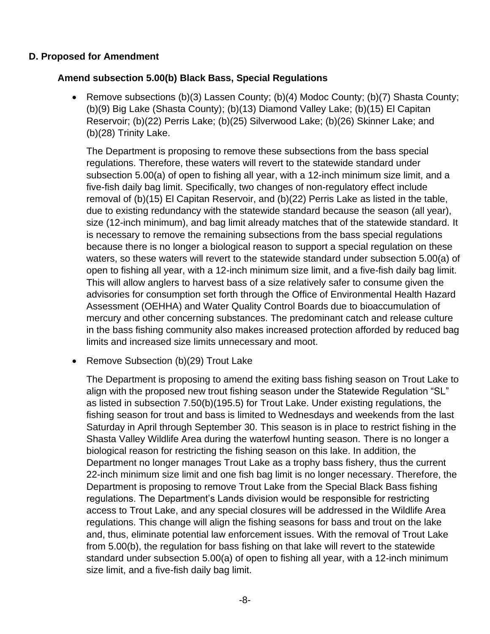#### **D. Proposed for Amendment**

### **Amend subsection 5.00(b) Black Bass, Special Regulations**

• Remove subsections (b)(3) Lassen County; (b)(4) Modoc County; (b)(7) Shasta County; (b)(9) Big Lake (Shasta County); (b)(13) Diamond Valley Lake; (b)(15) El Capitan Reservoir; (b)(22) Perris Lake; (b)(25) Silverwood Lake; (b)(26) Skinner Lake; and (b)(28) Trinity Lake.

The Department is proposing to remove these subsections from the bass special regulations. Therefore, these waters will revert to the statewide standard under subsection 5.00(a) of open to fishing all year, with a 12-inch minimum size limit, and a five-fish daily bag limit. Specifically, two changes of non-regulatory effect include removal of (b)(15) El Capitan Reservoir, and (b)(22) Perris Lake as listed in the table, due to existing redundancy with the statewide standard because the season (all year), size (12-inch minimum), and bag limit already matches that of the statewide standard. It is necessary to remove the remaining subsections from the bass special regulations because there is no longer a biological reason to support a special regulation on these waters, so these waters will revert to the statewide standard under subsection 5.00(a) of open to fishing all year, with a 12-inch minimum size limit, and a five-fish daily bag limit. This will allow anglers to harvest bass of a size relatively safer to consume given the advisories for consumption set forth through the Office of Environmental Health Hazard Assessment (OEHHA) and Water Quality Control Boards due to bioaccumulation of mercury and other concerning substances. The predominant catch and release culture in the bass fishing community also makes increased protection afforded by reduced bag limits and increased size limits unnecessary and moot.

• Remove Subsection (b)(29) Trout Lake

The Department is proposing to amend the exiting bass fishing season on Trout Lake to align with the proposed new trout fishing season under the Statewide Regulation "SL" as listed in subsection 7.50(b)(195.5) for Trout Lake. Under existing regulations, the fishing season for trout and bass is limited to Wednesdays and weekends from the last Saturday in April through September 30. This season is in place to restrict fishing in the Shasta Valley Wildlife Area during the waterfowl hunting season. There is no longer a biological reason for restricting the fishing season on this lake. In addition, the Department no longer manages Trout Lake as a trophy bass fishery, thus the current 22-inch minimum size limit and one fish bag limit is no longer necessary. Therefore, the Department is proposing to remove Trout Lake from the Special Black Bass fishing regulations. The Department's Lands division would be responsible for restricting access to Trout Lake, and any special closures will be addressed in the Wildlife Area regulations. This change will align the fishing seasons for bass and trout on the lake and, thus, eliminate potential law enforcement issues. With the removal of Trout Lake from 5.00(b), the regulation for bass fishing on that lake will revert to the statewide standard under subsection 5.00(a) of open to fishing all year, with a 12-inch minimum size limit, and a five-fish daily bag limit.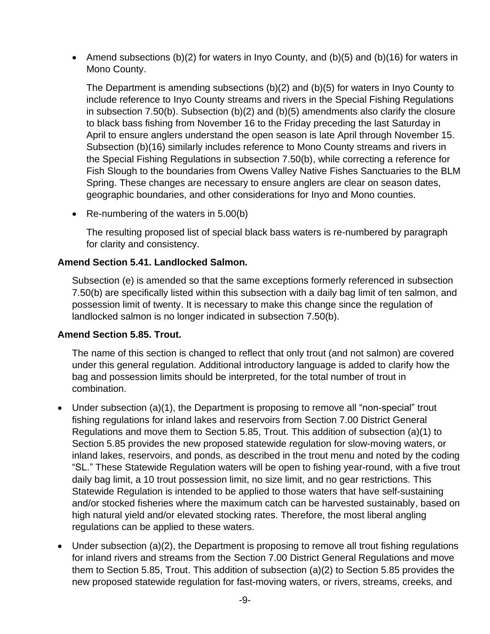• Amend subsections (b)(2) for waters in Inyo County, and (b)(5) and (b)(16) for waters in Mono County.

The Department is amending subsections (b)(2) and (b)(5) for waters in Inyo County to include reference to Inyo County streams and rivers in the Special Fishing Regulations in subsection 7.50(b). Subsection (b)(2) and (b)(5) amendments also clarify the closure to black bass fishing from November 16 to the Friday preceding the last Saturday in April to ensure anglers understand the open season is late April through November 15. Subsection (b)(16) similarly includes reference to Mono County streams and rivers in the Special Fishing Regulations in subsection 7.50(b), while correcting a reference for Fish Slough to the boundaries from Owens Valley Native Fishes Sanctuaries to the BLM Spring. These changes are necessary to ensure anglers are clear on season dates, geographic boundaries, and other considerations for Inyo and Mono counties.

• Re-numbering of the waters in 5.00(b)

The resulting proposed list of special black bass waters is re-numbered by paragraph for clarity and consistency.

#### **Amend Section 5.41. Landlocked Salmon.**

Subsection (e) is amended so that the same exceptions formerly referenced in subsection 7.50(b) are specifically listed within this subsection with a daily bag limit of ten salmon, and possession limit of twenty. It is necessary to make this change since the regulation of landlocked salmon is no longer indicated in subsection 7.50(b).

### **Amend Section 5.85. Trout.**

The name of this section is changed to reflect that only trout (and not salmon) are covered under this general regulation. Additional introductory language is added to clarify how the bag and possession limits should be interpreted, for the total number of trout in combination.

- Under subsection (a)(1), the Department is proposing to remove all "non-special" trout fishing regulations for inland lakes and reservoirs from Section 7.00 District General Regulations and move them to Section 5.85, Trout. This addition of subsection (a)(1) to Section 5.85 provides the new proposed statewide regulation for slow-moving waters, or inland lakes, reservoirs, and ponds, as described in the trout menu and noted by the coding "SL." These Statewide Regulation waters will be open to fishing year-round, with a five trout daily bag limit, a 10 trout possession limit, no size limit, and no gear restrictions. This Statewide Regulation is intended to be applied to those waters that have self-sustaining and/or stocked fisheries where the maximum catch can be harvested sustainably, based on high natural yield and/or elevated stocking rates. Therefore, the most liberal angling regulations can be applied to these waters.
- Under subsection (a)(2), the Department is proposing to remove all trout fishing regulations for inland rivers and streams from the Section 7.00 District General Regulations and move them to Section 5.85, Trout. This addition of subsection (a)(2) to Section 5.85 provides the new proposed statewide regulation for fast-moving waters, or rivers, streams, creeks, and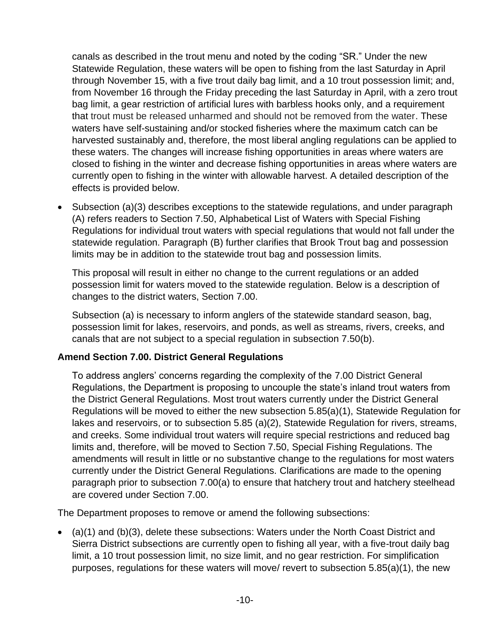canals as described in the trout menu and noted by the coding "SR." Under the new Statewide Regulation, these waters will be open to fishing from the last Saturday in April through November 15, with a five trout daily bag limit, and a 10 trout possession limit; and, from November 16 through the Friday preceding the last Saturday in April, with a zero trout bag limit, a gear restriction of artificial lures with barbless hooks only, and a requirement that trout must be released unharmed and should not be removed from the water. These waters have self-sustaining and/or stocked fisheries where the maximum catch can be harvested sustainably and, therefore, the most liberal angling regulations can be applied to these waters. The changes will increase fishing opportunities in areas where waters are closed to fishing in the winter and decrease fishing opportunities in areas where waters are currently open to fishing in the winter with allowable harvest. A detailed description of the effects is provided below.

• Subsection (a)(3) describes exceptions to the statewide regulations, and under paragraph (A) refers readers to Section 7.50, Alphabetical List of Waters with Special Fishing Regulations for individual trout waters with special regulations that would not fall under the statewide regulation. Paragraph (B) further clarifies that Brook Trout bag and possession limits may be in addition to the statewide trout bag and possession limits.

This proposal will result in either no change to the current regulations or an added possession limit for waters moved to the statewide regulation. Below is a description of changes to the district waters, Section 7.00.

Subsection (a) is necessary to inform anglers of the statewide standard season, bag, possession limit for lakes, reservoirs, and ponds, as well as streams, rivers, creeks, and canals that are not subject to a special regulation in subsection 7.50(b).

### **Amend Section 7.00. District General Regulations**

To address anglers' concerns regarding the complexity of the 7.00 District General Regulations, the Department is proposing to uncouple the state's inland trout waters from the District General Regulations. Most trout waters currently under the District General Regulations will be moved to either the new subsection 5.85(a)(1), Statewide Regulation for lakes and reservoirs, or to subsection 5.85 (a)(2), Statewide Regulation for rivers, streams, and creeks. Some individual trout waters will require special restrictions and reduced bag limits and, therefore, will be moved to Section 7.50, Special Fishing Regulations. The amendments will result in little or no substantive change to the regulations for most waters currently under the District General Regulations. Clarifications are made to the opening paragraph prior to subsection 7.00(a) to ensure that hatchery trout and hatchery steelhead are covered under Section 7.00.

The Department proposes to remove or amend the following subsections:

• (a)(1) and (b)(3), delete these subsections: Waters under the North Coast District and Sierra District subsections are currently open to fishing all year, with a five-trout daily bag limit, a 10 trout possession limit, no size limit, and no gear restriction. For simplification purposes, regulations for these waters will move/ revert to subsection 5.85(a)(1), the new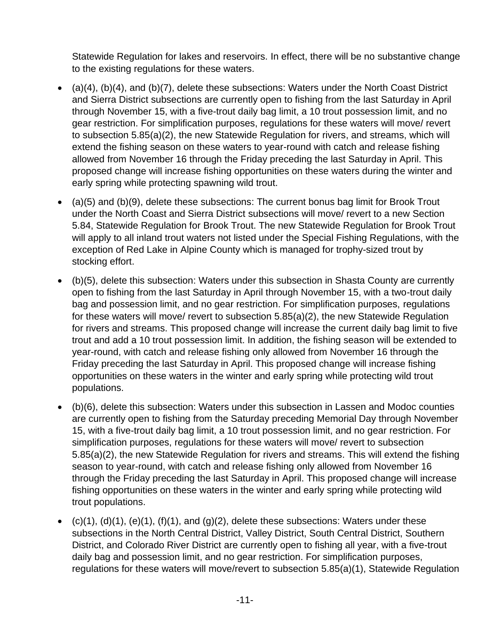Statewide Regulation for lakes and reservoirs. In effect, there will be no substantive change to the existing regulations for these waters.

- (a)(4), (b)(4), and (b)(7), delete these subsections: Waters under the North Coast District and Sierra District subsections are currently open to fishing from the last Saturday in April through November 15, with a five-trout daily bag limit, a 10 trout possession limit, and no gear restriction. For simplification purposes, regulations for these waters will move/ revert to subsection 5.85(a)(2), the new Statewide Regulation for rivers, and streams, which will extend the fishing season on these waters to year-round with catch and release fishing allowed from November 16 through the Friday preceding the last Saturday in April. This proposed change will increase fishing opportunities on these waters during the winter and early spring while protecting spawning wild trout.
- (a)(5) and (b)(9), delete these subsections: The current bonus bag limit for Brook Trout under the North Coast and Sierra District subsections will move/ revert to a new Section 5.84, Statewide Regulation for Brook Trout. The new Statewide Regulation for Brook Trout will apply to all inland trout waters not listed under the Special Fishing Regulations, with the exception of Red Lake in Alpine County which is managed for trophy-sized trout by stocking effort.
- (b)(5), delete this subsection: Waters under this subsection in Shasta County are currently open to fishing from the last Saturday in April through November 15, with a two-trout daily bag and possession limit, and no gear restriction. For simplification purposes, regulations for these waters will move/ revert to subsection 5.85(a)(2), the new Statewide Regulation for rivers and streams. This proposed change will increase the current daily bag limit to five trout and add a 10 trout possession limit. In addition, the fishing season will be extended to year-round, with catch and release fishing only allowed from November 16 through the Friday preceding the last Saturday in April. This proposed change will increase fishing opportunities on these waters in the winter and early spring while protecting wild trout populations.
- (b)(6), delete this subsection: Waters under this subsection in Lassen and Modoc counties are currently open to fishing from the Saturday preceding Memorial Day through November 15, with a five-trout daily bag limit, a 10 trout possession limit, and no gear restriction. For simplification purposes, regulations for these waters will move/ revert to subsection 5.85(a)(2), the new Statewide Regulation for rivers and streams. This will extend the fishing season to year-round, with catch and release fishing only allowed from November 16 through the Friday preceding the last Saturday in April. This proposed change will increase fishing opportunities on these waters in the winter and early spring while protecting wild trout populations.
- $(c)(1)$ ,  $(d)(1)$ ,  $(e)(1)$ ,  $(f)(1)$ , and  $(g)(2)$ , delete these subsections: Waters under these subsections in the North Central District, Valley District, South Central District, Southern District, and Colorado River District are currently open to fishing all year, with a five-trout daily bag and possession limit, and no gear restriction. For simplification purposes, regulations for these waters will move/revert to subsection 5.85(a)(1), Statewide Regulation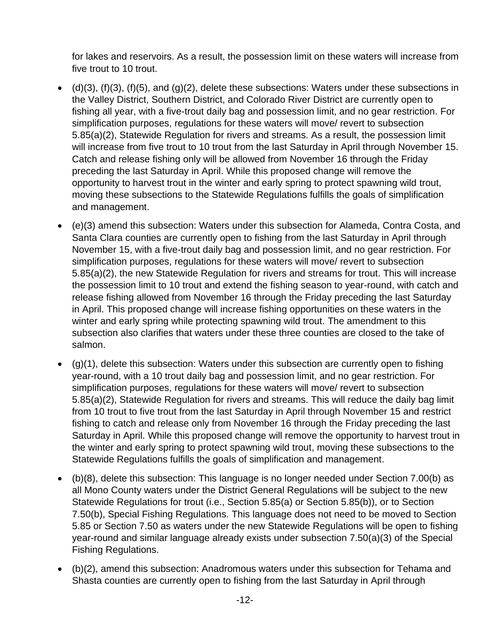for lakes and reservoirs. As a result, the possession limit on these waters will increase from five trout to 10 trout.

- $\bullet$  (d)(3), (f)(3), (f)(5), and (g)(2), delete these subsections: Waters under these subsections in the Valley District, Southern District, and Colorado River District are currently open to fishing all year, with a five-trout daily bag and possession limit, and no gear restriction. For simplification purposes, regulations for these waters will move/ revert to subsection 5.85(a)(2), Statewide Regulation for rivers and streams. As a result, the possession limit will increase from five trout to 10 trout from the last Saturday in April through November 15. Catch and release fishing only will be allowed from November 16 through the Friday preceding the last Saturday in April. While this proposed change will remove the opportunity to harvest trout in the winter and early spring to protect spawning wild trout, moving these subsections to the Statewide Regulations fulfills the goals of simplification and management.
- (e)(3) amend this subsection: Waters under this subsection for Alameda, Contra Costa, and Santa Clara counties are currently open to fishing from the last Saturday in April through November 15, with a five-trout daily bag and possession limit, and no gear restriction. For simplification purposes, regulations for these waters will move/ revert to subsection 5.85(a)(2), the new Statewide Regulation for rivers and streams for trout. This will increase the possession limit to 10 trout and extend the fishing season to year-round, with catch and release fishing allowed from November 16 through the Friday preceding the last Saturday in April. This proposed change will increase fishing opportunities on these waters in the winter and early spring while protecting spawning wild trout. The amendment to this subsection also clarifies that waters under these three counties are closed to the take of salmon.
- $\bullet$  (q)(1), delete this subsection: Waters under this subsection are currently open to fishing year-round, with a 10 trout daily bag and possession limit, and no gear restriction. For simplification purposes, regulations for these waters will move/ revert to subsection 5.85(a)(2), Statewide Regulation for rivers and streams. This will reduce the daily bag limit from 10 trout to five trout from the last Saturday in April through November 15 and restrict fishing to catch and release only from November 16 through the Friday preceding the last Saturday in April. While this proposed change will remove the opportunity to harvest trout in the winter and early spring to protect spawning wild trout, moving these subsections to the Statewide Regulations fulfills the goals of simplification and management.
- (b)(8), delete this subsection: This language is no longer needed under Section 7.00(b) as all Mono County waters under the District General Regulations will be subject to the new Statewide Regulations for trout (i.e., Section 5.85(a) or Section 5.85(b)), or to Section 7.50(b), Special Fishing Regulations. This language does not need to be moved to Section 5.85 or Section 7.50 as waters under the new Statewide Regulations will be open to fishing year-round and similar language already exists under subsection 7.50(a)(3) of the Special Fishing Regulations.
- (b)(2), amend this subsection: Anadromous waters under this subsection for Tehama and Shasta counties are currently open to fishing from the last Saturday in April through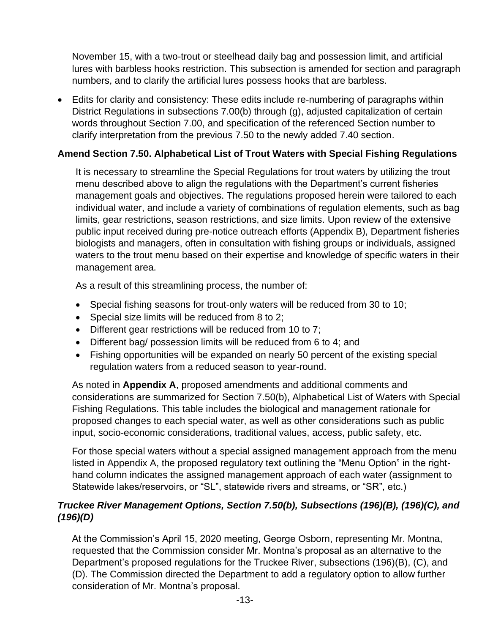November 15, with a two-trout or steelhead daily bag and possession limit, and artificial lures with barbless hooks restriction. This subsection is amended for section and paragraph numbers, and to clarify the artificial lures possess hooks that are barbless.

• Edits for clarity and consistency: These edits include re-numbering of paragraphs within District Regulations in subsections 7.00(b) through (g), adjusted capitalization of certain words throughout Section 7.00, and specification of the referenced Section number to clarify interpretation from the previous 7.50 to the newly added 7.40 section.

# **Amend Section 7.50. Alphabetical List of Trout Waters with Special Fishing Regulations**

It is necessary to streamline the Special Regulations for trout waters by utilizing the trout menu described above to align the regulations with the Department's current fisheries management goals and objectives. The regulations proposed herein were tailored to each individual water, and include a variety of combinations of regulation elements, such as bag limits, gear restrictions, season restrictions, and size limits. Upon review of the extensive public input received during pre-notice outreach efforts (Appendix B), Department fisheries biologists and managers, often in consultation with fishing groups or individuals, assigned waters to the trout menu based on their expertise and knowledge of specific waters in their management area.

As a result of this streamlining process, the number of:

- Special fishing seasons for trout-only waters will be reduced from 30 to 10;
- Special size limits will be reduced from 8 to 2;
- Different gear restrictions will be reduced from 10 to 7;
- Different bag/ possession limits will be reduced from 6 to 4; and
- Fishing opportunities will be expanded on nearly 50 percent of the existing special regulation waters from a reduced season to year-round.

As noted in **Appendix A**, proposed amendments and additional comments and considerations are summarized for Section 7.50(b), Alphabetical List of Waters with Special Fishing Regulations. This table includes the biological and management rationale for proposed changes to each special water, as well as other considerations such as public input, socio-economic considerations, traditional values, access, public safety, etc.

For those special waters without a special assigned management approach from the menu listed in Appendix A, the proposed regulatory text outlining the "Menu Option" in the righthand column indicates the assigned management approach of each water (assignment to Statewide lakes/reservoirs, or "SL", statewide rivers and streams, or "SR", etc.)

## *Truckee River Management Options, Section 7.50(b), Subsections (196)(B), (196)(C), and (196)(D)*

At the Commission's April 15, 2020 meeting, George Osborn, representing Mr. Montna, requested that the Commission consider Mr. Montna's proposal as an alternative to the Department's proposed regulations for the Truckee River, subsections (196)(B), (C), and (D). The Commission directed the Department to add a regulatory option to allow further consideration of Mr. Montna's proposal.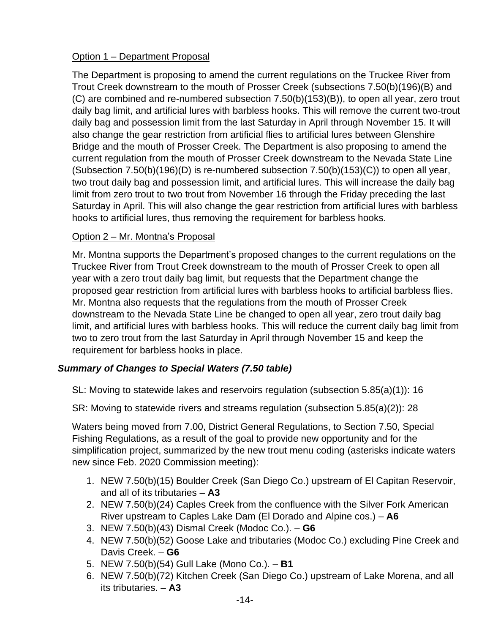## Option 1 – Department Proposal

The Department is proposing to amend the current regulations on the Truckee River from Trout Creek downstream to the mouth of Prosser Creek (subsections 7.50(b)(196)(B) and (C) are combined and re-numbered subsection 7.50(b)(153)(B)), to open all year, zero trout daily bag limit, and artificial lures with barbless hooks. This will remove the current two-trout daily bag and possession limit from the last Saturday in April through November 15. It will also change the gear restriction from artificial flies to artificial lures between Glenshire Bridge and the mouth of Prosser Creek. The Department is also proposing to amend the current regulation from the mouth of Prosser Creek downstream to the Nevada State Line (Subsection  $7.50(b)(196)(D)$  is re-numbered subsection  $7.50(b)(153)(C)$ ) to open all year, two trout daily bag and possession limit, and artificial lures. This will increase the daily bag limit from zero trout to two trout from November 16 through the Friday preceding the last Saturday in April. This will also change the gear restriction from artificial lures with barbless hooks to artificial lures, thus removing the requirement for barbless hooks.

### Option 2 – Mr. Montna's Proposal

Mr. Montna supports the Department's proposed changes to the current regulations on the Truckee River from Trout Creek downstream to the mouth of Prosser Creek to open all year with a zero trout daily bag limit, but requests that the Department change the proposed gear restriction from artificial lures with barbless hooks to artificial barbless flies. Mr. Montna also requests that the regulations from the mouth of Prosser Creek downstream to the Nevada State Line be changed to open all year, zero trout daily bag limit, and artificial lures with barbless hooks. This will reduce the current daily bag limit from two to zero trout from the last Saturday in April through November 15 and keep the requirement for barbless hooks in place.

# *Summary of Changes to Special Waters (7.50 table)*

SL: Moving to statewide lakes and reservoirs regulation (subsection 5.85(a)(1)): 16

SR: Moving to statewide rivers and streams regulation (subsection 5.85(a)(2)): 28

Waters being moved from 7.00, District General Regulations, to Section 7.50, Special Fishing Regulations, as a result of the goal to provide new opportunity and for the simplification project, summarized by the new trout menu coding (asterisks indicate waters new since Feb. 2020 Commission meeting):

- 1. NEW 7.50(b)(15) Boulder Creek (San Diego Co.) upstream of El Capitan Reservoir, and all of its tributaries – **A3**
- 2. NEW 7.50(b)(24) Caples Creek from the confluence with the Silver Fork American River upstream to Caples Lake Dam (El Dorado and Alpine cos.) – **A6**
- 3. NEW 7.50(b)(43) Dismal Creek (Modoc Co.). **G6**
- 4. NEW 7.50(b)(52) Goose Lake and tributaries (Modoc Co.) excluding Pine Creek and Davis Creek. – **G6**
- 5. NEW 7.50(b)(54) Gull Lake (Mono Co.). **B1**
- 6. NEW 7.50(b)(72) Kitchen Creek (San Diego Co.) upstream of Lake Morena, and all its tributaries. – **A3**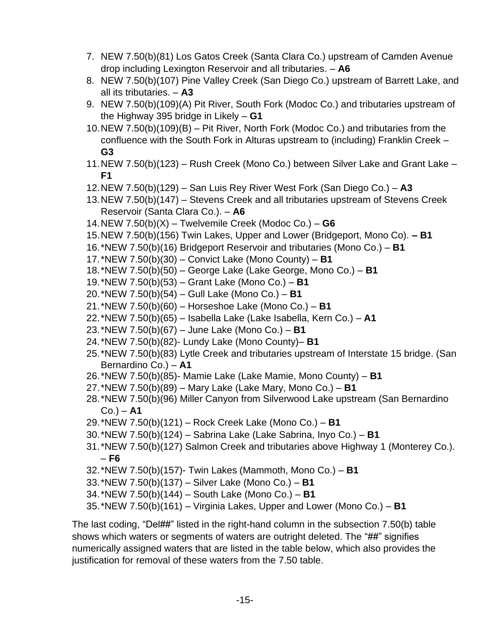- 7. NEW 7.50(b)(81) Los Gatos Creek (Santa Clara Co.) upstream of Camden Avenue drop including Lexington Reservoir and all tributaries. – **A6**
- 8. NEW 7.50(b)(107) Pine Valley Creek (San Diego Co.) upstream of Barrett Lake, and all its tributaries. – **A3**
- 9. NEW 7.50(b)(109)(A) Pit River, South Fork (Modoc Co.) and tributaries upstream of the Highway 395 bridge in Likely – **G1**
- 10.NEW 7.50(b)(109)(B) Pit River, North Fork (Modoc Co.) and tributaries from the confluence with the South Fork in Alturas upstream to (including) Franklin Creek – **G3**
- 11.NEW 7.50(b)(123) Rush Creek (Mono Co.) between Silver Lake and Grant Lake **F1**
- 12.NEW 7.50(b)(129) San Luis Rey River West Fork (San Diego Co.) **A3**
- 13.NEW 7.50(b)(147) Stevens Creek and all tributaries upstream of Stevens Creek Reservoir (Santa Clara Co.). – **A6**
- 14.NEW 7.50(b)(X) Twelvemile Creek (Modoc Co.) **G6**
- 15.NEW 7.50(b)(156) Twin Lakes, Upper and Lower (Bridgeport, Mono Co). **– B1**
- 16.\*NEW 7.50(b)(16) Bridgeport Reservoir and tributaries (Mono Co.) **B1**
- 17.\*NEW 7.50(b)(30) Convict Lake (Mono County) **B1**
- 18.\*NEW 7.50(b)(50) George Lake (Lake George, Mono Co.) **B1**
- 19.\*NEW 7.50(b)(53) Grant Lake (Mono Co.) **B1**
- 20.\*NEW 7.50(b)(54) Gull Lake (Mono Co.) **B1**
- 21.\*NEW 7.50(b)(60) Horseshoe Lake (Mono Co.) **B1**
- 22.\*NEW 7.50(b)(65) Isabella Lake (Lake Isabella, Kern Co.) **A1**
- 23.\*NEW 7.50(b)(67) June Lake (Mono Co.) **B1**
- 24.\*NEW 7.50(b)(82)- Lundy Lake (Mono County)– **B1**
- 25.\*NEW 7.50(b)(83) Lytle Creek and tributaries upstream of Interstate 15 bridge. (San Bernardino Co.) – **A1**
- 26.\*NEW 7.50(b)(85)- Mamie Lake (Lake Mamie, Mono County) **B1**
- 27.\*NEW 7.50(b)(89) Mary Lake (Lake Mary, Mono Co.) **B1**
- 28.\*NEW 7.50(b)(96) Miller Canyon from Silverwood Lake upstream (San Bernardino Co.) – **A1**
- 29.\*NEW 7.50(b)(121) Rock Creek Lake (Mono Co.) **B1**
- 30.\*NEW 7.50(b)(124) Sabrina Lake (Lake Sabrina, Inyo Co.) **B1**
- 31.\*NEW 7.50(b)(127) Salmon Creek and tributaries above Highway 1 (Monterey Co.). – **F6**
- 32.\*NEW 7.50(b)(157)- Twin Lakes (Mammoth, Mono Co.) **B1**
- 33.\*NEW 7.50(b)(137) Silver Lake (Mono Co.) **B1**
- 34.\*NEW 7.50(b)(144) South Lake (Mono Co.) **B1**
- 35.\*NEW 7.50(b)(161) Virginia Lakes, Upper and Lower (Mono Co.) **B1**

The last coding, "Del##" listed in the right-hand column in the subsection 7.50(b) table shows which waters or segments of waters are outright deleted. The "##" signifies numerically assigned waters that are listed in the table below, which also provides the justification for removal of these waters from the 7.50 table.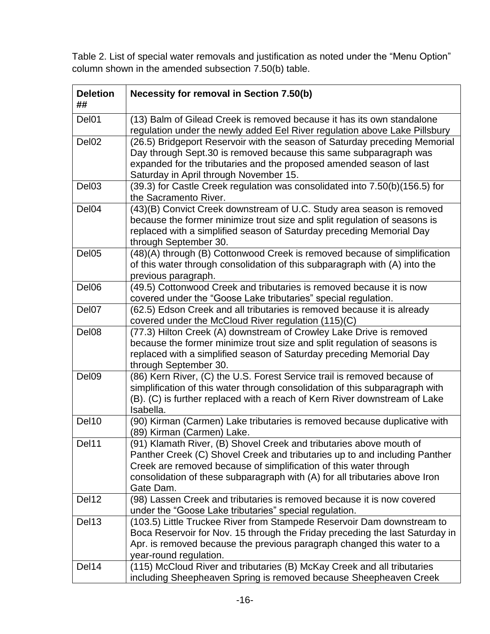Table 2. List of special water removals and justification as noted under the "Menu Option" column shown in the amended subsection 7.50(b) table.

| <b>Deletion</b><br>## | Necessity for removal in Section 7.50(b)                                                                                                                                                                                                                                                                           |
|-----------------------|--------------------------------------------------------------------------------------------------------------------------------------------------------------------------------------------------------------------------------------------------------------------------------------------------------------------|
| Del01                 | (13) Balm of Gilead Creek is removed because it has its own standalone<br>regulation under the newly added Eel River regulation above Lake Pillsbury                                                                                                                                                               |
| Del <sub>02</sub>     | (26.5) Bridgeport Reservoir with the season of Saturday preceding Memorial<br>Day through Sept.30 is removed because this same subparagraph was<br>expanded for the tributaries and the proposed amended season of last<br>Saturday in April through November 15.                                                  |
| Del03                 | (39.3) for Castle Creek regulation was consolidated into 7.50(b)(156.5) for<br>the Sacramento River.                                                                                                                                                                                                               |
| Del04                 | (43)(B) Convict Creek downstream of U.C. Study area season is removed<br>because the former minimize trout size and split regulation of seasons is<br>replaced with a simplified season of Saturday preceding Memorial Day<br>through September 30.                                                                |
| Del <sub>05</sub>     | (48)(A) through (B) Cottonwood Creek is removed because of simplification<br>of this water through consolidation of this subparagraph with (A) into the<br>previous paragraph.                                                                                                                                     |
| Del <sub>06</sub>     | (49.5) Cottonwood Creek and tributaries is removed because it is now<br>covered under the "Goose Lake tributaries" special regulation.                                                                                                                                                                             |
| Del07                 | (62.5) Edson Creek and all tributaries is removed because it is already<br>covered under the McCloud River regulation (115)(C)                                                                                                                                                                                     |
| Del08                 | (77.3) Hilton Creek (A) downstream of Crowley Lake Drive is removed<br>because the former minimize trout size and split regulation of seasons is<br>replaced with a simplified season of Saturday preceding Memorial Day<br>through September 30.                                                                  |
| Del09                 | (86) Kern River, (C) the U.S. Forest Service trail is removed because of<br>simplification of this water through consolidation of this subparagraph with<br>(B). (C) is further replaced with a reach of Kern River downstream of Lake<br>Isabella.                                                                |
| Del10                 | (90) Kirman (Carmen) Lake tributaries is removed because duplicative with<br>(89) Kirman (Carmen) Lake.                                                                                                                                                                                                            |
| Del11                 | (91) Klamath River, (B) Shovel Creek and tributaries above mouth of<br>Panther Creek (C) Shovel Creek and tributaries up to and including Panther<br>Creek are removed because of simplification of this water through<br>consolidation of these subparagraph with (A) for all tributaries above Iron<br>Gate Dam. |
| Del12                 | (98) Lassen Creek and tributaries is removed because it is now covered<br>under the "Goose Lake tributaries" special regulation.                                                                                                                                                                                   |
| Del13                 | (103.5) Little Truckee River from Stampede Reservoir Dam downstream to<br>Boca Reservoir for Nov. 15 through the Friday preceding the last Saturday in<br>Apr. is removed because the previous paragraph changed this water to a<br>year-round regulation.                                                         |
| Del14                 | (115) McCloud River and tributaries (B) McKay Creek and all tributaries<br>including Sheepheaven Spring is removed because Sheepheaven Creek                                                                                                                                                                       |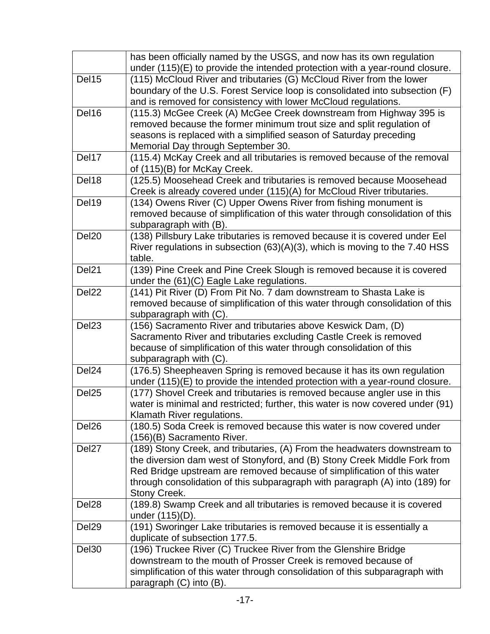|                   | has been officially named by the USGS, and now has its own regulation<br>under (115)(E) to provide the intended protection with a year-round closure.                                                                                                                                                                             |
|-------------------|-----------------------------------------------------------------------------------------------------------------------------------------------------------------------------------------------------------------------------------------------------------------------------------------------------------------------------------|
| Del15             | (115) McCloud River and tributaries (G) McCloud River from the lower<br>boundary of the U.S. Forest Service loop is consolidated into subsection (F)<br>and is removed for consistency with lower McCloud regulations.                                                                                                            |
| Del16             | (115.3) McGee Creek (A) McGee Creek downstream from Highway 395 is<br>removed because the former minimum trout size and split regulation of<br>seasons is replaced with a simplified season of Saturday preceding<br>Memorial Day through September 30.                                                                           |
| Del17             | (115.4) McKay Creek and all tributaries is removed because of the removal<br>of (115)(B) for McKay Creek.                                                                                                                                                                                                                         |
| Del18             | (125.5) Moosehead Creek and tributaries is removed because Moosehead<br>Creek is already covered under (115)(A) for McCloud River tributaries.                                                                                                                                                                                    |
| Del19             | (134) Owens River (C) Upper Owens River from fishing monument is<br>removed because of simplification of this water through consolidation of this<br>subparagraph with (B).                                                                                                                                                       |
| Del <sub>20</sub> | (138) Pillsbury Lake tributaries is removed because it is covered under Eel<br>River regulations in subsection $(63)(A)(3)$ , which is moving to the 7.40 HSS<br>table.                                                                                                                                                           |
| Del <sub>21</sub> | (139) Pine Creek and Pine Creek Slough is removed because it is covered<br>under the (61)(C) Eagle Lake regulations.                                                                                                                                                                                                              |
| Del <sub>22</sub> | (141) Pit River (D) From Pit No. 7 dam downstream to Shasta Lake is<br>removed because of simplification of this water through consolidation of this<br>subparagraph with (C).                                                                                                                                                    |
| Del <sub>23</sub> | (156) Sacramento River and tributaries above Keswick Dam, (D)<br>Sacramento River and tributaries excluding Castle Creek is removed<br>because of simplification of this water through consolidation of this<br>subparagraph with (C).                                                                                            |
| Del <sub>24</sub> | (176.5) Sheepheaven Spring is removed because it has its own regulation<br>under (115)(E) to provide the intended protection with a year-round closure.                                                                                                                                                                           |
| Del <sub>25</sub> | (177) Shovel Creek and tributaries is removed because angler use in this<br>water is minimal and restricted; further, this water is now covered under (91)<br>Klamath River regulations.                                                                                                                                          |
| Del <sub>26</sub> | (180.5) Soda Creek is removed because this water is now covered under<br>(156)(B) Sacramento River.                                                                                                                                                                                                                               |
| Del <sub>27</sub> | (189) Stony Creek, and tributaries, (A) From the headwaters downstream to<br>the diversion dam west of Stonyford, and (B) Stony Creek Middle Fork from<br>Red Bridge upstream are removed because of simplification of this water<br>through consolidation of this subparagraph with paragraph (A) into (189) for<br>Stony Creek. |
| Del <sub>28</sub> | (189.8) Swamp Creek and all tributaries is removed because it is covered<br>under $(115)(D)$ .                                                                                                                                                                                                                                    |
| Del <sub>29</sub> | (191) Sworinger Lake tributaries is removed because it is essentially a<br>duplicate of subsection 177.5.                                                                                                                                                                                                                         |
| Del <sub>30</sub> | (196) Truckee River (C) Truckee River from the Glenshire Bridge<br>downstream to the mouth of Prosser Creek is removed because of<br>simplification of this water through consolidation of this subparagraph with<br>paragraph (C) into (B).                                                                                      |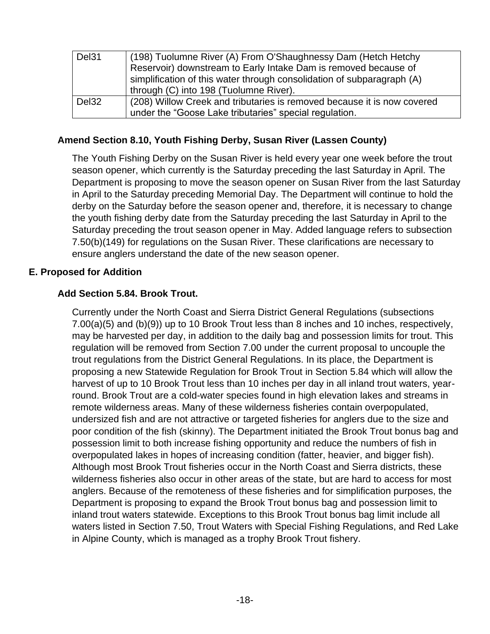| Del <sub>31</sub> | (198) Tuolumne River (A) From O'Shaughnessy Dam (Hetch Hetchy           |
|-------------------|-------------------------------------------------------------------------|
|                   | Reservoir) downstream to Early Intake Dam is removed because of         |
|                   | simplification of this water through consolidation of subparagraph (A)  |
|                   | through (C) into 198 (Tuolumne River).                                  |
| Del <sub>32</sub> | (208) Willow Creek and tributaries is removed because it is now covered |
|                   | under the "Goose Lake tributaries" special regulation.                  |

### **Amend Section 8.10, Youth Fishing Derby, Susan River (Lassen County)**

The Youth Fishing Derby on the Susan River is held every year one week before the trout season opener, which currently is the Saturday preceding the last Saturday in April. The Department is proposing to move the season opener on Susan River from the last Saturday in April to the Saturday preceding Memorial Day. The Department will continue to hold the derby on the Saturday before the season opener and, therefore, it is necessary to change the youth fishing derby date from the Saturday preceding the last Saturday in April to the Saturday preceding the trout season opener in May. Added language refers to subsection 7.50(b)(149) for regulations on the Susan River. These clarifications are necessary to ensure anglers understand the date of the new season opener.

### **E. Proposed for Addition**

# **Add Section 5.84. Brook Trout.**

Currently under the North Coast and Sierra District General Regulations (subsections 7.00(a)(5) and (b)(9)) up to 10 Brook Trout less than 8 inches and 10 inches, respectively, may be harvested per day, in addition to the daily bag and possession limits for trout. This regulation will be removed from Section 7.00 under the current proposal to uncouple the trout regulations from the District General Regulations. In its place, the Department is proposing a new Statewide Regulation for Brook Trout in Section 5.84 which will allow the harvest of up to 10 Brook Trout less than 10 inches per day in all inland trout waters, yearround. Brook Trout are a cold-water species found in high elevation lakes and streams in remote wilderness areas. Many of these wilderness fisheries contain overpopulated, undersized fish and are not attractive or targeted fisheries for anglers due to the size and poor condition of the fish (skinny). The Department initiated the Brook Trout bonus bag and possession limit to both increase fishing opportunity and reduce the numbers of fish in overpopulated lakes in hopes of increasing condition (fatter, heavier, and bigger fish). Although most Brook Trout fisheries occur in the North Coast and Sierra districts, these wilderness fisheries also occur in other areas of the state, but are hard to access for most anglers. Because of the remoteness of these fisheries and for simplification purposes, the Department is proposing to expand the Brook Trout bonus bag and possession limit to inland trout waters statewide. Exceptions to this Brook Trout bonus bag limit include all waters listed in Section 7.50, Trout Waters with Special Fishing Regulations, and Red Lake in Alpine County, which is managed as a trophy Brook Trout fishery.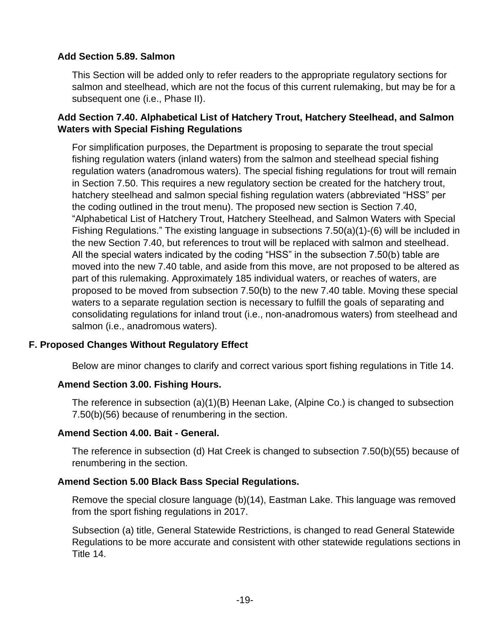### **Add Section 5.89. Salmon**

This Section will be added only to refer readers to the appropriate regulatory sections for salmon and steelhead, which are not the focus of this current rulemaking, but may be for a subsequent one (i.e., Phase II).

#### **Add Section 7.40. Alphabetical List of Hatchery Trout, Hatchery Steelhead, and Salmon Waters with Special Fishing Regulations**

For simplification purposes, the Department is proposing to separate the trout special fishing regulation waters (inland waters) from the salmon and steelhead special fishing regulation waters (anadromous waters). The special fishing regulations for trout will remain in Section 7.50. This requires a new regulatory section be created for the hatchery trout, hatchery steelhead and salmon special fishing regulation waters (abbreviated "HSS" per the coding outlined in the trout menu). The proposed new section is Section 7.40, "Alphabetical List of Hatchery Trout, Hatchery Steelhead, and Salmon Waters with Special Fishing Regulations." The existing language in subsections 7.50(a)(1)-(6) will be included in the new Section 7.40, but references to trout will be replaced with salmon and steelhead. All the special waters indicated by the coding "HSS" in the subsection 7.50(b) table are moved into the new 7.40 table, and aside from this move, are not proposed to be altered as part of this rulemaking. Approximately 185 individual waters, or reaches of waters, are proposed to be moved from subsection 7.50(b) to the new 7.40 table. Moving these special waters to a separate regulation section is necessary to fulfill the goals of separating and consolidating regulations for inland trout (i.e., non-anadromous waters) from steelhead and salmon (i.e., anadromous waters).

### **F. Proposed Changes Without Regulatory Effect**

Below are minor changes to clarify and correct various sport fishing regulations in Title 14.

#### **Amend Section 3.00. Fishing Hours.**

The reference in subsection (a)(1)(B) Heenan Lake, (Alpine Co.) is changed to subsection 7.50(b)(56) because of renumbering in the section.

#### **Amend Section 4.00. Bait - General.**

The reference in subsection (d) Hat Creek is changed to subsection 7.50(b)(55) because of renumbering in the section.

#### **Amend Section 5.00 Black Bass Special Regulations.**

Remove the special closure language (b)(14), Eastman Lake. This language was removed from the sport fishing regulations in 2017.

Subsection (a) title, General Statewide Restrictions, is changed to read General Statewide Regulations to be more accurate and consistent with other statewide regulations sections in Title 14.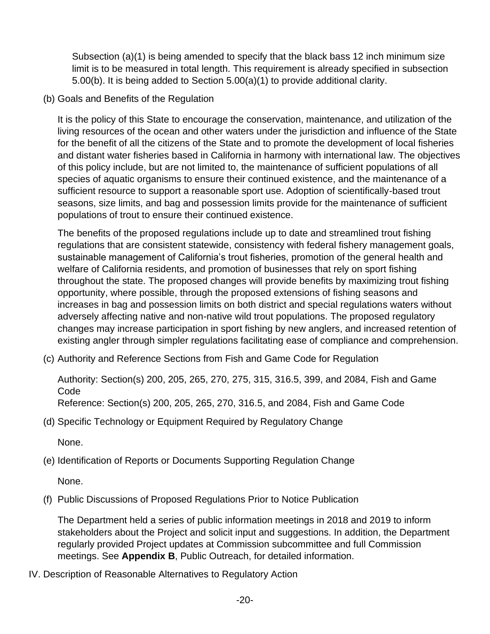Subsection (a)(1) is being amended to specify that the black bass 12 inch minimum size limit is to be measured in total length. This requirement is already specified in subsection 5.00(b). It is being added to Section 5.00(a)(1) to provide additional clarity.

(b) Goals and Benefits of the Regulation

It is the policy of this State to encourage the conservation, maintenance, and utilization of the living resources of the ocean and other waters under the jurisdiction and influence of the State for the benefit of all the citizens of the State and to promote the development of local fisheries and distant water fisheries based in California in harmony with international law. The objectives of this policy include, but are not limited to, the maintenance of sufficient populations of all species of aquatic organisms to ensure their continued existence, and the maintenance of a sufficient resource to support a reasonable sport use. Adoption of scientifically-based trout seasons, size limits, and bag and possession limits provide for the maintenance of sufficient populations of trout to ensure their continued existence.

The benefits of the proposed regulations include up to date and streamlined trout fishing regulations that are consistent statewide, consistency with federal fishery management goals, sustainable management of California's trout fisheries, promotion of the general health and welfare of California residents, and promotion of businesses that rely on sport fishing throughout the state. The proposed changes will provide benefits by maximizing trout fishing opportunity, where possible, through the proposed extensions of fishing seasons and increases in bag and possession limits on both district and special regulations waters without adversely affecting native and non-native wild trout populations. The proposed regulatory changes may increase participation in sport fishing by new anglers, and increased retention of existing angler through simpler regulations facilitating ease of compliance and comprehension.

(c) Authority and Reference Sections from Fish and Game Code for Regulation

Authority: Section(s) 200, 205, 265, 270, 275, 315, 316.5, 399, and 2084, Fish and Game Code

Reference: Section(s) 200, 205, 265, 270, 316.5, and 2084, Fish and Game Code

(d) Specific Technology or Equipment Required by Regulatory Change

None.

(e) Identification of Reports or Documents Supporting Regulation Change

None.

(f) Public Discussions of Proposed Regulations Prior to Notice Publication

The Department held a series of public information meetings in 2018 and 2019 to inform stakeholders about the Project and solicit input and suggestions. In addition, the Department regularly provided Project updates at Commission subcommittee and full Commission meetings. See **Appendix B**, Public Outreach, for detailed information.

IV. Description of Reasonable Alternatives to Regulatory Action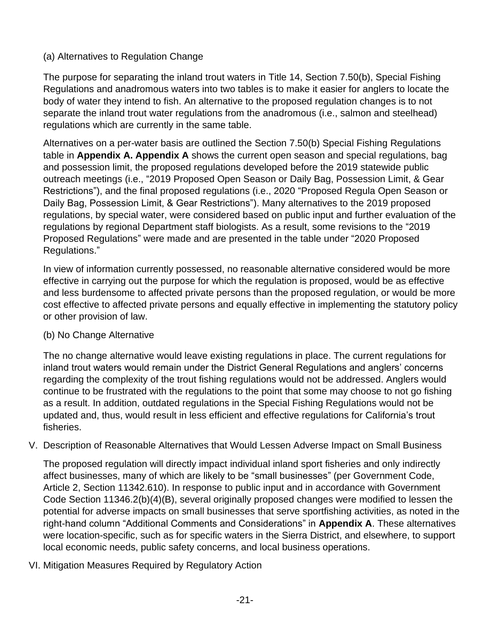### (a) Alternatives to Regulation Change

The purpose for separating the inland trout waters in Title 14, Section 7.50(b), Special Fishing Regulations and anadromous waters into two tables is to make it easier for anglers to locate the body of water they intend to fish. An alternative to the proposed regulation changes is to not separate the inland trout water regulations from the anadromous (i.e., salmon and steelhead) regulations which are currently in the same table.

Alternatives on a per-water basis are outlined the Section 7.50(b) Special Fishing Regulations table in **Appendix A. Appendix A** shows the current open season and special regulations, bag and possession limit, the proposed regulations developed before the 2019 statewide public outreach meetings (i.e., "2019 Proposed Open Season or Daily Bag, Possession Limit, & Gear Restrictions"), and the final proposed regulations (i.e., 2020 "Proposed Regula Open Season or Daily Bag, Possession Limit, & Gear Restrictions"). Many alternatives to the 2019 proposed regulations, by special water, were considered based on public input and further evaluation of the regulations by regional Department staff biologists. As a result, some revisions to the "2019 Proposed Regulations" were made and are presented in the table under "2020 Proposed Regulations."

In view of information currently possessed, no reasonable alternative considered would be more effective in carrying out the purpose for which the regulation is proposed, would be as effective and less burdensome to affected private persons than the proposed regulation, or would be more cost effective to affected private persons and equally effective in implementing the statutory policy or other provision of law.

### (b) No Change Alternative

The no change alternative would leave existing regulations in place. The current regulations for inland trout waters would remain under the District General Regulations and anglers' concerns regarding the complexity of the trout fishing regulations would not be addressed. Anglers would continue to be frustrated with the regulations to the point that some may choose to not go fishing as a result. In addition, outdated regulations in the Special Fishing Regulations would not be updated and, thus, would result in less efficient and effective regulations for California's trout fisheries.

V. Description of Reasonable Alternatives that Would Lessen Adverse Impact on Small Business

The proposed regulation will directly impact individual inland sport fisheries and only indirectly affect businesses, many of which are likely to be "small businesses" (per Government Code, Article 2, Section 11342.610). In response to public input and in accordance with Government Code Section 11346.2(b)(4)(B), several originally proposed changes were modified to lessen the potential for adverse impacts on small businesses that serve sportfishing activities, as noted in the right-hand column "Additional Comments and Considerations" in **Appendix A**. These alternatives were location-specific, such as for specific waters in the Sierra District, and elsewhere, to support local economic needs, public safety concerns, and local business operations.

VI. Mitigation Measures Required by Regulatory Action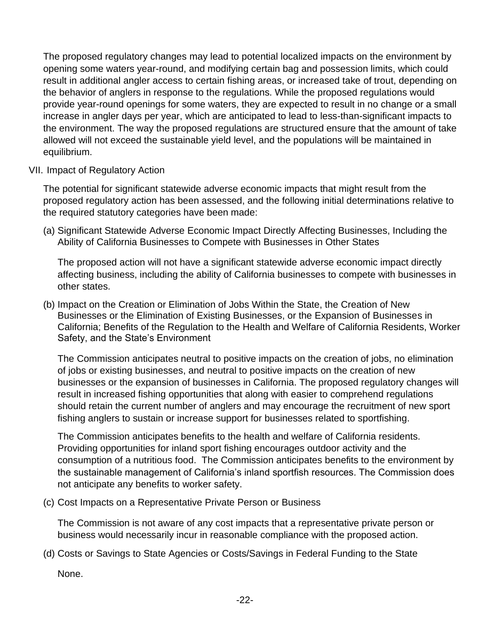The proposed regulatory changes may lead to potential localized impacts on the environment by opening some waters year-round, and modifying certain bag and possession limits, which could result in additional angler access to certain fishing areas, or increased take of trout, depending on the behavior of anglers in response to the regulations. While the proposed regulations would provide year-round openings for some waters, they are expected to result in no change or a small increase in angler days per year, which are anticipated to lead to less-than-significant impacts to the environment. The way the proposed regulations are structured ensure that the amount of take allowed will not exceed the sustainable yield level, and the populations will be maintained in equilibrium.

#### VII. Impact of Regulatory Action

The potential for significant statewide adverse economic impacts that might result from the proposed regulatory action has been assessed, and the following initial determinations relative to the required statutory categories have been made:

(a) Significant Statewide Adverse Economic Impact Directly Affecting Businesses, Including the Ability of California Businesses to Compete with Businesses in Other States

The proposed action will not have a significant statewide adverse economic impact directly affecting business, including the ability of California businesses to compete with businesses in other states.

(b) Impact on the Creation or Elimination of Jobs Within the State, the Creation of New Businesses or the Elimination of Existing Businesses, or the Expansion of Businesses in California; Benefits of the Regulation to the Health and Welfare of California Residents, Worker Safety, and the State's Environment

The Commission anticipates neutral to positive impacts on the creation of jobs, no elimination of jobs or existing businesses, and neutral to positive impacts on the creation of new businesses or the expansion of businesses in California. The proposed regulatory changes will result in increased fishing opportunities that along with easier to comprehend regulations should retain the current number of anglers and may encourage the recruitment of new sport fishing anglers to sustain or increase support for businesses related to sportfishing.

The Commission anticipates benefits to the health and welfare of California residents. Providing opportunities for inland sport fishing encourages outdoor activity and the consumption of a nutritious food. The Commission anticipates benefits to the environment by the sustainable management of California's inland sportfish resources. The Commission does not anticipate any benefits to worker safety.

(c) Cost Impacts on a Representative Private Person or Business

The Commission is not aware of any cost impacts that a representative private person or business would necessarily incur in reasonable compliance with the proposed action.

(d) Costs or Savings to State Agencies or Costs/Savings in Federal Funding to the State

None.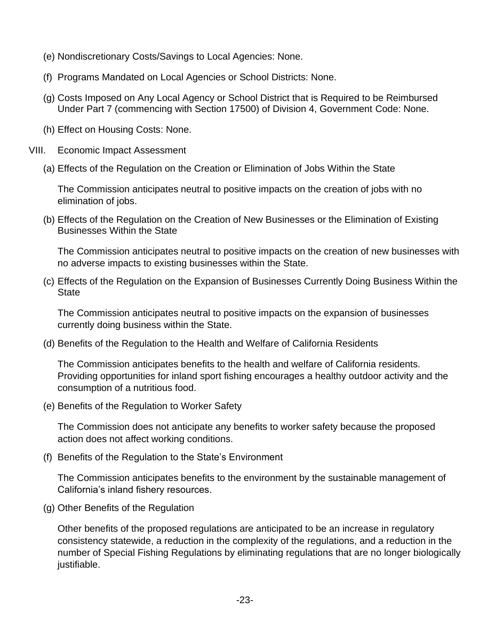- (e) Nondiscretionary Costs/Savings to Local Agencies: None.
- (f) Programs Mandated on Local Agencies or School Districts: None.
- (g) Costs Imposed on Any Local Agency or School District that is Required to be Reimbursed Under Part 7 (commencing with Section 17500) of Division 4, Government Code: None.
- (h) Effect on Housing Costs: None.
- VIII. Economic Impact Assessment
	- (a) Effects of the Regulation on the Creation or Elimination of Jobs Within the State

The Commission anticipates neutral to positive impacts on the creation of jobs with no elimination of jobs.

(b) Effects of the Regulation on the Creation of New Businesses or the Elimination of Existing Businesses Within the State

The Commission anticipates neutral to positive impacts on the creation of new businesses with no adverse impacts to existing businesses within the State.

(c) Effects of the Regulation on the Expansion of Businesses Currently Doing Business Within the **State** 

The Commission anticipates neutral to positive impacts on the expansion of businesses currently doing business within the State.

(d) Benefits of the Regulation to the Health and Welfare of California Residents

The Commission anticipates benefits to the health and welfare of California residents. Providing opportunities for inland sport fishing encourages a healthy outdoor activity and the consumption of a nutritious food.

(e) Benefits of the Regulation to Worker Safety

The Commission does not anticipate any benefits to worker safety because the proposed action does not affect working conditions.

(f) Benefits of the Regulation to the State's Environment

The Commission anticipates benefits to the environment by the sustainable management of California's inland fishery resources.

(g) Other Benefits of the Regulation

Other benefits of the proposed regulations are anticipated to be an increase in regulatory consistency statewide, a reduction in the complexity of the regulations, and a reduction in the number of Special Fishing Regulations by eliminating regulations that are no longer biologically justifiable.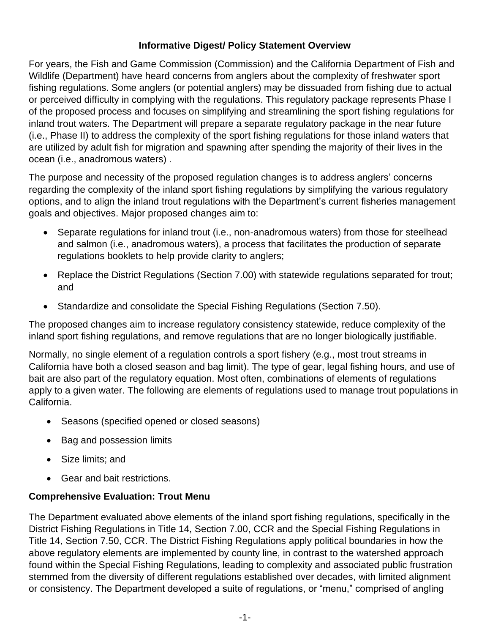### **Informative Digest/ Policy Statement Overview**

For years, the Fish and Game Commission (Commission) and the California Department of Fish and Wildlife (Department) have heard concerns from anglers about the complexity of freshwater sport fishing regulations. Some anglers (or potential anglers) may be dissuaded from fishing due to actual or perceived difficulty in complying with the regulations. This regulatory package represents Phase I of the proposed process and focuses on simplifying and streamlining the sport fishing regulations for inland trout waters. The Department will prepare a separate regulatory package in the near future (i.e., Phase II) to address the complexity of the sport fishing regulations for those inland waters that are utilized by adult fish for migration and spawning after spending the majority of their lives in the ocean (i.e., anadromous waters) .

The purpose and necessity of the proposed regulation changes is to address anglers' concerns regarding the complexity of the inland sport fishing regulations by simplifying the various regulatory options, and to align the inland trout regulations with the Department's current fisheries management goals and objectives. Major proposed changes aim to:

- Separate regulations for inland trout (i.e., non-anadromous waters) from those for steelhead and salmon (i.e., anadromous waters), a process that facilitates the production of separate regulations booklets to help provide clarity to anglers;
- Replace the District Regulations (Section 7.00) with statewide regulations separated for trout; and
- Standardize and consolidate the Special Fishing Regulations (Section 7.50).

The proposed changes aim to increase regulatory consistency statewide, reduce complexity of the inland sport fishing regulations, and remove regulations that are no longer biologically justifiable.

Normally, no single element of a regulation controls a sport fishery (e.g., most trout streams in California have both a closed season and bag limit). The type of gear, legal fishing hours, and use of bait are also part of the regulatory equation. Most often, combinations of elements of regulations apply to a given water. The following are elements of regulations used to manage trout populations in California.

- Seasons (specified opened or closed seasons)
- Bag and possession limits
- Size limits: and
- Gear and bait restrictions.

# **Comprehensive Evaluation: Trout Menu**

The Department evaluated above elements of the inland sport fishing regulations, specifically in the District Fishing Regulations in Title 14, Section 7.00, CCR and the Special Fishing Regulations in Title 14, Section 7.50, CCR. The District Fishing Regulations apply political boundaries in how the above regulatory elements are implemented by county line, in contrast to the watershed approach found within the Special Fishing Regulations, leading to complexity and associated public frustration stemmed from the diversity of different regulations established over decades, with limited alignment or consistency. The Department developed a suite of regulations, or "menu," comprised of angling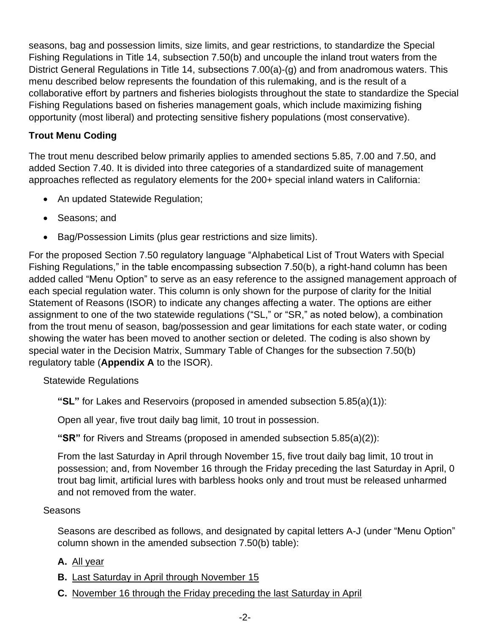seasons, bag and possession limits, size limits, and gear restrictions, to standardize the Special Fishing Regulations in Title 14, subsection 7.50(b) and uncouple the inland trout waters from the District General Regulations in Title 14, subsections 7.00(a)-(g) and from anadromous waters. This menu described below represents the foundation of this rulemaking, and is the result of a collaborative effort by partners and fisheries biologists throughout the state to standardize the Special Fishing Regulations based on fisheries management goals, which include maximizing fishing opportunity (most liberal) and protecting sensitive fishery populations (most conservative).

### **Trout Menu Coding**

The trout menu described below primarily applies to amended sections 5.85, 7.00 and 7.50, and added Section 7.40. It is divided into three categories of a standardized suite of management approaches reflected as regulatory elements for the 200+ special inland waters in California:

- An updated Statewide Regulation;
- Seasons; and
- Bag/Possession Limits (plus gear restrictions and size limits).

For the proposed Section 7.50 regulatory language "Alphabetical List of Trout Waters with Special Fishing Regulations," in the table encompassing subsection 7.50(b), a right-hand column has been added called "Menu Option" to serve as an easy reference to the assigned management approach of each special regulation water. This column is only shown for the purpose of clarity for the Initial Statement of Reasons (ISOR) to indicate any changes affecting a water. The options are either assignment to one of the two statewide regulations ("SL," or "SR," as noted below), a combination from the trout menu of season, bag/possession and gear limitations for each state water, or coding showing the water has been moved to another section or deleted. The coding is also shown by special water in the Decision Matrix, Summary Table of Changes for the subsection 7.50(b) regulatory table (**Appendix A** to the ISOR).

Statewide Regulations

**"SL"** for Lakes and Reservoirs (proposed in amended subsection 5.85(a)(1)):

Open all year, five trout daily bag limit, 10 trout in possession.

**"SR"** for Rivers and Streams (proposed in amended subsection 5.85(a)(2)):

From the last Saturday in April through November 15, five trout daily bag limit, 10 trout in possession; and, from November 16 through the Friday preceding the last Saturday in April, 0 trout bag limit, artificial lures with barbless hooks only and trout must be released unharmed and not removed from the water.

#### **Seasons**

Seasons are described as follows, and designated by capital letters A-J (under "Menu Option" column shown in the amended subsection 7.50(b) table):

- **A.** All year
- **B.** Last Saturday in April through November 15
- **C.** November 16 through the Friday preceding the last Saturday in April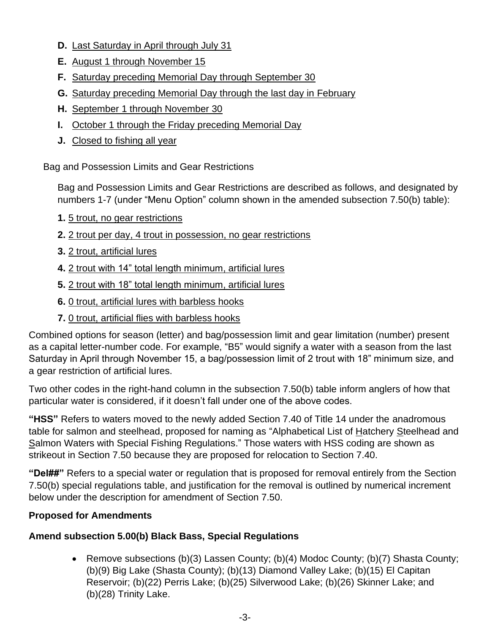- **D.** Last Saturday in April through July 31
- **E.** August 1 through November 15
- **F.** Saturday preceding Memorial Day through September 30
- **G.** Saturday preceding Memorial Day through the last day in February
- **H.** September 1 through November 30
- **I.** October 1 through the Friday preceding Memorial Day
- **J.** Closed to fishing all year

Bag and Possession Limits and Gear Restrictions

Bag and Possession Limits and Gear Restrictions are described as follows, and designated by numbers 1-7 (under "Menu Option" column shown in the amended subsection 7.50(b) table):

- **1.** 5 trout, no gear restrictions
- **2.** 2 trout per day, 4 trout in possession, no gear restrictions
- **3.** 2 trout, artificial lures
- **4.** 2 trout with 14" total length minimum, artificial lures
- **5.** 2 trout with 18" total length minimum, artificial lures
- **6.** 0 trout, artificial lures with barbless hooks
- **7.** 0 trout, artificial flies with barbless hooks

Combined options for season (letter) and bag/possession limit and gear limitation (number) present as a capital letter-number code. For example, "B5" would signify a water with a season from the last Saturday in April through November 15, a bag/possession limit of 2 trout with 18" minimum size, and a gear restriction of artificial lures.

Two other codes in the right-hand column in the subsection 7.50(b) table inform anglers of how that particular water is considered, if it doesn't fall under one of the above codes.

**"HSS"** Refers to waters moved to the newly added Section 7.40 of Title 14 under the anadromous table for salmon and steelhead, proposed for naming as "Alphabetical List of Hatchery Steelhead and Salmon Waters with Special Fishing Regulations." Those waters with HSS coding are shown as strikeout in Section 7.50 because they are proposed for relocation to Section 7.40.

**"Del##"** Refers to a special water or regulation that is proposed for removal entirely from the Section 7.50(b) special regulations table, and justification for the removal is outlined by numerical increment below under the description for amendment of Section 7.50.

# **Proposed for Amendments**

# **Amend subsection 5.00(b) Black Bass, Special Regulations**

• Remove subsections (b)(3) Lassen County; (b)(4) Modoc County; (b)(7) Shasta County; (b)(9) Big Lake (Shasta County); (b)(13) Diamond Valley Lake; (b)(15) El Capitan Reservoir; (b)(22) Perris Lake; (b)(25) Silverwood Lake; (b)(26) Skinner Lake; and (b)(28) Trinity Lake.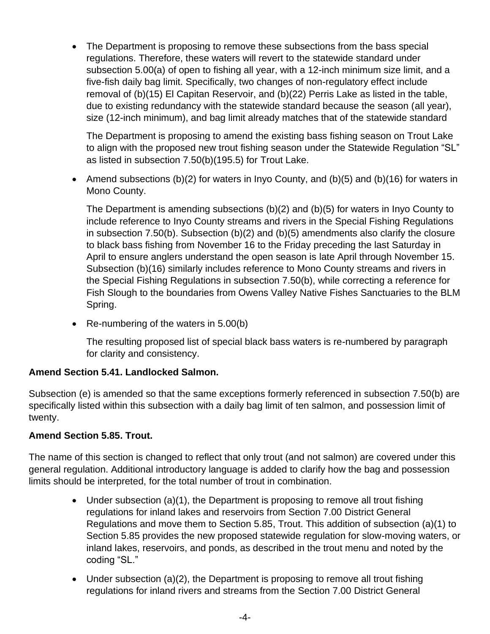• The Department is proposing to remove these subsections from the bass special regulations. Therefore, these waters will revert to the statewide standard under subsection 5.00(a) of open to fishing all year, with a 12-inch minimum size limit, and a five-fish daily bag limit. Specifically, two changes of non-regulatory effect include removal of (b)(15) El Capitan Reservoir, and (b)(22) Perris Lake as listed in the table, due to existing redundancy with the statewide standard because the season (all year), size (12-inch minimum), and bag limit already matches that of the statewide standard

The Department is proposing to amend the existing bass fishing season on Trout Lake to align with the proposed new trout fishing season under the Statewide Regulation "SL" as listed in subsection 7.50(b)(195.5) for Trout Lake.

• Amend subsections (b)(2) for waters in Inyo County, and (b)(5) and (b)(16) for waters in Mono County.

The Department is amending subsections (b)(2) and (b)(5) for waters in Inyo County to include reference to Inyo County streams and rivers in the Special Fishing Regulations in subsection 7.50(b). Subsection (b)(2) and (b)(5) amendments also clarify the closure to black bass fishing from November 16 to the Friday preceding the last Saturday in April to ensure anglers understand the open season is late April through November 15. Subsection (b)(16) similarly includes reference to Mono County streams and rivers in the Special Fishing Regulations in subsection 7.50(b), while correcting a reference for Fish Slough to the boundaries from Owens Valley Native Fishes Sanctuaries to the BLM Spring.

• Re-numbering of the waters in 5.00(b)

The resulting proposed list of special black bass waters is re-numbered by paragraph for clarity and consistency.

#### **Amend Section 5.41. Landlocked Salmon.**

Subsection (e) is amended so that the same exceptions formerly referenced in subsection 7.50(b) are specifically listed within this subsection with a daily bag limit of ten salmon, and possession limit of twenty.

#### **Amend Section 5.85. Trout.**

The name of this section is changed to reflect that only trout (and not salmon) are covered under this general regulation. Additional introductory language is added to clarify how the bag and possession limits should be interpreted, for the total number of trout in combination.

- Under subsection (a)(1), the Department is proposing to remove all trout fishing regulations for inland lakes and reservoirs from Section 7.00 District General Regulations and move them to Section 5.85, Trout. This addition of subsection (a)(1) to Section 5.85 provides the new proposed statewide regulation for slow-moving waters, or inland lakes, reservoirs, and ponds, as described in the trout menu and noted by the coding "SL."
- Under subsection  $(a)(2)$ , the Department is proposing to remove all trout fishing regulations for inland rivers and streams from the Section 7.00 District General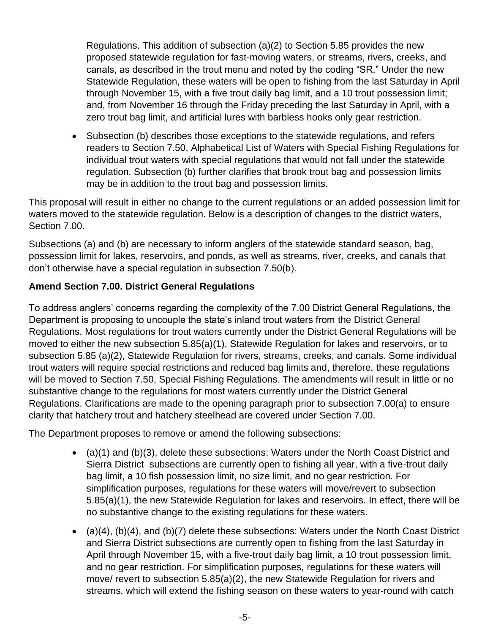Regulations. This addition of subsection (a)(2) to Section 5.85 provides the new proposed statewide regulation for fast-moving waters, or streams, rivers, creeks, and canals, as described in the trout menu and noted by the coding "SR." Under the new Statewide Regulation, these waters will be open to fishing from the last Saturday in April through November 15, with a five trout daily bag limit, and a 10 trout possession limit; and, from November 16 through the Friday preceding the last Saturday in April, with a zero trout bag limit, and artificial lures with barbless hooks only gear restriction.

• Subsection (b) describes those exceptions to the statewide regulations, and refers readers to Section 7.50, Alphabetical List of Waters with Special Fishing Regulations for individual trout waters with special regulations that would not fall under the statewide regulation. Subsection (b) further clarifies that brook trout bag and possession limits may be in addition to the trout bag and possession limits.

This proposal will result in either no change to the current regulations or an added possession limit for waters moved to the statewide regulation. Below is a description of changes to the district waters, Section 7.00.

Subsections (a) and (b) are necessary to inform anglers of the statewide standard season, bag, possession limit for lakes, reservoirs, and ponds, as well as streams, river, creeks, and canals that don't otherwise have a special regulation in subsection 7.50(b).

### **Amend Section 7.00. District General Regulations**

To address anglers' concerns regarding the complexity of the 7.00 District General Regulations, the Department is proposing to uncouple the state's inland trout waters from the District General Regulations. Most regulations for trout waters currently under the District General Regulations will be moved to either the new subsection 5.85(a)(1), Statewide Regulation for lakes and reservoirs, or to subsection 5.85 (a)(2), Statewide Regulation for rivers, streams, creeks, and canals. Some individual trout waters will require special restrictions and reduced bag limits and, therefore, these regulations will be moved to Section 7.50, Special Fishing Regulations. The amendments will result in little or no substantive change to the regulations for most waters currently under the District General Regulations. Clarifications are made to the opening paragraph prior to subsection 7.00(a) to ensure clarity that hatchery trout and hatchery steelhead are covered under Section 7.00.

The Department proposes to remove or amend the following subsections:

- (a)(1) and (b)(3), delete these subsections: Waters under the North Coast District and Sierra District subsections are currently open to fishing all year, with a five-trout daily bag limit, a 10 fish possession limit, no size limit, and no gear restriction. For simplification purposes, regulations for these waters will move/revert to subsection 5.85(a)(1), the new Statewide Regulation for lakes and reservoirs. In effect, there will be no substantive change to the existing regulations for these waters.
- (a)(4), (b)(4), and (b)(7) delete these subsections: Waters under the North Coast District and Sierra District subsections are currently open to fishing from the last Saturday in April through November 15, with a five-trout daily bag limit, a 10 trout possession limit, and no gear restriction. For simplification purposes, regulations for these waters will move/ revert to subsection 5.85(a)(2), the new Statewide Regulation for rivers and streams, which will extend the fishing season on these waters to year-round with catch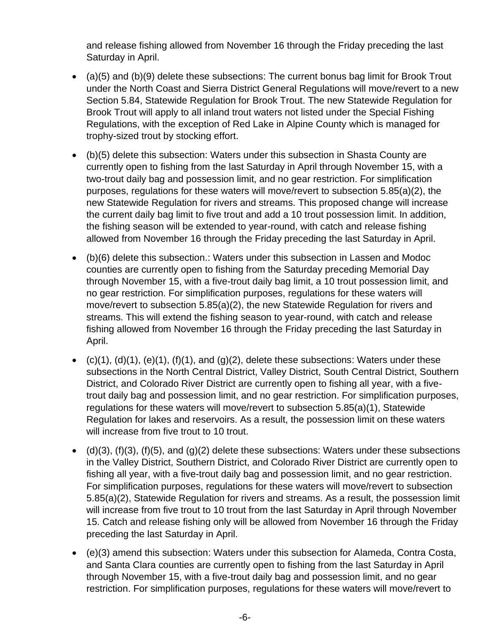and release fishing allowed from November 16 through the Friday preceding the last Saturday in April.

- (a)(5) and (b)(9) delete these subsections: The current bonus bag limit for Brook Trout under the North Coast and Sierra District General Regulations will move/revert to a new Section 5.84, Statewide Regulation for Brook Trout. The new Statewide Regulation for Brook Trout will apply to all inland trout waters not listed under the Special Fishing Regulations, with the exception of Red Lake in Alpine County which is managed for trophy-sized trout by stocking effort.
- (b)(5) delete this subsection: Waters under this subsection in Shasta County are currently open to fishing from the last Saturday in April through November 15, with a two-trout daily bag and possession limit, and no gear restriction. For simplification purposes, regulations for these waters will move/revert to subsection 5.85(a)(2), the new Statewide Regulation for rivers and streams. This proposed change will increase the current daily bag limit to five trout and add a 10 trout possession limit. In addition, the fishing season will be extended to year-round, with catch and release fishing allowed from November 16 through the Friday preceding the last Saturday in April.
- (b)(6) delete this subsection.: Waters under this subsection in Lassen and Modoc counties are currently open to fishing from the Saturday preceding Memorial Day through November 15, with a five-trout daily bag limit, a 10 trout possession limit, and no gear restriction. For simplification purposes, regulations for these waters will move/revert to subsection 5.85(a)(2), the new Statewide Regulation for rivers and streams. This will extend the fishing season to year-round, with catch and release fishing allowed from November 16 through the Friday preceding the last Saturday in April.
- $(c)(1)$ ,  $(d)(1)$ ,  $(e)(1)$ ,  $(f)(1)$ , and  $(g)(2)$ , delete these subsections: Waters under these subsections in the North Central District, Valley District, South Central District, Southern District, and Colorado River District are currently open to fishing all year, with a fivetrout daily bag and possession limit, and no gear restriction. For simplification purposes, regulations for these waters will move/revert to subsection 5.85(a)(1), Statewide Regulation for lakes and reservoirs. As a result, the possession limit on these waters will increase from five trout to 10 trout.
- $\bullet$  (d)(3), (f)(3), (f)(5), and (g)(2) delete these subsections: Waters under these subsections in the Valley District, Southern District, and Colorado River District are currently open to fishing all year, with a five-trout daily bag and possession limit, and no gear restriction. For simplification purposes, regulations for these waters will move/revert to subsection 5.85(a)(2), Statewide Regulation for rivers and streams. As a result, the possession limit will increase from five trout to 10 trout from the last Saturday in April through November 15. Catch and release fishing only will be allowed from November 16 through the Friday preceding the last Saturday in April.
- (e)(3) amend this subsection: Waters under this subsection for Alameda, Contra Costa, and Santa Clara counties are currently open to fishing from the last Saturday in April through November 15, with a five-trout daily bag and possession limit, and no gear restriction. For simplification purposes, regulations for these waters will move/revert to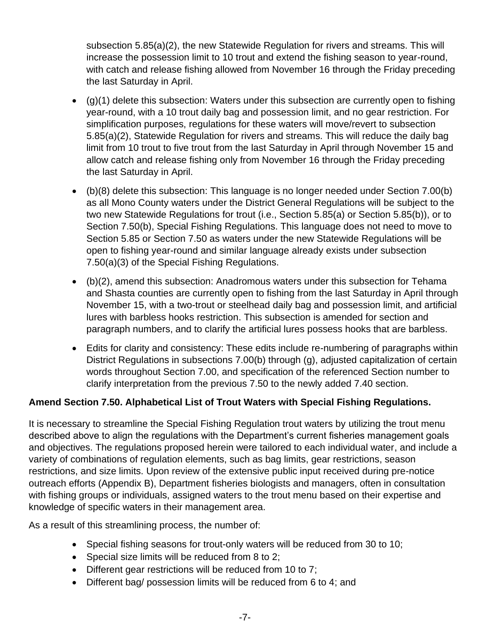subsection 5.85(a)(2), the new Statewide Regulation for rivers and streams. This will increase the possession limit to 10 trout and extend the fishing season to year-round, with catch and release fishing allowed from November 16 through the Friday preceding the last Saturday in April.

- $\bullet$  (g)(1) delete this subsection: Waters under this subsection are currently open to fishing year-round, with a 10 trout daily bag and possession limit, and no gear restriction. For simplification purposes, regulations for these waters will move/revert to subsection 5.85(a)(2), Statewide Regulation for rivers and streams. This will reduce the daily bag limit from 10 trout to five trout from the last Saturday in April through November 15 and allow catch and release fishing only from November 16 through the Friday preceding the last Saturday in April.
- (b)(8) delete this subsection: This language is no longer needed under Section 7.00(b) as all Mono County waters under the District General Regulations will be subject to the two new Statewide Regulations for trout (i.e., Section 5.85(a) or Section 5.85(b)), or to Section 7.50(b), Special Fishing Regulations. This language does not need to move to Section 5.85 or Section 7.50 as waters under the new Statewide Regulations will be open to fishing year-round and similar language already exists under subsection 7.50(a)(3) of the Special Fishing Regulations.
- (b)(2), amend this subsection: Anadromous waters under this subsection for Tehama and Shasta counties are currently open to fishing from the last Saturday in April through November 15, with a two-trout or steelhead daily bag and possession limit, and artificial lures with barbless hooks restriction. This subsection is amended for section and paragraph numbers, and to clarify the artificial lures possess hooks that are barbless.
- Edits for clarity and consistency: These edits include re-numbering of paragraphs within District Regulations in subsections 7.00(b) through (g), adjusted capitalization of certain words throughout Section 7.00, and specification of the referenced Section number to clarify interpretation from the previous 7.50 to the newly added 7.40 section.

# **Amend Section 7.50. Alphabetical List of Trout Waters with Special Fishing Regulations.**

It is necessary to streamline the Special Fishing Regulation trout waters by utilizing the trout menu described above to align the regulations with the Department's current fisheries management goals and objectives. The regulations proposed herein were tailored to each individual water, and include a variety of combinations of regulation elements, such as bag limits, gear restrictions, season restrictions, and size limits. Upon review of the extensive public input received during pre-notice outreach efforts (Appendix B), Department fisheries biologists and managers, often in consultation with fishing groups or individuals, assigned waters to the trout menu based on their expertise and knowledge of specific waters in their management area.

As a result of this streamlining process, the number of:

- Special fishing seasons for trout-only waters will be reduced from 30 to 10;
- Special size limits will be reduced from 8 to 2;
- Different gear restrictions will be reduced from 10 to 7;
- Different bag/ possession limits will be reduced from 6 to 4; and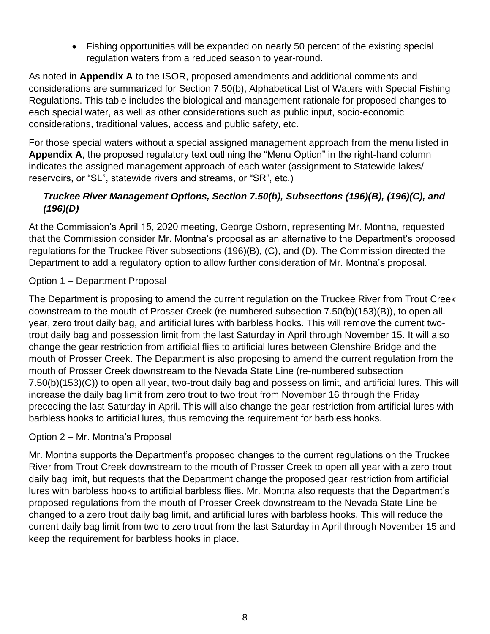• Fishing opportunities will be expanded on nearly 50 percent of the existing special regulation waters from a reduced season to year-round.

As noted in **Appendix A** to the ISOR, proposed amendments and additional comments and considerations are summarized for Section 7.50(b), Alphabetical List of Waters with Special Fishing Regulations. This table includes the biological and management rationale for proposed changes to each special water, as well as other considerations such as public input, socio-economic considerations, traditional values, access and public safety, etc.

For those special waters without a special assigned management approach from the menu listed in **Appendix A**, the proposed regulatory text outlining the "Menu Option" in the right-hand column indicates the assigned management approach of each water (assignment to Statewide lakes/ reservoirs, or "SL", statewide rivers and streams, or "SR", etc.)

# *Truckee River Management Options, Section 7.50(b), Subsections (196)(B), (196)(C), and (196)(D)*

At the Commission's April 15, 2020 meeting, George Osborn, representing Mr. Montna, requested that the Commission consider Mr. Montna's proposal as an alternative to the Department's proposed regulations for the Truckee River subsections (196)(B), (C), and (D). The Commission directed the Department to add a regulatory option to allow further consideration of Mr. Montna's proposal.

# Option 1 – Department Proposal

The Department is proposing to amend the current regulation on the Truckee River from Trout Creek downstream to the mouth of Prosser Creek (re-numbered subsection 7.50(b)(153)(B)), to open all year, zero trout daily bag, and artificial lures with barbless hooks. This will remove the current twotrout daily bag and possession limit from the last Saturday in April through November 15. It will also change the gear restriction from artificial flies to artificial lures between Glenshire Bridge and the mouth of Prosser Creek. The Department is also proposing to amend the current regulation from the mouth of Prosser Creek downstream to the Nevada State Line (re-numbered subsection 7.50(b)(153)(C)) to open all year, two-trout daily bag and possession limit, and artificial lures. This will increase the daily bag limit from zero trout to two trout from November 16 through the Friday preceding the last Saturday in April. This will also change the gear restriction from artificial lures with barbless hooks to artificial lures, thus removing the requirement for barbless hooks.

#### Option 2 – Mr. Montna's Proposal

Mr. Montna supports the Department's proposed changes to the current regulations on the Truckee River from Trout Creek downstream to the mouth of Prosser Creek to open all year with a zero trout daily bag limit, but requests that the Department change the proposed gear restriction from artificial lures with barbless hooks to artificial barbless flies. Mr. Montna also requests that the Department's proposed regulations from the mouth of Prosser Creek downstream to the Nevada State Line be changed to a zero trout daily bag limit, and artificial lures with barbless hooks. This will reduce the current daily bag limit from two to zero trout from the last Saturday in April through November 15 and keep the requirement for barbless hooks in place.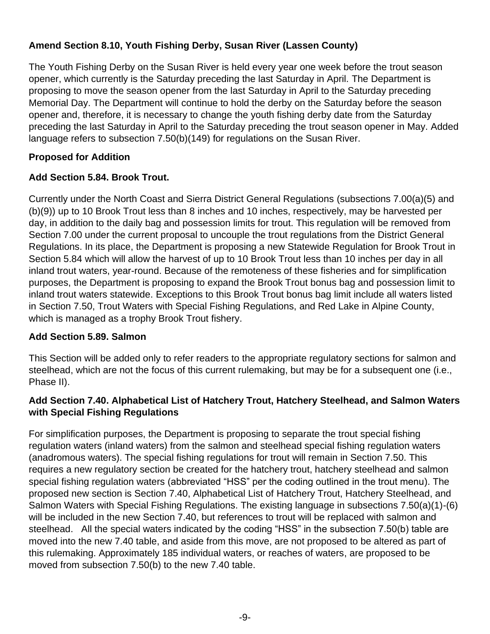# **Amend Section 8.10, Youth Fishing Derby, Susan River (Lassen County)**

The Youth Fishing Derby on the Susan River is held every year one week before the trout season opener, which currently is the Saturday preceding the last Saturday in April. The Department is proposing to move the season opener from the last Saturday in April to the Saturday preceding Memorial Day. The Department will continue to hold the derby on the Saturday before the season opener and, therefore, it is necessary to change the youth fishing derby date from the Saturday preceding the last Saturday in April to the Saturday preceding the trout season opener in May. Added language refers to subsection 7.50(b)(149) for regulations on the Susan River.

# **Proposed for Addition**

### **Add Section 5.84. Brook Trout.**

Currently under the North Coast and Sierra District General Regulations (subsections 7.00(a)(5) and (b)(9)) up to 10 Brook Trout less than 8 inches and 10 inches, respectively, may be harvested per day, in addition to the daily bag and possession limits for trout. This regulation will be removed from Section 7.00 under the current proposal to uncouple the trout regulations from the District General Regulations. In its place, the Department is proposing a new Statewide Regulation for Brook Trout in Section 5.84 which will allow the harvest of up to 10 Brook Trout less than 10 inches per day in all inland trout waters, year-round. Because of the remoteness of these fisheries and for simplification purposes, the Department is proposing to expand the Brook Trout bonus bag and possession limit to inland trout waters statewide. Exceptions to this Brook Trout bonus bag limit include all waters listed in Section 7.50, Trout Waters with Special Fishing Regulations, and Red Lake in Alpine County, which is managed as a trophy Brook Trout fishery.

#### **Add Section 5.89. Salmon**

This Section will be added only to refer readers to the appropriate regulatory sections for salmon and steelhead, which are not the focus of this current rulemaking, but may be for a subsequent one (i.e., Phase II).

### **Add Section 7.40. Alphabetical List of Hatchery Trout, Hatchery Steelhead, and Salmon Waters with Special Fishing Regulations**

For simplification purposes, the Department is proposing to separate the trout special fishing regulation waters (inland waters) from the salmon and steelhead special fishing regulation waters (anadromous waters). The special fishing regulations for trout will remain in Section 7.50. This requires a new regulatory section be created for the hatchery trout, hatchery steelhead and salmon special fishing regulation waters (abbreviated "HSS" per the coding outlined in the trout menu). The proposed new section is Section 7.40, Alphabetical List of Hatchery Trout, Hatchery Steelhead, and Salmon Waters with Special Fishing Regulations. The existing language in subsections 7.50(a)(1)-(6) will be included in the new Section 7.40, but references to trout will be replaced with salmon and steelhead. All the special waters indicated by the coding "HSS" in the subsection 7.50(b) table are moved into the new 7.40 table, and aside from this move, are not proposed to be altered as part of this rulemaking. Approximately 185 individual waters, or reaches of waters, are proposed to be moved from subsection 7.50(b) to the new 7.40 table.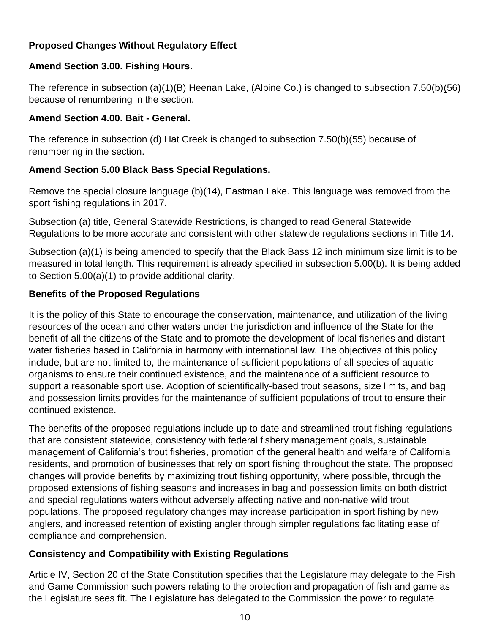# **Proposed Changes Without Regulatory Effect**

#### **Amend Section 3.00. Fishing Hours.**

The reference in subsection (a)(1)(B) Heenan Lake, (Alpine Co.) is changed to subsection 7.50(b)(56) because of renumbering in the section.

#### **Amend Section 4.00. Bait - General.**

The reference in subsection (d) Hat Creek is changed to subsection 7.50(b)(55) because of renumbering in the section.

### **Amend Section 5.00 Black Bass Special Regulations.**

Remove the special closure language (b)(14), Eastman Lake. This language was removed from the sport fishing regulations in 2017.

Subsection (a) title, General Statewide Restrictions, is changed to read General Statewide Regulations to be more accurate and consistent with other statewide regulations sections in Title 14.

Subsection (a)(1) is being amended to specify that the Black Bass 12 inch minimum size limit is to be measured in total length. This requirement is already specified in subsection 5.00(b). It is being added to Section 5.00(a)(1) to provide additional clarity.

### **Benefits of the Proposed Regulations**

It is the policy of this State to encourage the conservation, maintenance, and utilization of the living resources of the ocean and other waters under the jurisdiction and influence of the State for the benefit of all the citizens of the State and to promote the development of local fisheries and distant water fisheries based in California in harmony with international law. The objectives of this policy include, but are not limited to, the maintenance of sufficient populations of all species of aquatic organisms to ensure their continued existence, and the maintenance of a sufficient resource to support a reasonable sport use. Adoption of scientifically-based trout seasons, size limits, and bag and possession limits provides for the maintenance of sufficient populations of trout to ensure their continued existence.

The benefits of the proposed regulations include up to date and streamlined trout fishing regulations that are consistent statewide, consistency with federal fishery management goals, sustainable management of California's trout fisheries, promotion of the general health and welfare of California residents, and promotion of businesses that rely on sport fishing throughout the state. The proposed changes will provide benefits by maximizing trout fishing opportunity, where possible, through the proposed extensions of fishing seasons and increases in bag and possession limits on both district and special regulations waters without adversely affecting native and non-native wild trout populations. The proposed regulatory changes may increase participation in sport fishing by new anglers, and increased retention of existing angler through simpler regulations facilitating ease of compliance and comprehension.

# **Consistency and Compatibility with Existing Regulations**

Article IV, Section 20 of the State Constitution specifies that the Legislature may delegate to the Fish and Game Commission such powers relating to the protection and propagation of fish and game as the Legislature sees fit. The Legislature has delegated to the Commission the power to regulate